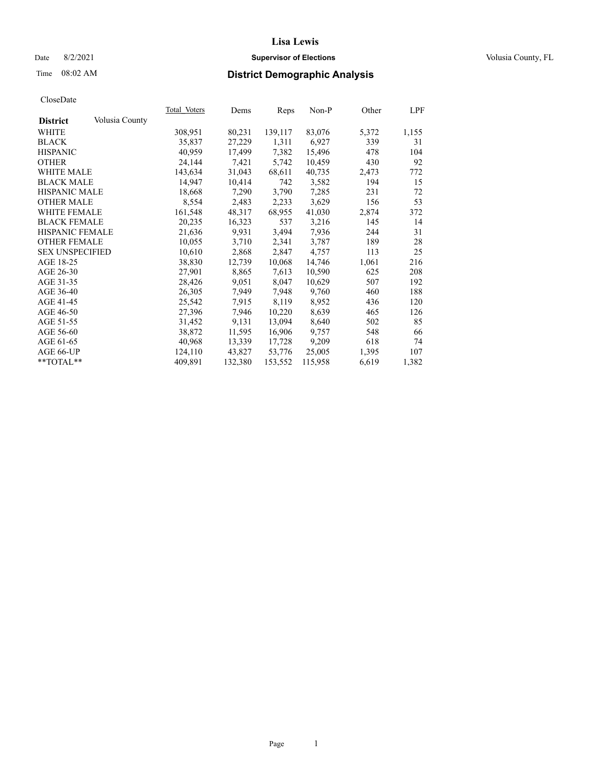## Date 8/2/2021 **Supervisor of Elections Supervisor of Elections** Volusia County, FL

# Time 08:02 AM **District Demographic Analysis**

|                        |                | Total Voters | Dems    | Reps    | Non-P   | Other | LPF   |
|------------------------|----------------|--------------|---------|---------|---------|-------|-------|
| <b>District</b>        | Volusia County |              |         |         |         |       |       |
| WHITE                  |                | 308,951      | 80,231  | 139,117 | 83,076  | 5,372 | 1,155 |
| <b>BLACK</b>           |                | 35,837       | 27,229  | 1,311   | 6,927   | 339   | 31    |
| <b>HISPANIC</b>        |                | 40,959       | 17,499  | 7,382   | 15,496  | 478   | 104   |
| <b>OTHER</b>           |                | 24,144       | 7,421   | 5,742   | 10,459  | 430   | 92    |
| <b>WHITE MALE</b>      |                | 143,634      | 31,043  | 68,611  | 40,735  | 2,473 | 772   |
| <b>BLACK MALE</b>      |                | 14,947       | 10,414  | 742     | 3,582   | 194   | 15    |
| <b>HISPANIC MALE</b>   |                | 18,668       | 7,290   | 3,790   | 7,285   | 231   | 72    |
| <b>OTHER MALE</b>      |                | 8,554        | 2,483   | 2,233   | 3,629   | 156   | 53    |
| <b>WHITE FEMALE</b>    |                | 161,548      | 48,317  | 68,955  | 41,030  | 2,874 | 372   |
| <b>BLACK FEMALE</b>    |                | 20,235       | 16,323  | 537     | 3,216   | 145   | 14    |
| HISPANIC FEMALE        |                | 21,636       | 9,931   | 3,494   | 7,936   | 244   | 31    |
| <b>OTHER FEMALE</b>    |                | 10,055       | 3,710   | 2,341   | 3,787   | 189   | 28    |
| <b>SEX UNSPECIFIED</b> |                | 10,610       | 2,868   | 2,847   | 4,757   | 113   | 25    |
| AGE 18-25              |                | 38,830       | 12,739  | 10,068  | 14,746  | 1,061 | 216   |
| AGE 26-30              |                | 27,901       | 8,865   | 7,613   | 10,590  | 625   | 208   |
| AGE 31-35              |                | 28,426       | 9,051   | 8,047   | 10,629  | 507   | 192   |
| AGE 36-40              |                | 26,305       | 7,949   | 7,948   | 9,760   | 460   | 188   |
| AGE 41-45              |                | 25,542       | 7,915   | 8,119   | 8,952   | 436   | 120   |
| AGE 46-50              |                | 27,396       | 7,946   | 10,220  | 8,639   | 465   | 126   |
| AGE 51-55              |                | 31,452       | 9,131   | 13,094  | 8,640   | 502   | 85    |
| AGE 56-60              |                | 38,872       | 11,595  | 16,906  | 9,757   | 548   | 66    |
| AGE 61-65              |                | 40,968       | 13,339  | 17,728  | 9,209   | 618   | 74    |
| AGE 66-UP              |                | 124,110      | 43,827  | 53,776  | 25,005  | 1,395 | 107   |
| $*$ TOTAL $*$          |                | 409.891      | 132,380 | 153,552 | 115,958 | 6,619 | 1,382 |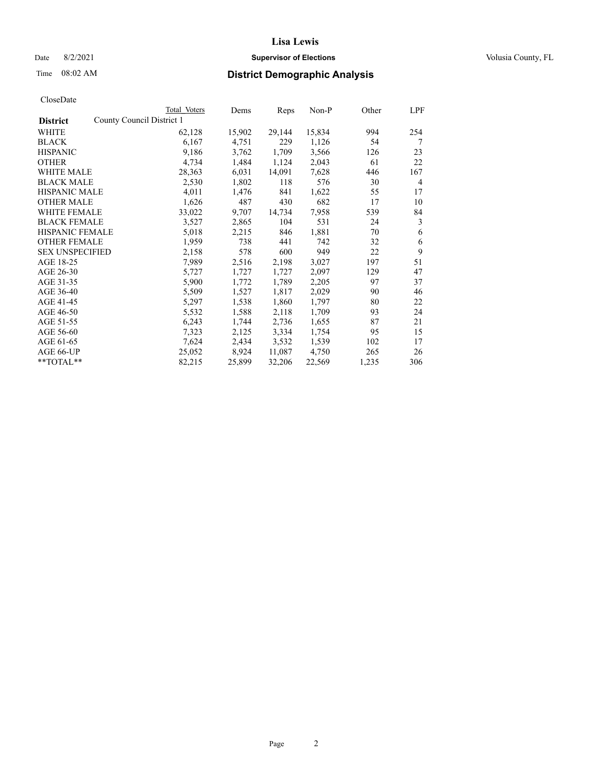## Date 8/2/2021 **Supervisor of Elections Supervisor of Elections** Volusia County, FL

|                        | Total Voters              | Dems   | Reps   | Non-P  | Other | LPF |
|------------------------|---------------------------|--------|--------|--------|-------|-----|
| <b>District</b>        | County Council District 1 |        |        |        |       |     |
| WHITE                  | 62,128                    | 15,902 | 29,144 | 15,834 | 994   | 254 |
| <b>BLACK</b>           | 6,167                     | 4,751  | 229    | 1,126  | 54    | 7   |
| <b>HISPANIC</b>        | 9,186                     | 3,762  | 1,709  | 3,566  | 126   | 23  |
| <b>OTHER</b>           | 4,734                     | 1,484  | 1,124  | 2,043  | 61    | 22  |
| <b>WHITE MALE</b>      | 28,363                    | 6,031  | 14,091 | 7,628  | 446   | 167 |
| <b>BLACK MALE</b>      | 2,530                     | 1,802  | 118    | 576    | 30    | 4   |
| <b>HISPANIC MALE</b>   | 4,011                     | 1,476  | 841    | 1,622  | 55    | 17  |
| <b>OTHER MALE</b>      | 1,626                     | 487    | 430    | 682    | 17    | 10  |
| WHITE FEMALE           | 33,022                    | 9,707  | 14,734 | 7,958  | 539   | 84  |
| <b>BLACK FEMALE</b>    | 3,527                     | 2,865  | 104    | 531    | 24    | 3   |
| <b>HISPANIC FEMALE</b> | 5,018                     | 2,215  | 846    | 1,881  | 70    | 6   |
| <b>OTHER FEMALE</b>    | 1,959                     | 738    | 441    | 742    | 32    | 6   |
| <b>SEX UNSPECIFIED</b> | 2,158                     | 578    | 600    | 949    | 22    | 9   |
| AGE 18-25              | 7,989                     | 2,516  | 2,198  | 3,027  | 197   | 51  |
| AGE 26-30              | 5,727                     | 1,727  | 1,727  | 2,097  | 129   | 47  |
| AGE 31-35              | 5,900                     | 1,772  | 1,789  | 2,205  | 97    | 37  |
| AGE 36-40              | 5,509                     | 1,527  | 1,817  | 2,029  | 90    | 46  |
| AGE 41-45              | 5,297                     | 1,538  | 1,860  | 1,797  | 80    | 22  |
| AGE 46-50              | 5,532                     | 1,588  | 2,118  | 1,709  | 93    | 24  |
| AGE 51-55              | 6,243                     | 1,744  | 2,736  | 1,655  | 87    | 21  |
| AGE 56-60              | 7,323                     | 2,125  | 3,334  | 1,754  | 95    | 15  |
| AGE 61-65              | 7,624                     | 2,434  | 3,532  | 1,539  | 102   | 17  |
| AGE 66-UP              | 25,052                    | 8,924  | 11,087 | 4,750  | 265   | 26  |
| **TOTAL**              | 82,215                    | 25,899 | 32,206 | 22,569 | 1,235 | 306 |
|                        |                           |        |        |        |       |     |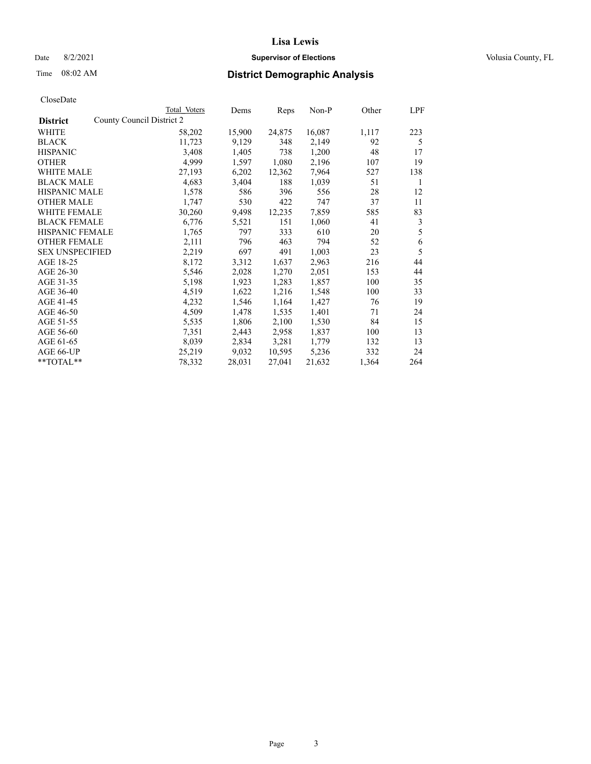## Date 8/2/2021 **Supervisor of Elections Supervisor of Elections** Volusia County, FL

| CloseDate |
|-----------|
|-----------|

|                        |                           | Total Voters | Dems   | Reps   | Non-P  | Other | LPF |
|------------------------|---------------------------|--------------|--------|--------|--------|-------|-----|
| <b>District</b>        | County Council District 2 |              |        |        |        |       |     |
| WHITE                  |                           | 58,202       | 15,900 | 24,875 | 16,087 | 1,117 | 223 |
| <b>BLACK</b>           |                           | 11,723       | 9,129  | 348    | 2,149  | 92    | 5   |
| <b>HISPANIC</b>        |                           | 3,408        | 1,405  | 738    | 1,200  | 48    | 17  |
| <b>OTHER</b>           |                           | 4,999        | 1,597  | 1,080  | 2,196  | 107   | 19  |
| <b>WHITE MALE</b>      |                           | 27,193       | 6,202  | 12,362 | 7,964  | 527   | 138 |
| <b>BLACK MALE</b>      |                           | 4,683        | 3,404  | 188    | 1,039  | 51    | 1   |
| <b>HISPANIC MALE</b>   |                           | 1,578        | 586    | 396    | 556    | 28    | 12  |
| <b>OTHER MALE</b>      |                           | 1,747        | 530    | 422    | 747    | 37    | 11  |
| <b>WHITE FEMALE</b>    |                           | 30,260       | 9,498  | 12,235 | 7,859  | 585   | 83  |
| <b>BLACK FEMALE</b>    |                           | 6,776        | 5,521  | 151    | 1,060  | 41    | 3   |
| <b>HISPANIC FEMALE</b> |                           | 1,765        | 797    | 333    | 610    | 20    | 5   |
| <b>OTHER FEMALE</b>    |                           | 2,111        | 796    | 463    | 794    | 52    | 6   |
| <b>SEX UNSPECIFIED</b> |                           | 2,219        | 697    | 491    | 1,003  | 23    | 5   |
| AGE 18-25              |                           | 8,172        | 3,312  | 1,637  | 2,963  | 216   | 44  |
| AGE 26-30              |                           | 5,546        | 2,028  | 1,270  | 2,051  | 153   | 44  |
| AGE 31-35              |                           | 5,198        | 1,923  | 1,283  | 1,857  | 100   | 35  |
| AGE 36-40              |                           | 4,519        | 1,622  | 1,216  | 1,548  | 100   | 33  |
| AGE 41-45              |                           | 4,232        | 1,546  | 1,164  | 1,427  | 76    | 19  |
| AGE 46-50              |                           | 4,509        | 1,478  | 1,535  | 1,401  | 71    | 24  |
| AGE 51-55              |                           | 5,535        | 1,806  | 2,100  | 1,530  | 84    | 15  |
| AGE 56-60              |                           | 7,351        | 2,443  | 2,958  | 1,837  | 100   | 13  |
| AGE 61-65              |                           | 8,039        | 2,834  | 3,281  | 1,779  | 132   | 13  |
| AGE 66-UP              |                           | 25,219       | 9,032  | 10,595 | 5,236  | 332   | 24  |
| **TOTAL**              |                           | 78,332       | 28,031 | 27,041 | 21,632 | 1,364 | 264 |
|                        |                           |              |        |        |        |       |     |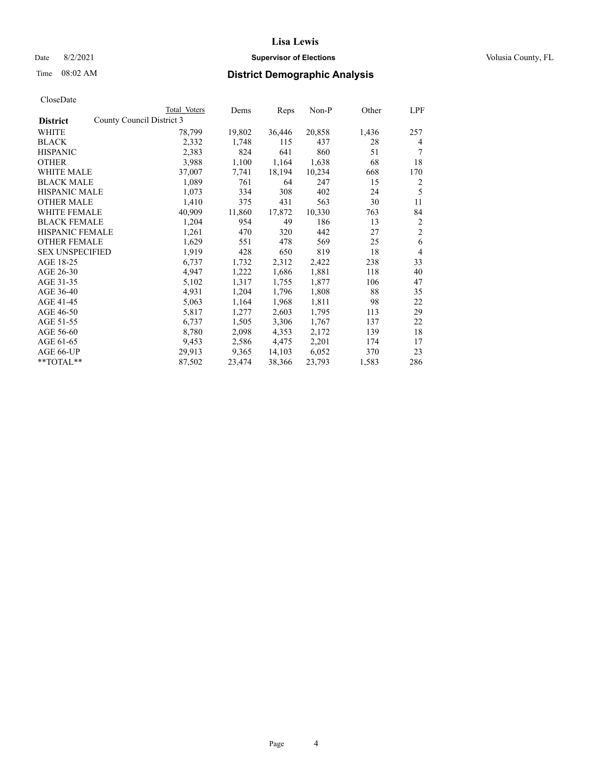## Date 8/2/2021 **Supervisor of Elections Supervisor of Elections** Volusia County, FL

| CloseDate |
|-----------|
|-----------|

|                        |                           | Total Voters | Dems   | Reps   | Non-P  | Other | LPF            |
|------------------------|---------------------------|--------------|--------|--------|--------|-------|----------------|
| <b>District</b>        | County Council District 3 |              |        |        |        |       |                |
| WHITE                  |                           | 78,799       | 19,802 | 36,446 | 20,858 | 1,436 | 257            |
| <b>BLACK</b>           |                           | 2,332        | 1,748  | 115    | 437    | 28    | 4              |
| <b>HISPANIC</b>        |                           | 2,383        | 824    | 641    | 860    | 51    | 7              |
| <b>OTHER</b>           |                           | 3,988        | 1,100  | 1,164  | 1,638  | 68    | 18             |
| WHITE MALE             |                           | 37,007       | 7,741  | 18,194 | 10,234 | 668   | 170            |
| <b>BLACK MALE</b>      |                           | 1,089        | 761    | 64     | 247    | 15    | 2              |
| <b>HISPANIC MALE</b>   |                           | 1,073        | 334    | 308    | 402    | 24    | 5              |
| <b>OTHER MALE</b>      |                           | 1,410        | 375    | 431    | 563    | 30    | 11             |
| <b>WHITE FEMALE</b>    |                           | 40,909       | 11,860 | 17,872 | 10,330 | 763   | 84             |
| <b>BLACK FEMALE</b>    |                           | 1,204        | 954    | 49     | 186    | 13    | $\overline{c}$ |
| <b>HISPANIC FEMALE</b> |                           | 1,261        | 470    | 320    | 442    | 27    | $\mathfrak{2}$ |
| <b>OTHER FEMALE</b>    |                           | 1,629        | 551    | 478    | 569    | 25    | 6              |
| <b>SEX UNSPECIFIED</b> |                           | 1,919        | 428    | 650    | 819    | 18    | $\overline{4}$ |
| AGE 18-25              |                           | 6,737        | 1,732  | 2,312  | 2,422  | 238   | 33             |
| AGE 26-30              |                           | 4,947        | 1,222  | 1,686  | 1,881  | 118   | 40             |
| AGE 31-35              |                           | 5,102        | 1,317  | 1,755  | 1,877  | 106   | 47             |
| AGE 36-40              |                           | 4,931        | 1,204  | 1,796  | 1,808  | 88    | 35             |
| AGE 41-45              |                           | 5,063        | 1,164  | 1,968  | 1,811  | 98    | 22             |
| AGE 46-50              |                           | 5,817        | 1,277  | 2,603  | 1,795  | 113   | 29             |
| AGE 51-55              |                           | 6,737        | 1,505  | 3,306  | 1,767  | 137   | 22             |
| AGE 56-60              |                           | 8,780        | 2,098  | 4,353  | 2,172  | 139   | 18             |
| AGE 61-65              |                           | 9,453        | 2,586  | 4,475  | 2,201  | 174   | 17             |
| AGE 66-UP              |                           | 29,913       | 9,365  | 14,103 | 6,052  | 370   | 23             |
| **TOTAL**              |                           | 87,502       | 23,474 | 38,366 | 23,793 | 1,583 | 286            |
|                        |                           |              |        |        |        |       |                |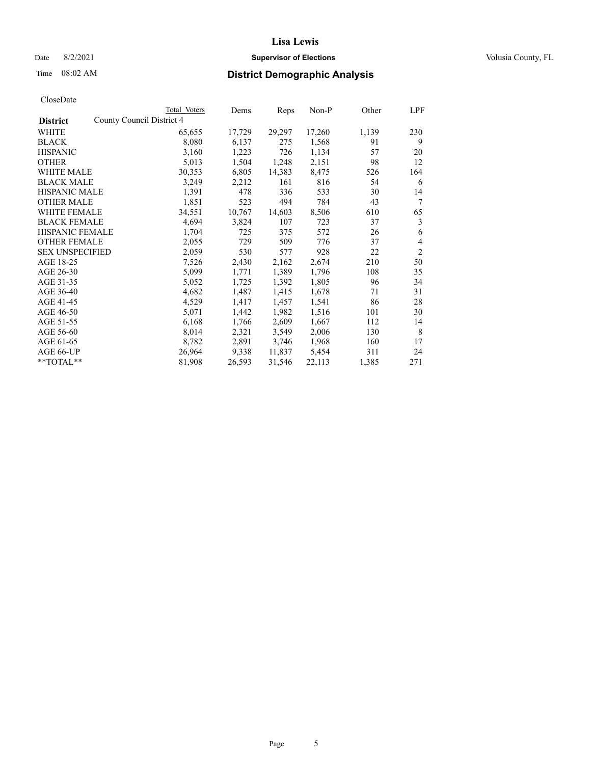## Date 8/2/2021 **Supervisor of Elections Supervisor of Elections** Volusia County, FL

| CloseDate |
|-----------|
|-----------|

|                                              | Total Voters | Dems   | Reps   | Non-P  | Other | LPF            |
|----------------------------------------------|--------------|--------|--------|--------|-------|----------------|
| County Council District 4<br><b>District</b> |              |        |        |        |       |                |
| WHITE                                        | 65,655       | 17,729 | 29,297 | 17,260 | 1,139 | 230            |
| <b>BLACK</b>                                 | 8,080        | 6,137  | 275    | 1,568  | 91    | 9              |
| <b>HISPANIC</b>                              | 3,160        | 1,223  | 726    | 1,134  | 57    | 20             |
| <b>OTHER</b>                                 | 5,013        | 1,504  | 1,248  | 2,151  | 98    | 12             |
| <b>WHITE MALE</b>                            | 30,353       | 6,805  | 14,383 | 8,475  | 526   | 164            |
| <b>BLACK MALE</b>                            | 3,249        | 2,212  | 161    | 816    | 54    | 6              |
| <b>HISPANIC MALE</b>                         | 1,391        | 478    | 336    | 533    | 30    | 14             |
| <b>OTHER MALE</b>                            | 1,851        | 523    | 494    | 784    | 43    | 7              |
| WHITE FEMALE                                 | 34,551       | 10,767 | 14,603 | 8,506  | 610   | 65             |
| <b>BLACK FEMALE</b>                          | 4,694        | 3,824  | 107    | 723    | 37    | 3              |
| <b>HISPANIC FEMALE</b>                       | 1,704        | 725    | 375    | 572    | 26    | 6              |
| <b>OTHER FEMALE</b>                          | 2,055        | 729    | 509    | 776    | 37    | $\overline{4}$ |
| <b>SEX UNSPECIFIED</b>                       | 2,059        | 530    | 577    | 928    | 22    | $\overline{2}$ |
| AGE 18-25                                    | 7,526        | 2,430  | 2,162  | 2,674  | 210   | 50             |
| AGE 26-30                                    | 5,099        | 1,771  | 1,389  | 1,796  | 108   | 35             |
| AGE 31-35                                    | 5,052        | 1,725  | 1,392  | 1,805  | 96    | 34             |
| AGE 36-40                                    | 4,682        | 1,487  | 1,415  | 1,678  | 71    | 31             |
| AGE 41-45                                    | 4,529        | 1,417  | 1,457  | 1,541  | 86    | 28             |
| AGE 46-50                                    | 5,071        | 1,442  | 1,982  | 1,516  | 101   | 30             |
| AGE 51-55                                    | 6,168        | 1,766  | 2,609  | 1,667  | 112   | 14             |
| AGE 56-60                                    | 8,014        | 2,321  | 3,549  | 2,006  | 130   | 8              |
| AGE 61-65                                    | 8,782        | 2,891  | 3,746  | 1,968  | 160   | 17             |
| AGE 66-UP                                    | 26,964       | 9,338  | 11,837 | 5,454  | 311   | 24             |
| **TOTAL**                                    | 81,908       | 26,593 | 31,546 | 22,113 | 1,385 | 271            |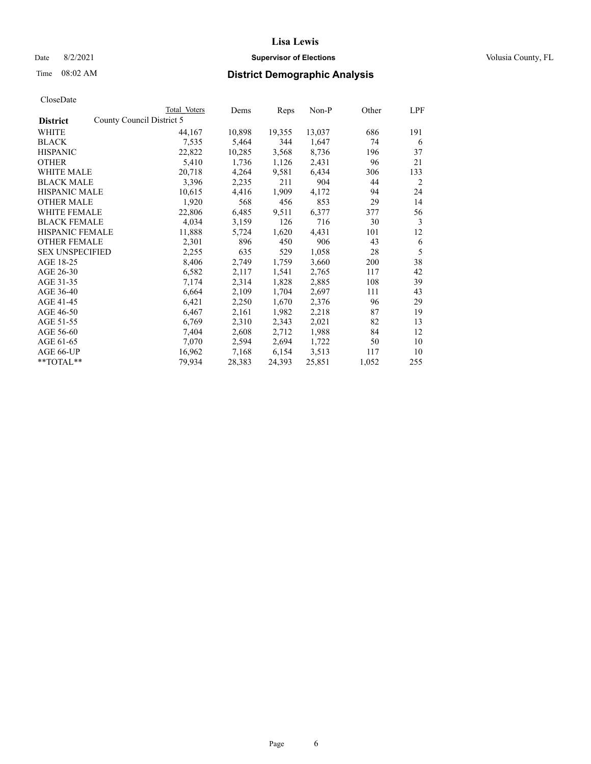## Date 8/2/2021 **Supervisor of Elections Supervisor of Elections** Volusia County, FL

| CloseDate |
|-----------|
|-----------|

|                                              | Total Voters | Dems   | Reps   | Non-P  | Other | LPF |
|----------------------------------------------|--------------|--------|--------|--------|-------|-----|
| County Council District 5<br><b>District</b> |              |        |        |        |       |     |
| WHITE                                        | 44,167       | 10,898 | 19,355 | 13,037 | 686   | 191 |
| <b>BLACK</b>                                 | 7,535        | 5,464  | 344    | 1,647  | 74    | 6   |
| <b>HISPANIC</b>                              | 22,822       | 10,285 | 3,568  | 8,736  | 196   | 37  |
| <b>OTHER</b>                                 | 5,410        | 1,736  | 1,126  | 2,431  | 96    | 21  |
| WHITE MALE                                   | 20,718       | 4,264  | 9,581  | 6,434  | 306   | 133 |
| <b>BLACK MALE</b>                            | 3,396        | 2,235  | 211    | 904    | 44    | 2   |
| <b>HISPANIC MALE</b>                         | 10,615       | 4,416  | 1,909  | 4,172  | 94    | 24  |
| <b>OTHER MALE</b>                            | 1,920        | 568    | 456    | 853    | 29    | 14  |
| <b>WHITE FEMALE</b>                          | 22,806       | 6,485  | 9,511  | 6,377  | 377   | 56  |
| <b>BLACK FEMALE</b>                          | 4,034        | 3,159  | 126    | 716    | 30    | 3   |
| HISPANIC FEMALE                              | 11,888       | 5,724  | 1,620  | 4,431  | 101   | 12  |
| <b>OTHER FEMALE</b>                          | 2,301        | 896    | 450    | 906    | 43    | 6   |
| <b>SEX UNSPECIFIED</b>                       | 2,255        | 635    | 529    | 1,058  | 28    | 5   |
| AGE 18-25                                    | 8,406        | 2,749  | 1,759  | 3,660  | 200   | 38  |
| AGE 26-30                                    | 6,582        | 2,117  | 1,541  | 2,765  | 117   | 42  |
| AGE 31-35                                    | 7,174        | 2,314  | 1,828  | 2,885  | 108   | 39  |
| AGE 36-40                                    | 6,664        | 2,109  | 1,704  | 2,697  | 111   | 43  |
| AGE 41-45                                    | 6,421        | 2,250  | 1,670  | 2,376  | 96    | 29  |
| AGE 46-50                                    | 6,467        | 2,161  | 1,982  | 2,218  | 87    | 19  |
| AGE 51-55                                    | 6,769        | 2,310  | 2,343  | 2,021  | 82    | 13  |
| AGE 56-60                                    | 7,404        | 2,608  | 2,712  | 1,988  | 84    | 12  |
| AGE 61-65                                    | 7,070        | 2,594  | 2,694  | 1,722  | 50    | 10  |
| AGE 66-UP                                    | 16,962       | 7,168  | 6,154  | 3,513  | 117   | 10  |
| **TOTAL**                                    | 79,934       | 28,383 | 24,393 | 25,851 | 1,052 | 255 |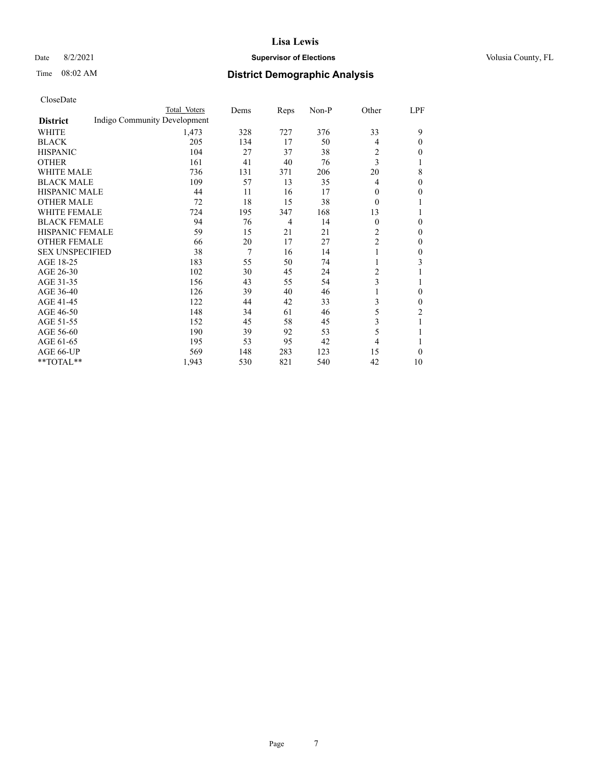## Date 8/2/2021 **Supervisor of Elections Supervisor of Elections** Volusia County, FL

# Time 08:02 AM **District Demographic Analysis**

|                                                 | Total Voters | Dems | Reps           | Non-P | Other          | LPF            |
|-------------------------------------------------|--------------|------|----------------|-------|----------------|----------------|
| Indigo Community Development<br><b>District</b> |              |      |                |       |                |                |
| WHITE                                           | 1,473        | 328  | 727            | 376   | 33             | 9              |
| <b>BLACK</b>                                    | 205          | 134  | 17             | 50    | 4              | 0              |
| <b>HISPANIC</b>                                 | 104          | 27   | 37             | 38    | 2              | 0              |
| <b>OTHER</b>                                    | 161          | 41   | 40             | 76    | 3              |                |
| <b>WHITE MALE</b>                               | 736          | 131  | 371            | 206   | 20             | 8              |
| <b>BLACK MALE</b>                               | 109          | 57   | 13             | 35    | 4              | 0              |
| <b>HISPANIC MALE</b>                            | 44           | 11   | 16             | 17    | $\Omega$       | 0              |
| <b>OTHER MALE</b>                               | 72           | 18   | 15             | 38    | $\theta$       | 1              |
| <b>WHITE FEMALE</b>                             | 724          | 195  | 347            | 168   | 13             |                |
| <b>BLACK FEMALE</b>                             | 94           | 76   | $\overline{4}$ | 14    | $\Omega$       | 0              |
| <b>HISPANIC FEMALE</b>                          | 59           | 15   | 21             | 21    | 2              | 0              |
| <b>OTHER FEMALE</b>                             | 66           | 20   | 17             | 27    | $\overline{c}$ | 0              |
| <b>SEX UNSPECIFIED</b>                          | 38           | 7    | 16             | 14    | 1              | 0              |
| AGE 18-25                                       | 183          | 55   | 50             | 74    | 1              | 3              |
| AGE 26-30                                       | 102          | 30   | 45             | 24    | 2              |                |
| AGE 31-35                                       | 156          | 43   | 55             | 54    | 3              |                |
| AGE 36-40                                       | 126          | 39   | 40             | 46    | 1              | 0              |
| AGE 41-45                                       | 122          | 44   | 42             | 33    | 3              | 0              |
| AGE 46-50                                       | 148          | 34   | 61             | 46    | 5              | $\overline{c}$ |
| AGE 51-55                                       | 152          | 45   | 58             | 45    | 3              | 1              |
| AGE 56-60                                       | 190          | 39   | 92             | 53    | 5              |                |
| AGE 61-65                                       | 195          | 53   | 95             | 42    | $\overline{4}$ |                |
| AGE 66-UP                                       | 569          | 148  | 283            | 123   | 15             | 0              |
| **TOTAL**                                       | 1,943        | 530  | 821            | 540   | 42             | 10             |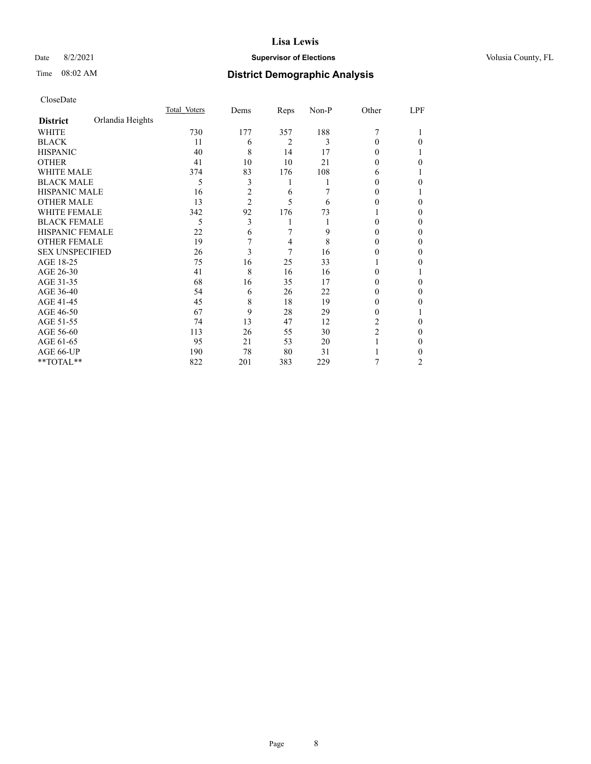## Date 8/2/2021 **Supervisor of Elections Supervisor of Elections** Volusia County, FL

# Time 08:02 AM **District Demographic Analysis**

|                        |                  | Total Voters | Dems           | Reps | Non-P | Other  | LPF |
|------------------------|------------------|--------------|----------------|------|-------|--------|-----|
| <b>District</b>        | Orlandia Heights |              |                |      |       |        |     |
| WHITE                  |                  | 730          | 177            | 357  | 188   | 7      |     |
| <b>BLACK</b>           |                  | 11           | 6              | 2    | 3     | 0      | 0   |
| <b>HISPANIC</b>        |                  | 40           | 8              | 14   | 17    | 0      |     |
| <b>OTHER</b>           |                  | 41           | 10             | 10   | 21    | 0      | 0   |
| <b>WHITE MALE</b>      |                  | 374          | 83             | 176  | 108   | 6      |     |
| <b>BLACK MALE</b>      |                  | 5            | 3              | 1    |       |        | 0   |
| <b>HISPANIC MALE</b>   |                  | 16           | $\overline{c}$ | 6    |       | 0      |     |
| <b>OTHER MALE</b>      |                  | 13           | $\overline{2}$ | 5    | 6     | 0      | 0   |
| <b>WHITE FEMALE</b>    |                  | 342          | 92             | 176  | 73    |        | 0   |
| <b>BLACK FEMALE</b>    |                  | 5            | 3              | 1    |       | 0      | 0   |
| HISPANIC FEMALE        |                  | 22           | 6              | 7    | 9     | 0      | 0   |
| <b>OTHER FEMALE</b>    |                  | 19           | 7              | 4    | 8     | $_{0}$ | 0   |
| <b>SEX UNSPECIFIED</b> |                  | 26           | 3              | 7    | 16    | 0      | 0   |
| AGE 18-25              |                  | 75           | 16             | 25   | 33    |        | 0   |
| AGE 26-30              |                  | 41           | 8              | 16   | 16    | 0      |     |
| AGE 31-35              |                  | 68           | 16             | 35   | 17    | 0      | 0   |
| AGE 36-40              |                  | 54           | 6              | 26   | 22    | 0      | 0   |
| AGE 41-45              |                  | 45           | 8              | 18   | 19    | 0      | 0   |
| AGE 46-50              |                  | 67           | 9              | 28   | 29    | $_{0}$ |     |
| AGE 51-55              |                  | 74           | 13             | 47   | 12    | 2      | 0   |
| AGE 56-60              |                  | 113          | 26             | 55   | 30    | 2      | 0   |
| AGE 61-65              |                  | 95           | 21             | 53   | 20    |        | 0   |
| AGE 66-UP              |                  | 190          | 78             | 80   | 31    |        |     |
| **TOTAL**              |                  | 822          | 201            | 383  | 229   | 7      | 2   |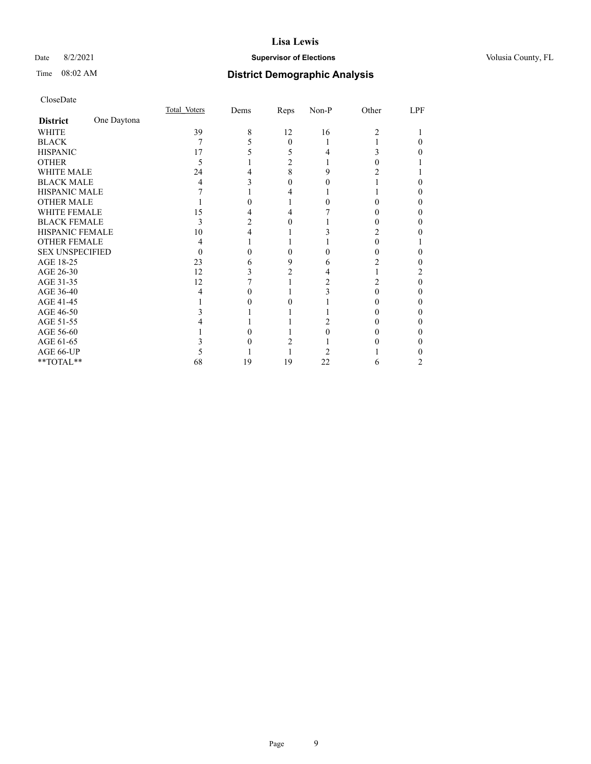## Date 8/2/2021 **Supervisor of Elections Supervisor of Elections** Volusia County, FL

# Time 08:02 AM **District Demographic Analysis**

|                        |             | Total Voters | Dems | Reps     | Non-P | Other | LPF |
|------------------------|-------------|--------------|------|----------|-------|-------|-----|
| <b>District</b>        | One Daytona |              |      |          |       |       |     |
| WHITE                  |             | 39           | 8    | 12       | 16    | 2     |     |
| <b>BLACK</b>           |             | 7            |      | $\theta$ |       |       |     |
| <b>HISPANIC</b>        |             | 17           |      | 5        |       | 3     |     |
| <b>OTHER</b>           |             | 5            |      | 2        |       |       |     |
| <b>WHITE MALE</b>      |             | 24           |      | 8        | 9     |       |     |
| <b>BLACK MALE</b>      |             | 4            |      | 0        |       |       |     |
| <b>HISPANIC MALE</b>   |             |              |      |          |       |       |     |
| <b>OTHER MALE</b>      |             |              |      |          |       |       | 0   |
| <b>WHITE FEMALE</b>    |             | 15           |      |          |       |       |     |
| <b>BLACK FEMALE</b>    |             | 3            |      | $_{0}$   |       | 0     | 0   |
| HISPANIC FEMALE        |             | 10           |      |          |       |       |     |
| <b>OTHER FEMALE</b>    |             | 4            |      |          |       | 0     |     |
| <b>SEX UNSPECIFIED</b> |             | $\theta$     |      | 0        |       | 0     |     |
| AGE 18-25              |             | 23           |      | 9        | 6     |       |     |
| AGE 26-30              |             | 12           |      |          |       |       | 2   |
| AGE 31-35              |             | 12           |      |          |       | 2     | 0   |
| AGE 36-40              |             | 4            |      |          |       | 0     | 0   |
| AGE 41-45              |             |              |      |          |       |       |     |
| AGE 46-50              |             |              |      |          |       |       |     |
| AGE 51-55              |             |              |      |          |       |       | 0   |
| AGE 56-60              |             |              |      |          |       |       | 0   |
| AGE 61-65              |             |              |      |          |       |       | 0   |
| AGE 66-UP              |             |              |      |          |       |       |     |
| **TOTAL**              |             | 68           | 19   | 19       | 22    | 6     |     |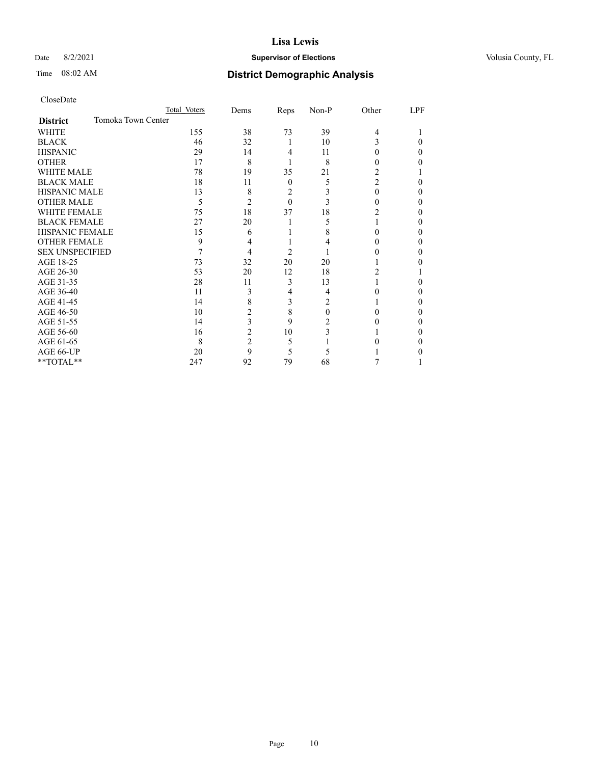## Date 8/2/2021 **Supervisor of Elections Supervisor of Elections** Volusia County, FL

## Time 08:02 AM **District Demographic Analysis**

|                        | Total Voters       | Dems           | Reps           | Non-P | Other          | LPF |
|------------------------|--------------------|----------------|----------------|-------|----------------|-----|
| <b>District</b>        | Tomoka Town Center |                |                |       |                |     |
| WHITE                  | 155                | 38             | 73             | 39    | $\overline{4}$ |     |
| <b>BLACK</b>           | 46                 | 32             | 1              | 10    | 3              | 0   |
| <b>HISPANIC</b>        | 29                 | 14             | $\overline{4}$ | 11    | 0              | 0   |
| <b>OTHER</b>           | 17                 | 8              |                | 8     | 0              |     |
| WHITE MALE             | 78                 | 19             | 35             | 21    | 2              |     |
| <b>BLACK MALE</b>      | 18                 | 11             | $\mathbf{0}$   | 5     | $\overline{c}$ | 0   |
| <b>HISPANIC MALE</b>   | 13                 | 8              | $\overline{2}$ |       | 0              | 0   |
| <b>OTHER MALE</b>      | 5                  | 2              | $\theta$       | 3     | 0              | 0   |
| WHITE FEMALE           | 75                 | 18             | 37             | 18    | 2              | 0   |
| <b>BLACK FEMALE</b>    | 27                 | 20             | 1              | 5     |                | 0   |
| <b>HISPANIC FEMALE</b> | 15                 | 6              |                | 8     |                |     |
| <b>OTHER FEMALE</b>    | 9                  | 4              |                | 4     | 0              |     |
| <b>SEX UNSPECIFIED</b> |                    | 4              | $\overline{2}$ |       | 0              | 0   |
| AGE 18-25              | 73                 | 32             | 20             | 20    |                |     |
| AGE 26-30              | 53                 | 20             | 12             | 18    | 2              |     |
| AGE 31-35              | 28                 | 11             | 3              | 13    |                |     |
| AGE 36-40              | 11                 | 3              | 4              | 4     | 0              | 0   |
| AGE 41-45              | 14                 | 8              | 3              | 2     |                | 0   |
| AGE 46-50              | 10                 | 2              | 8              | 0     | 0              |     |
| AGE 51-55              | 14                 | 3              | 9              | 2     |                | 0   |
| AGE 56-60              | 16                 | 2              | 10             | 3     |                |     |
| AGE 61-65              | 8                  | $\overline{2}$ | 5              |       |                | 0   |
| AGE 66-UP              | 20                 | 9              | 5              | 5     |                |     |
| **TOTAL**              | 247                | 92             | 79             | 68    |                |     |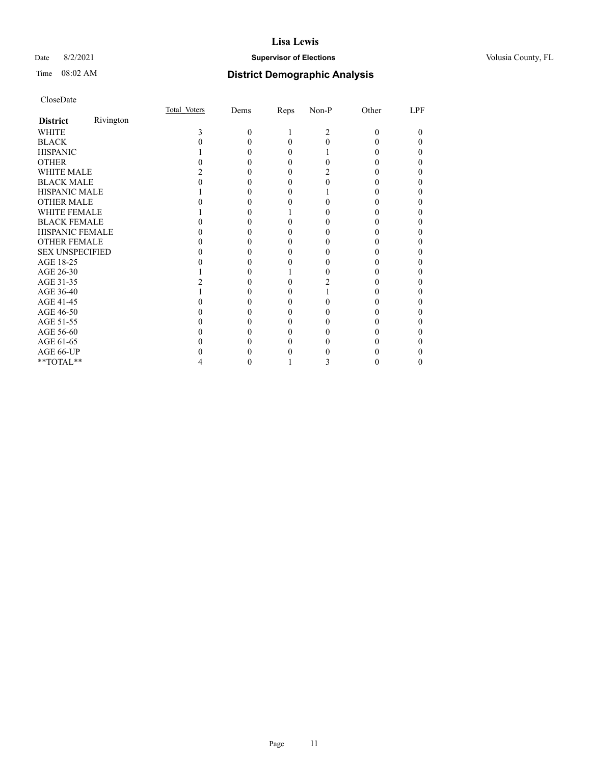## Date 8/2/2021 **Supervisor of Elections Supervisor of Elections** Volusia County, FL

| CloseDate              |           |              |          |      |                |          |                |
|------------------------|-----------|--------------|----------|------|----------------|----------|----------------|
|                        |           | Total Voters | Dems     | Reps | $Non-P$        | Other    | LPF            |
| <b>District</b>        | Rivington |              |          |      |                |          |                |
| WHITE                  |           | 3            | $\Omega$ |      | $\overline{c}$ | 0        | $\theta$       |
| <b>BLACK</b>           |           |              | 0        | 0    | 0              |          | 0              |
| <b>HISPANIC</b>        |           |              | 0        | 0    |                |          | 0              |
| <b>OTHER</b>           |           |              |          | 0    | 0              |          | 0              |
| <b>WHITE MALE</b>      |           |              | 0        | 0    | 2              | 0        | 0              |
| <b>BLACK MALE</b>      |           |              |          |      | 0              |          | $\theta$       |
| <b>HISPANIC MALE</b>   |           |              |          |      |                |          | 0              |
| <b>OTHER MALE</b>      |           |              |          |      |                |          | 0              |
| <b>WHITE FEMALE</b>    |           |              |          |      |                |          | $\theta$       |
| <b>BLACK FEMALE</b>    |           |              | 0        | 0    |                |          | 0              |
| <b>HISPANIC FEMALE</b> |           |              |          |      |                |          | 0              |
| <b>OTHER FEMALE</b>    |           |              |          |      |                |          | 0              |
| <b>SEX UNSPECIFIED</b> |           |              | 0        | 0    | 0              | $\theta$ | 0              |
| AGE 18-25              |           |              |          |      |                |          | $\overline{0}$ |
| AGE 26-30              |           |              | 0        |      | 0              |          | $\overline{0}$ |
| AGE 31-35              |           |              |          | 0    | 2              |          | 0              |
| AGE 36-40              |           |              |          |      |                |          | 0              |
| AGE 41-45              |           |              | 0        | 0    |                |          | $\theta$       |
| AGE 46-50              |           |              |          |      |                |          | $\overline{0}$ |
| AGE 51-55              |           |              |          |      |                |          | 0              |
| AGE 56-60              |           |              | 0        | 0    | 0              |          | 0              |
| AGE 61-65              |           |              |          |      |                |          | 0              |
| AGE 66-UP              |           |              |          |      |                |          | 0              |
| **TOTAL**              |           |              |          |      |                |          | 0              |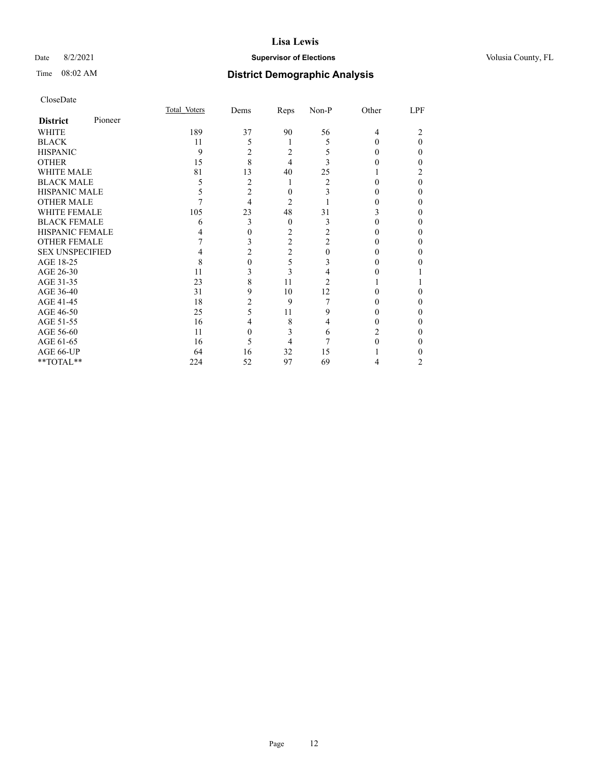## Date 8/2/2021 **Supervisor of Elections Supervisor of Elections** Volusia County, FL

| CloseDate              |         |              |      |          |                |          |                  |
|------------------------|---------|--------------|------|----------|----------------|----------|------------------|
|                        |         | Total Voters | Dems | Reps     | Non-P          | Other    | LPF              |
| <b>District</b>        | Pioneer |              |      |          |                |          |                  |
| WHITE                  |         | 189          | 37   | 90       | 56             | 4        | 2                |
| <b>BLACK</b>           |         | 11           | 5    |          | 5              | $\theta$ | $\theta$         |
| <b>HISPANIC</b>        |         | 9            | 2    | 2        | 5              | 0        | $\theta$         |
| <b>OTHER</b>           |         | 15           | 8    | 4        | 3              |          | $\boldsymbol{0}$ |
| <b>WHITE MALE</b>      |         | 81           | 13   | 40       | 25             |          | $\overline{c}$   |
| <b>BLACK MALE</b>      |         | 5            | 2    |          | $\overline{c}$ | 0        | $\mathbf{0}$     |
| <b>HISPANIC MALE</b>   |         | 5            | 2    | 0        | 3              | 0        | $\theta$         |
| OTHER MALE             |         |              | 4    | 2        |                | 0        | $\boldsymbol{0}$ |
| <b>WHITE FEMALE</b>    |         | 105          | 23   | 48       | 31             | 3        | $\theta$         |
| <b>BLACK FEMALE</b>    |         | 6            | 3    | $\theta$ | 3              | 0        | $\boldsymbol{0}$ |
| <b>HISPANIC FEMALE</b> |         |              | 0    | 2        | $\overline{c}$ | 0        | $\boldsymbol{0}$ |
| <b>OTHER FEMALE</b>    |         |              | 3    | 2        | $\overline{2}$ | 0        | $\boldsymbol{0}$ |
| <b>SEX UNSPECIFIED</b> |         | 4            | 2    | 2        | $\theta$       | $\theta$ | $\boldsymbol{0}$ |
| AGE 18-25              |         | 8            | 0    | 5        | 3              | 0        | 0                |
| AGE 26-30              |         | 11           | 3    | 3        | 4              | 0        |                  |
| AGE 31-35              |         | 23           | 8    | 11       | $\overline{2}$ |          |                  |
| AGE 36-40              |         | 31           | 9    | 10       | 12             | 0        | 0                |
| AGE 41-45              |         | 18           | 2    | 9        | 7              | 0        | $\boldsymbol{0}$ |
| AGE 46-50              |         | 25           | 5    | 11       | 9              | 0        | $\boldsymbol{0}$ |
| AGE 51-55              |         | 16           |      | 8        | 4              | 0        | 0                |
| AGE 56-60              |         | 11           | 0    | 3        | 6              | 2        | $\theta$         |
| AGE 61-65              |         | 16           | 5    | 4        | 7              |          | $\overline{0}$   |
| AGE 66-UP              |         | 64           | 16   | 32       | 15             |          | $\boldsymbol{0}$ |
| **TOTAL**              |         | 224          | 52   | 97       | 69             | 4        | 2                |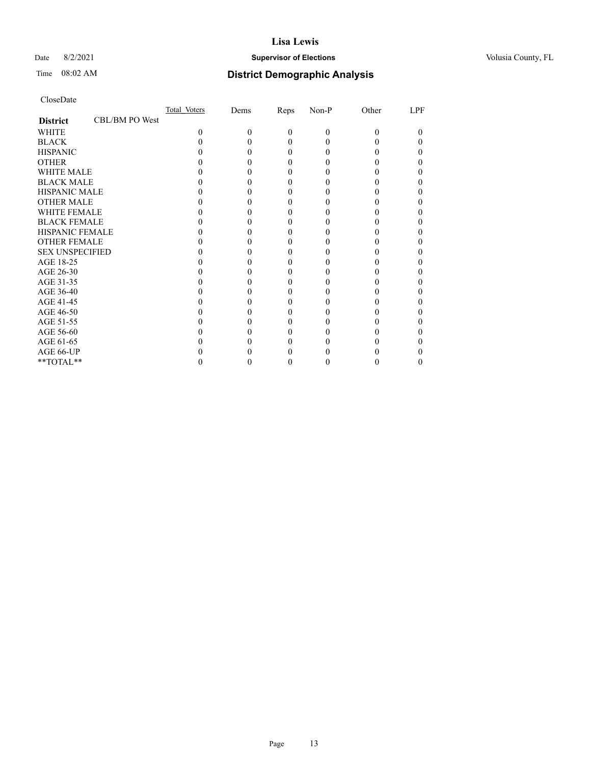## Date 8/2/2021 **Supervisor of Elections Supervisor of Elections** Volusia County, FL

# Time 08:02 AM **District Demographic Analysis**

|                        |                | Total Voters | Dems | Reps     | Non-P | Other | LPF |
|------------------------|----------------|--------------|------|----------|-------|-------|-----|
| <b>District</b>        | CBL/BM PO West |              |      |          |       |       |     |
| <b>WHITE</b>           |                | $\Omega$     | 0    | $\theta$ | 0     | 0     |     |
| <b>BLACK</b>           |                |              |      | 0        |       |       |     |
| <b>HISPANIC</b>        |                |              |      | $_{0}$   |       |       |     |
| <b>OTHER</b>           |                |              |      |          |       |       |     |
| <b>WHITE MALE</b>      |                |              |      |          |       |       |     |
| <b>BLACK MALE</b>      |                |              |      |          |       |       |     |
| <b>HISPANIC MALE</b>   |                |              |      |          |       |       |     |
| <b>OTHER MALE</b>      |                |              |      |          |       |       |     |
| <b>WHITE FEMALE</b>    |                |              |      |          |       |       |     |
| <b>BLACK FEMALE</b>    |                |              |      | 0        |       |       |     |
| <b>HISPANIC FEMALE</b> |                |              |      |          |       |       |     |
| <b>OTHER FEMALE</b>    |                |              |      |          |       |       |     |
| <b>SEX UNSPECIFIED</b> |                |              |      |          |       |       |     |
| AGE 18-25              |                |              |      |          |       |       |     |
| AGE 26-30              |                |              |      |          |       |       |     |
| AGE 31-35              |                |              |      |          |       |       |     |
| AGE 36-40              |                |              |      | 0        |       |       |     |
| AGE 41-45              |                |              |      |          |       |       |     |
| AGE 46-50              |                |              |      |          |       |       |     |
| AGE 51-55              |                |              |      |          |       |       |     |
| AGE 56-60              |                |              |      |          |       |       |     |
| AGE 61-65              |                |              |      |          |       |       |     |
| AGE 66-UP              |                |              |      |          |       |       |     |
| **TOTAL**              |                |              |      | 0        |       |       |     |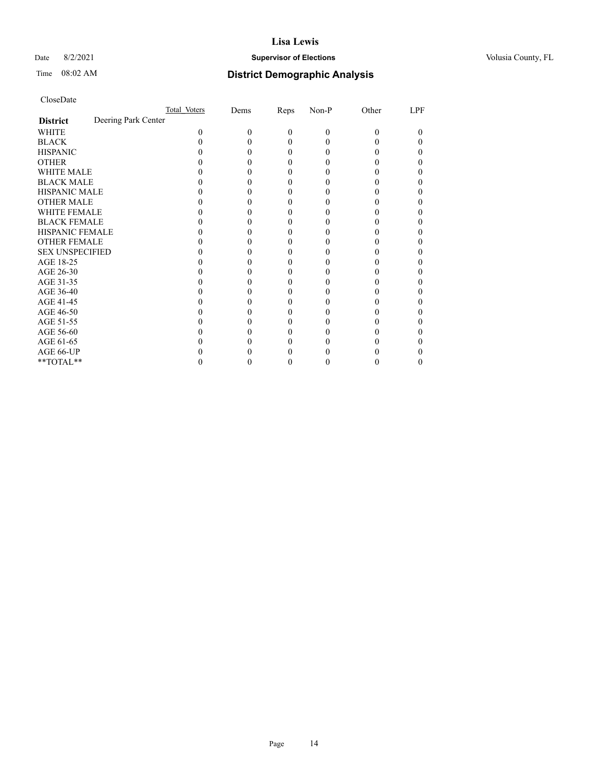## Date 8/2/2021 **Supervisor of Elections Supervisor of Elections** Volusia County, FL

# Time 08:02 AM **District Demographic Analysis**

|                        |                     | Total Voters | Dems | Reps     | Non-P    | Other | LPF |
|------------------------|---------------------|--------------|------|----------|----------|-------|-----|
| <b>District</b>        | Deering Park Center |              |      |          |          |       |     |
| WHITE                  |                     | 0            | 0    | $\theta$ | $\Omega$ | 0     | 0   |
| <b>BLACK</b>           |                     |              |      | 0        |          |       |     |
| <b>HISPANIC</b>        |                     |              |      | $\theta$ |          |       |     |
| <b>OTHER</b>           |                     |              |      |          |          |       |     |
| <b>WHITE MALE</b>      |                     |              |      |          |          |       |     |
| <b>BLACK MALE</b>      |                     |              |      |          |          |       |     |
| <b>HISPANIC MALE</b>   |                     |              |      |          |          |       |     |
| <b>OTHER MALE</b>      |                     |              |      |          |          |       | 0   |
| <b>WHITE FEMALE</b>    |                     |              |      |          |          |       |     |
| <b>BLACK FEMALE</b>    |                     |              |      | 0        |          |       |     |
| HISPANIC FEMALE        |                     |              |      |          |          |       |     |
| <b>OTHER FEMALE</b>    |                     |              |      |          |          |       |     |
| <b>SEX UNSPECIFIED</b> |                     |              |      |          |          |       |     |
| AGE 18-25              |                     |              |      |          |          |       |     |
| AGE 26-30              |                     |              |      |          |          |       |     |
| AGE 31-35              |                     |              |      |          |          |       |     |
| AGE 36-40              |                     |              |      |          |          |       |     |
| AGE 41-45              |                     |              |      |          |          |       |     |
| AGE 46-50              |                     |              |      |          |          |       |     |
| AGE 51-55              |                     |              |      |          |          |       |     |
| AGE 56-60              |                     |              |      |          |          |       |     |
| AGE 61-65              |                     |              |      |          |          |       |     |
| AGE 66-UP              |                     |              |      |          |          |       |     |
| **TOTAL**              |                     |              |      |          |          |       | 0   |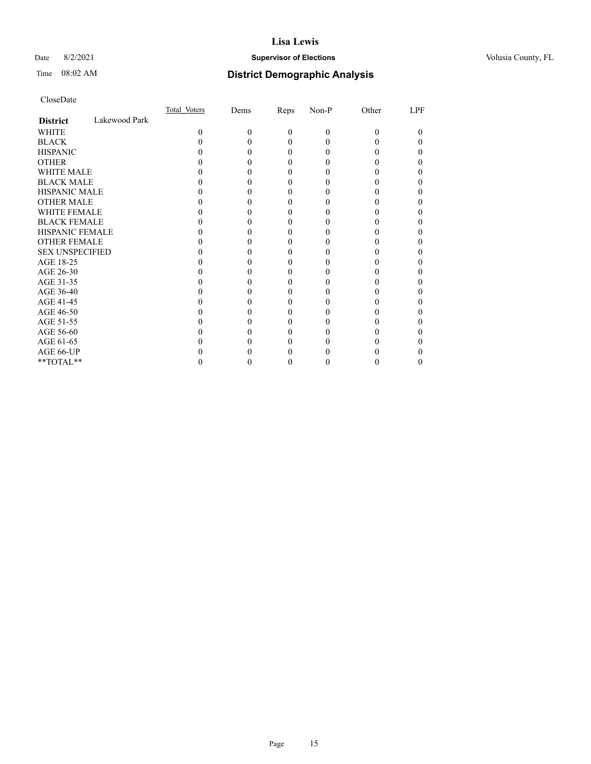## Date 8/2/2021 **Supervisor of Elections Supervisor of Elections** Volusia County, FL

# Time 08:02 AM **District Demographic Analysis**

|                        |               | Total Voters | Dems | Reps     | Non-P | Other | LPF |
|------------------------|---------------|--------------|------|----------|-------|-------|-----|
| <b>District</b>        | Lakewood Park |              |      |          |       |       |     |
| WHITE                  |               | 0            | 0    | $\Omega$ | 0     | 0     | 0   |
| <b>BLACK</b>           |               |              |      | 0        |       |       |     |
| <b>HISPANIC</b>        |               |              |      | $_{0}$   |       |       |     |
| <b>OTHER</b>           |               |              |      |          |       |       |     |
| WHITE MALE             |               |              |      | 0        |       |       | 0   |
| <b>BLACK MALE</b>      |               |              |      |          |       |       |     |
| <b>HISPANIC MALE</b>   |               |              |      |          |       |       |     |
| <b>OTHER MALE</b>      |               |              |      |          |       |       | 0   |
| <b>WHITE FEMALE</b>    |               |              |      |          |       |       |     |
| <b>BLACK FEMALE</b>    |               |              |      |          |       |       | 0   |
| <b>HISPANIC FEMALE</b> |               |              |      |          |       |       |     |
| <b>OTHER FEMALE</b>    |               |              |      | 0        |       |       |     |
| <b>SEX UNSPECIFIED</b> |               |              |      |          |       |       |     |
| AGE 18-25              |               |              |      |          |       |       |     |
| AGE 26-30              |               |              |      |          |       |       |     |
| AGE 31-35              |               |              |      |          |       |       |     |
| AGE 36-40              |               |              |      |          |       |       | 0   |
| AGE 41-45              |               |              |      |          |       |       |     |
| AGE 46-50              |               |              |      | $_{0}$   |       |       | 0   |
| AGE 51-55              |               |              |      |          |       |       |     |
| AGE 56-60              |               |              |      |          |       |       |     |
| AGE 61-65              |               |              |      |          |       |       |     |
| AGE 66-UP              |               |              |      |          |       |       |     |
| **TOTAL**              |               |              |      |          |       |       | 0   |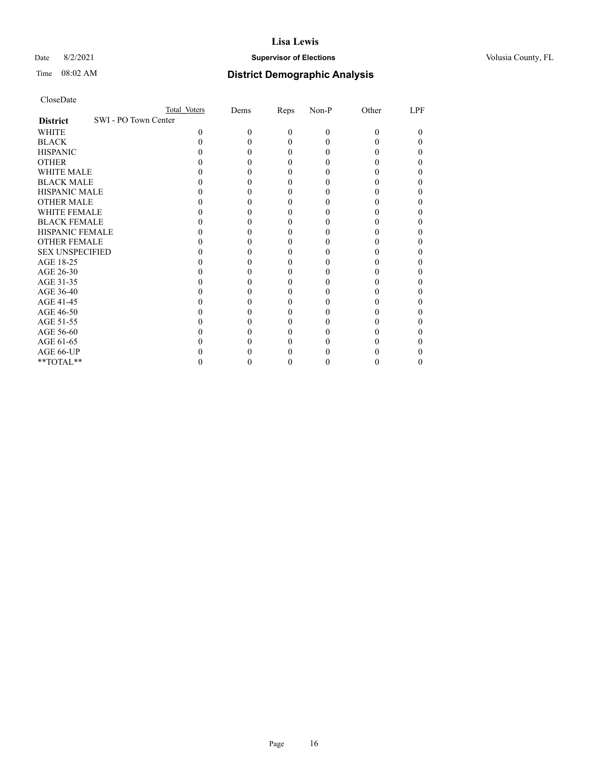## Date 8/2/2021 **Supervisor of Elections Supervisor of Elections** Volusia County, FL

|                                         | Total Voters | Dems | Reps     | Non-P    | Other | LPF |
|-----------------------------------------|--------------|------|----------|----------|-------|-----|
| SWI - PO Town Center<br><b>District</b> |              |      |          |          |       |     |
| WHITE                                   | 0            | 0    | $\Omega$ | $\Omega$ | 0     | 0   |
| <b>BLACK</b>                            |              |      |          | 0        |       |     |
| <b>HISPANIC</b>                         |              |      |          | 0        |       |     |
| <b>OTHER</b>                            |              |      |          |          |       |     |
| <b>WHITE MALE</b>                       |              |      |          |          |       |     |
| <b>BLACK MALE</b>                       |              |      |          |          |       |     |
| <b>HISPANIC MALE</b>                    |              |      |          |          |       |     |
| <b>OTHER MALE</b>                       |              |      |          |          |       |     |
| WHITE FEMALE                            |              |      |          |          |       |     |
| <b>BLACK FEMALE</b>                     |              |      |          |          |       |     |
| <b>HISPANIC FEMALE</b>                  |              |      |          |          |       |     |
| <b>OTHER FEMALE</b>                     |              |      |          |          |       |     |
| <b>SEX UNSPECIFIED</b>                  |              |      |          |          |       |     |
| AGE 18-25                               |              |      |          |          |       |     |
| AGE 26-30                               |              |      |          |          |       |     |
| AGE 31-35                               |              |      |          |          |       |     |
| AGE 36-40                               |              |      |          |          |       |     |
| AGE 41-45                               |              |      |          |          |       |     |
| AGE 46-50                               |              |      |          |          |       |     |
| AGE 51-55                               |              |      |          |          |       |     |
| AGE 56-60                               |              |      |          |          |       |     |
| AGE 61-65                               |              |      |          |          |       |     |
| AGE 66-UP                               |              |      |          |          |       |     |
| **TOTAL**                               |              |      |          |          |       |     |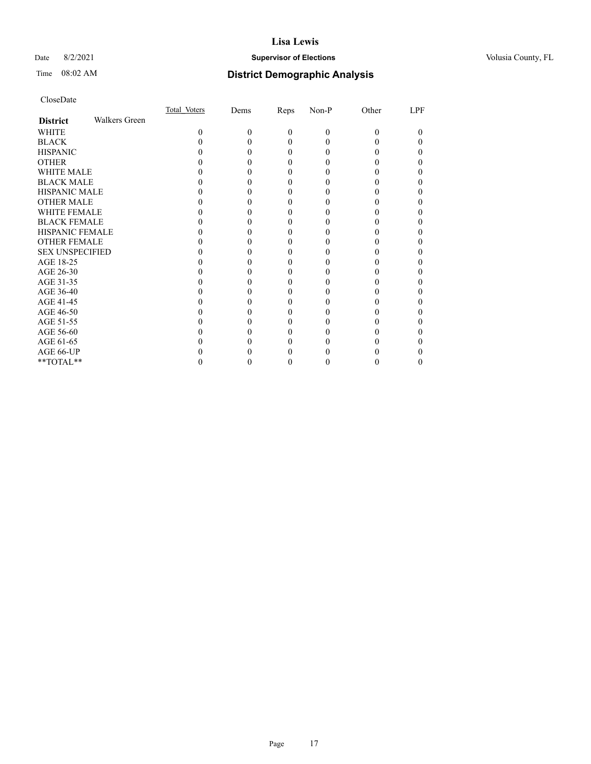## Date 8/2/2021 **Supervisor of Elections Supervisor of Elections** Volusia County, FL

# Time 08:02 AM **District Demographic Analysis**

|                        |                      | Total Voters | Dems | Reps     | Non-P    | Other | LPF |
|------------------------|----------------------|--------------|------|----------|----------|-------|-----|
| <b>District</b>        | <b>Walkers Green</b> |              |      |          |          |       |     |
| WHITE                  |                      | 0            | 0    | $\theta$ | $\theta$ | 0     | 0   |
| <b>BLACK</b>           |                      |              |      | 0        |          |       |     |
| <b>HISPANIC</b>        |                      |              |      | $_{0}$   |          |       |     |
| <b>OTHER</b>           |                      |              |      |          |          |       |     |
| WHITE MALE             |                      |              |      | 0        |          |       |     |
| <b>BLACK MALE</b>      |                      |              |      |          |          |       |     |
| <b>HISPANIC MALE</b>   |                      |              |      |          |          |       |     |
| <b>OTHER MALE</b>      |                      |              |      |          |          |       | 0   |
| WHITE FEMALE           |                      |              |      |          |          |       |     |
| <b>BLACK FEMALE</b>    |                      |              |      | 0        |          |       |     |
| <b>HISPANIC FEMALE</b> |                      |              |      |          |          |       |     |
| <b>OTHER FEMALE</b>    |                      |              |      | 0        |          |       | 0   |
| <b>SEX UNSPECIFIED</b> |                      |              |      |          |          |       |     |
| AGE 18-25              |                      |              |      |          |          |       |     |
| AGE 26-30              |                      |              |      |          |          |       | 0   |
| AGE 31-35              |                      |              |      |          |          |       |     |
| AGE 36-40              |                      |              |      | 0        |          |       | 0   |
| AGE 41-45              |                      |              |      |          |          |       |     |
| AGE 46-50              |                      |              |      | 0        |          |       |     |
| AGE 51-55              |                      |              |      |          |          |       |     |
| AGE 56-60              |                      |              |      |          |          |       |     |
| AGE 61-65              |                      |              |      |          |          |       |     |
| AGE 66-UP              |                      |              |      |          |          |       |     |
| **TOTAL**              |                      |              |      | 0        |          |       | 0   |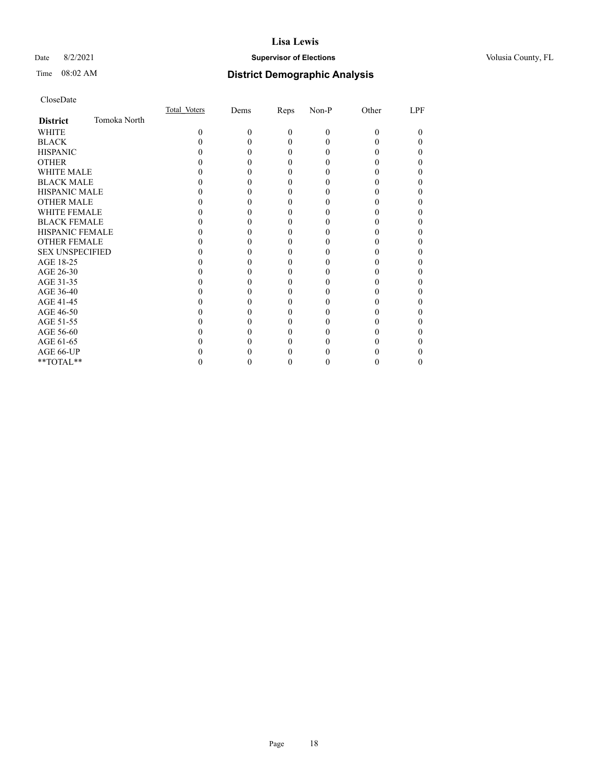## Date 8/2/2021 **Supervisor of Elections Supervisor of Elections** Volusia County, FL

# Time 08:02 AM **District Demographic Analysis**

|                        |              | Total Voters | Dems | Reps     | Non-P | Other    | LPF |
|------------------------|--------------|--------------|------|----------|-------|----------|-----|
| <b>District</b>        | Tomoka North |              |      |          |       |          |     |
| WHITE                  |              | $\Omega$     | 0    | $\theta$ | 0     | $\Omega$ | 0   |
| <b>BLACK</b>           |              |              |      | 0        |       |          |     |
| <b>HISPANIC</b>        |              |              |      | $_{0}$   |       |          | 0   |
| <b>OTHER</b>           |              |              |      |          |       |          |     |
| WHITE MALE             |              |              |      |          |       |          |     |
| <b>BLACK MALE</b>      |              |              |      |          |       |          |     |
| <b>HISPANIC MALE</b>   |              |              |      |          |       |          |     |
| <b>OTHER MALE</b>      |              |              |      |          |       |          | 0   |
| <b>WHITE FEMALE</b>    |              |              |      |          |       |          |     |
| <b>BLACK FEMALE</b>    |              |              |      | 0        |       |          |     |
| <b>HISPANIC FEMALE</b> |              |              |      |          |       |          |     |
| <b>OTHER FEMALE</b>    |              |              |      | 0        |       |          | 0   |
| <b>SEX UNSPECIFIED</b> |              |              |      |          |       |          |     |
| AGE 18-25              |              |              |      |          |       |          |     |
| AGE 26-30              |              |              |      |          |       |          |     |
| AGE 31-35              |              |              |      |          |       |          |     |
| AGE 36-40              |              |              |      |          |       |          | 0   |
| AGE 41-45              |              |              |      |          |       |          |     |
| AGE 46-50              |              |              |      | 0        |       |          | 0   |
| AGE 51-55              |              |              |      |          |       |          |     |
| AGE 56-60              |              |              |      |          |       |          |     |
| AGE 61-65              |              |              |      |          |       |          |     |
| AGE 66-UP              |              |              |      |          |       |          |     |
| **TOTAL**              |              |              |      |          |       |          | 0   |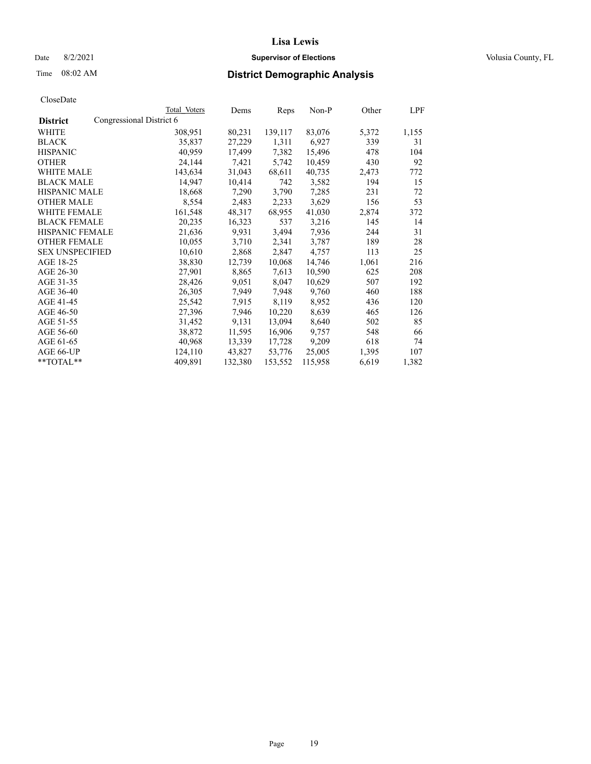## Date 8/2/2021 **Supervisor of Elections Supervisor of Elections** Volusia County, FL

| CloseDate |
|-----------|
|-----------|

|                        | Total Voters             | Dems    | Reps    | Non-P   | Other | LPF   |
|------------------------|--------------------------|---------|---------|---------|-------|-------|
| <b>District</b>        | Congressional District 6 |         |         |         |       |       |
| WHITE                  | 308,951                  | 80,231  | 139,117 | 83,076  | 5,372 | 1,155 |
| <b>BLACK</b>           | 35,837                   | 27,229  | 1,311   | 6,927   | 339   | 31    |
| <b>HISPANIC</b>        | 40,959                   | 17,499  | 7,382   | 15,496  | 478   | 104   |
| <b>OTHER</b>           | 24,144                   | 7,421   | 5,742   | 10,459  | 430   | 92    |
| <b>WHITE MALE</b>      | 143,634                  | 31,043  | 68,611  | 40,735  | 2,473 | 772   |
| <b>BLACK MALE</b>      | 14,947                   | 10,414  | 742     | 3,582   | 194   | 15    |
| <b>HISPANIC MALE</b>   | 18,668                   | 7,290   | 3,790   | 7,285   | 231   | 72    |
| <b>OTHER MALE</b>      | 8,554                    | 2,483   | 2,233   | 3,629   | 156   | 53    |
| <b>WHITE FEMALE</b>    | 161,548                  | 48,317  | 68,955  | 41,030  | 2,874 | 372   |
| <b>BLACK FEMALE</b>    | 20,235                   | 16,323  | 537     | 3,216   | 145   | 14    |
| HISPANIC FEMALE        | 21,636                   | 9,931   | 3,494   | 7,936   | 244   | 31    |
| <b>OTHER FEMALE</b>    | 10,055                   | 3,710   | 2,341   | 3,787   | 189   | 28    |
| <b>SEX UNSPECIFIED</b> | 10,610                   | 2,868   | 2,847   | 4,757   | 113   | 25    |
| AGE 18-25              | 38,830                   | 12,739  | 10,068  | 14,746  | 1,061 | 216   |
| AGE 26-30              | 27,901                   | 8,865   | 7,613   | 10,590  | 625   | 208   |
| AGE 31-35              | 28,426                   | 9,051   | 8,047   | 10,629  | 507   | 192   |
| AGE 36-40              | 26,305                   | 7,949   | 7,948   | 9,760   | 460   | 188   |
| AGE 41-45              | 25,542                   | 7,915   | 8,119   | 8,952   | 436   | 120   |
| AGE 46-50              | 27,396                   | 7,946   | 10,220  | 8,639   | 465   | 126   |
| AGE 51-55              | 31,452                   | 9,131   | 13,094  | 8,640   | 502   | 85    |
| AGE 56-60              | 38,872                   | 11,595  | 16,906  | 9,757   | 548   | 66    |
| AGE 61-65              | 40,968                   | 13,339  | 17,728  | 9,209   | 618   | 74    |
| AGE 66-UP              | 124,110                  | 43,827  | 53,776  | 25,005  | 1,395 | 107   |
| $*$ TOTAL $*$          | 409,891                  | 132,380 | 153,552 | 115,958 | 6,619 | 1,382 |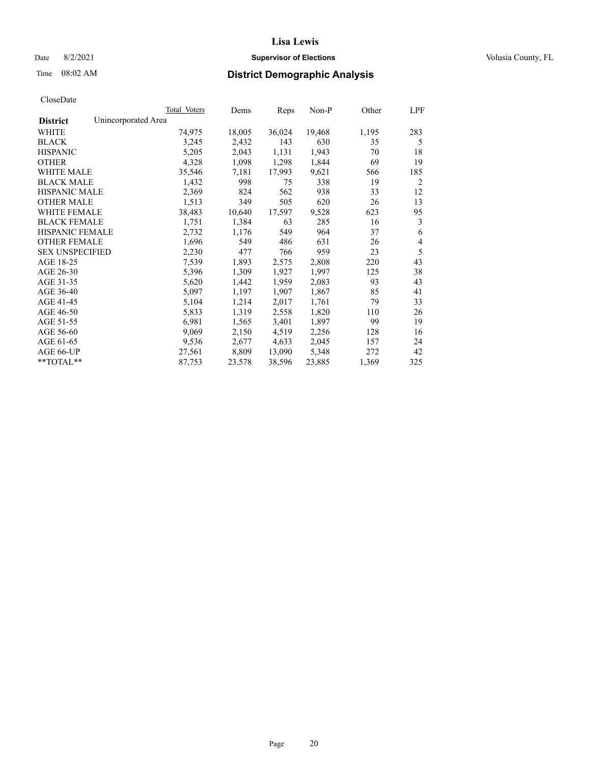## Date 8/2/2021 **Supervisor of Elections Supervisor of Elections** Volusia County, FL

## Time 08:02 AM **District Demographic Analysis**

|                        | Total Voters        | Dems   | Reps   | Non-P  | Other | LPF |
|------------------------|---------------------|--------|--------|--------|-------|-----|
| <b>District</b>        | Unincorporated Area |        |        |        |       |     |
| WHITE                  | 74,975              | 18,005 | 36,024 | 19,468 | 1,195 | 283 |
| <b>BLACK</b>           | 3,245               | 2,432  | 143    | 630    | 35    | 5   |
| <b>HISPANIC</b>        | 5,205               | 2,043  | 1,131  | 1,943  | 70    | 18  |
| <b>OTHER</b>           | 4,328               | 1,098  | 1,298  | 1,844  | 69    | 19  |
| WHITE MALE             | 35,546              | 7,181  | 17,993 | 9,621  | 566   | 185 |
| <b>BLACK MALE</b>      | 1,432               | 998    | 75     | 338    | 19    | 2   |
| <b>HISPANIC MALE</b>   | 2,369               | 824    | 562    | 938    | 33    | 12  |
| <b>OTHER MALE</b>      | 1,513               | 349    | 505    | 620    | 26    | 13  |
| WHITE FEMALE           | 38,483              | 10,640 | 17,597 | 9,528  | 623   | 95  |
| <b>BLACK FEMALE</b>    | 1,751               | 1,384  | 63     | 285    | 16    | 3   |
| <b>HISPANIC FEMALE</b> | 2,732               | 1,176  | 549    | 964    | 37    | 6   |
| <b>OTHER FEMALE</b>    | 1,696               | 549    | 486    | 631    | 26    | 4   |
| <b>SEX UNSPECIFIED</b> | 2,230               | 477    | 766    | 959    | 23    | 5   |
| AGE 18-25              | 7,539               | 1,893  | 2,575  | 2,808  | 220   | 43  |
| AGE 26-30              | 5,396               | 1,309  | 1,927  | 1,997  | 125   | 38  |
| AGE 31-35              | 5,620               | 1,442  | 1,959  | 2,083  | 93    | 43  |
| AGE 36-40              | 5,097               | 1,197  | 1,907  | 1,867  | 85    | 41  |
| AGE 41-45              | 5,104               | 1,214  | 2,017  | 1,761  | 79    | 33  |
| AGE 46-50              | 5,833               | 1,319  | 2,558  | 1,820  | 110   | 26  |
| AGE 51-55              | 6,981               | 1,565  | 3,401  | 1,897  | 99    | 19  |
| AGE 56-60              | 9,069               | 2,150  | 4,519  | 2,256  | 128   | 16  |
| AGE 61-65              | 9,536               | 2,677  | 4,633  | 2,045  | 157   | 24  |
| AGE 66-UP              | 27,561              | 8,809  | 13,090 | 5,348  | 272   | 42  |
| $*$ $TOTAL**$          | 87,753              | 23,578 | 38,596 | 23,885 | 1,369 | 325 |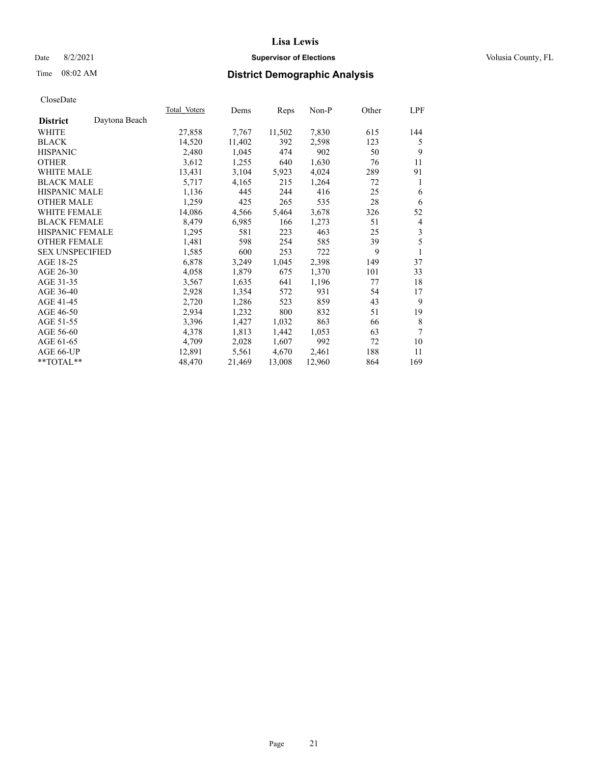## Date 8/2/2021 **Supervisor of Elections Supervisor of Elections** Volusia County, FL

# Time 08:02 AM **District Demographic Analysis**

|                                  | Total Voters | Dems   | Reps   | Non-P  | Other | LPF |
|----------------------------------|--------------|--------|--------|--------|-------|-----|
| Daytona Beach<br><b>District</b> |              |        |        |        |       |     |
| WHITE                            | 27,858       | 7,767  | 11,502 | 7,830  | 615   | 144 |
| <b>BLACK</b>                     | 14,520       | 11,402 | 392    | 2,598  | 123   | 5   |
| <b>HISPANIC</b>                  | 2,480        | 1,045  | 474    | 902    | 50    | 9   |
| <b>OTHER</b>                     | 3,612        | 1,255  | 640    | 1,630  | 76    | 11  |
| WHITE MALE                       | 13,431       | 3,104  | 5,923  | 4,024  | 289   | 91  |
| <b>BLACK MALE</b>                | 5,717        | 4,165  | 215    | 1,264  | 72    | 1   |
| <b>HISPANIC MALE</b>             | 1,136        | 445    | 244    | 416    | 25    | 6   |
| <b>OTHER MALE</b>                | 1,259        | 425    | 265    | 535    | 28    | 6   |
| WHITE FEMALE                     | 14,086       | 4,566  | 5,464  | 3,678  | 326   | 52  |
| <b>BLACK FEMALE</b>              | 8,479        | 6,985  | 166    | 1,273  | 51    | 4   |
| <b>HISPANIC FEMALE</b>           | 1,295        | 581    | 223    | 463    | 25    | 3   |
| <b>OTHER FEMALE</b>              | 1,481        | 598    | 254    | 585    | 39    | 5   |
| <b>SEX UNSPECIFIED</b>           | 1,585        | 600    | 253    | 722    | 9     | 1   |
| AGE 18-25                        | 6,878        | 3,249  | 1,045  | 2,398  | 149   | 37  |
| AGE 26-30                        | 4,058        | 1,879  | 675    | 1,370  | 101   | 33  |
| AGE 31-35                        | 3,567        | 1,635  | 641    | 1,196  | 77    | 18  |
| AGE 36-40                        | 2,928        | 1,354  | 572    | 931    | 54    | 17  |
| AGE 41-45                        | 2,720        | 1,286  | 523    | 859    | 43    | 9   |
| AGE 46-50                        | 2,934        | 1,232  | 800    | 832    | 51    | 19  |
| AGE 51-55                        | 3,396        | 1,427  | 1,032  | 863    | 66    | 8   |
| AGE 56-60                        | 4,378        | 1,813  | 1,442  | 1,053  | 63    | 7   |
| AGE 61-65                        | 4,709        | 2,028  | 1,607  | 992    | 72    | 10  |
| AGE 66-UP                        | 12,891       | 5,561  | 4,670  | 2,461  | 188   | 11  |
| **TOTAL**                        | 48,470       | 21,469 | 13,008 | 12,960 | 864   | 169 |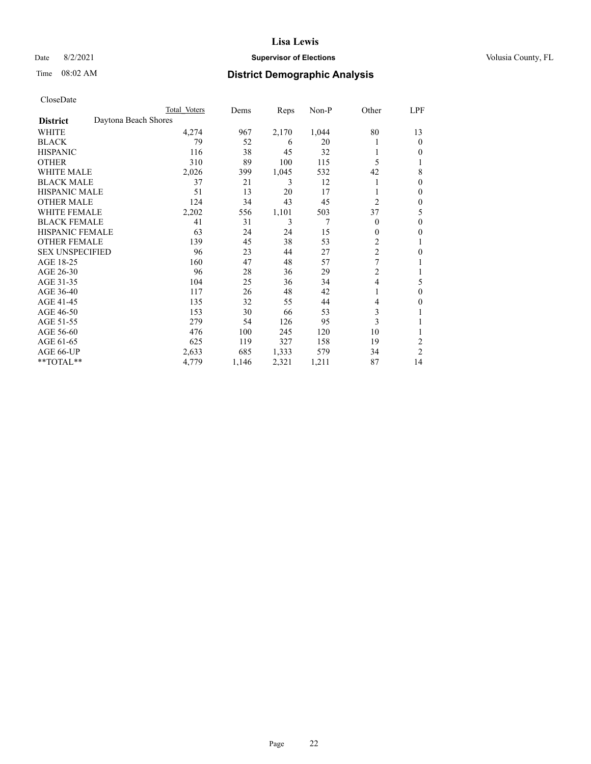## Date 8/2/2021 **Supervisor of Elections Supervisor of Elections** Volusia County, FL

| CloseDate |
|-----------|
|-----------|

| Total Voters | Dems                 | Reps  | $Non-P$ | Other          | LPF            |
|--------------|----------------------|-------|---------|----------------|----------------|
|              |                      |       |         |                |                |
| 4,274        | 967                  | 2,170 | 1,044   | 80             | 13             |
| 79           | 52                   | 6     | 20      |                | $\theta$       |
| 116          | 38                   | 45    | 32      |                | 0              |
| 310          | 89                   | 100   | 115     | 5              | 1              |
| 2,026        | 399                  | 1,045 | 532     | 42             | 8              |
| 37           | 21                   | 3     | 12      |                | 0              |
| 51           | 13                   | 20    | 17      |                | $\theta$       |
| 124          | 34                   | 43    | 45      | $\overline{c}$ | $\mathbf{0}$   |
| 2,202        | 556                  | 1,101 | 503     | 37             | 5              |
| 41           | 31                   | 3     | 7       | $\theta$       | $\theta$       |
| 63           | 24                   | 24    | 15      | $\mathbf{0}$   | $\mathbf{0}$   |
| 139          | 45                   | 38    | 53      | 2              | 1              |
| 96           | 23                   | 44    | 27      |                | 0              |
| 160          | 47                   | 48    | 57      | $\overline{7}$ |                |
| 96           | 28                   | 36    | 29      | $\overline{c}$ | 1              |
| 104          | 25                   | 36    | 34      | $\overline{4}$ | 5              |
| 117          | 26                   | 48    | 42      |                | $\theta$       |
| 135          | 32                   | 55    | 44      | 4              | 0              |
| 153          | 30                   | 66    | 53      | 3              |                |
| 279          | 54                   | 126   | 95      | 3              | 1              |
| 476          | 100                  | 245   | 120     | 10             | 1              |
| 625          | 119                  | 327   | 158     | 19             | 2              |
| 2,633        | 685                  | 1,333 | 579     | 34             | $\overline{2}$ |
| 4,779        | 1,146                | 2,321 | 1,211   | 87             | 14             |
|              | Daytona Beach Shores |       |         |                | $\overline{c}$ |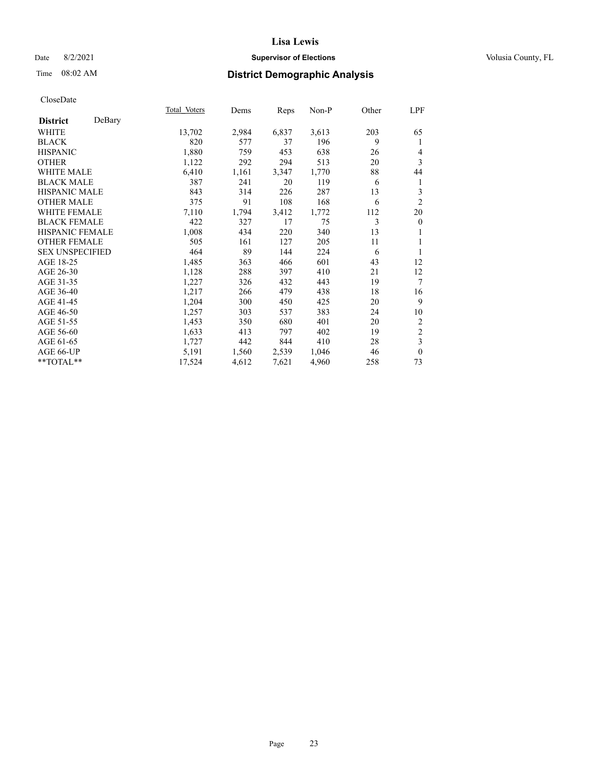## Date 8/2/2021 **Supervisor of Elections Supervisor of Elections** Volusia County, FL

# Time 08:02 AM **District Demographic Analysis**

|                        |        | Total Voters | Dems  | Reps  | Non-P | Other | LPF              |
|------------------------|--------|--------------|-------|-------|-------|-------|------------------|
| <b>District</b>        | DeBary |              |       |       |       |       |                  |
| WHITE                  |        | 13,702       | 2,984 | 6,837 | 3,613 | 203   | 65               |
| <b>BLACK</b>           |        | 820          | 577   | 37    | 196   | 9     | 1                |
| <b>HISPANIC</b>        |        | 1,880        | 759   | 453   | 638   | 26    | 4                |
| <b>OTHER</b>           |        | 1,122        | 292   | 294   | 513   | 20    | 3                |
| WHITE MALE             |        | 6,410        | 1,161 | 3,347 | 1,770 | 88    | 44               |
| <b>BLACK MALE</b>      |        | 387          | 241   | 20    | 119   | 6     | 1                |
| <b>HISPANIC MALE</b>   |        | 843          | 314   | 226   | 287   | 13    | 3                |
| <b>OTHER MALE</b>      |        | 375          | 91    | 108   | 168   | 6     | $\overline{2}$   |
| <b>WHITE FEMALE</b>    |        | 7,110        | 1,794 | 3,412 | 1,772 | 112   | 20               |
| <b>BLACK FEMALE</b>    |        | 422          | 327   | 17    | 75    | 3     | $\boldsymbol{0}$ |
| <b>HISPANIC FEMALE</b> |        | 1,008        | 434   | 220   | 340   | 13    |                  |
| <b>OTHER FEMALE</b>    |        | 505          | 161   | 127   | 205   | 11    | 1                |
| <b>SEX UNSPECIFIED</b> |        | 464          | 89    | 144   | 224   | 6     | 1                |
| AGE 18-25              |        | 1,485        | 363   | 466   | 601   | 43    | 12               |
| AGE 26-30              |        | 1,128        | 288   | 397   | 410   | 21    | 12               |
| AGE 31-35              |        | 1,227        | 326   | 432   | 443   | 19    | $\overline{7}$   |
| AGE 36-40              |        | 1,217        | 266   | 479   | 438   | 18    | 16               |
| AGE 41-45              |        | 1,204        | 300   | 450   | 425   | 20    | 9                |
| AGE 46-50              |        | 1,257        | 303   | 537   | 383   | 24    | 10               |
| AGE 51-55              |        | 1,453        | 350   | 680   | 401   | 20    | 2                |
| AGE 56-60              |        | 1,633        | 413   | 797   | 402   | 19    | $\sqrt{2}$       |
| AGE 61-65              |        | 1,727        | 442   | 844   | 410   | 28    | 3                |
| AGE 66-UP              |        | 5,191        | 1,560 | 2,539 | 1,046 | 46    | $\mathbf{0}$     |
| **TOTAL**              |        | 17,524       | 4,612 | 7,621 | 4,960 | 258   | 73               |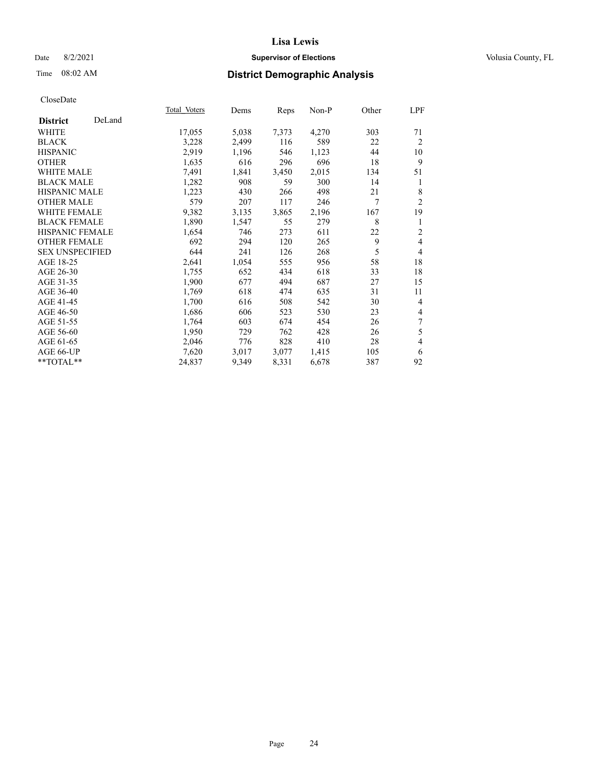## Date 8/2/2021 **Supervisor of Elections Supervisor of Elections** Volusia County, FL

# Time 08:02 AM **District Demographic Analysis**

|                           | Total Voters | Dems  | Reps  | Non-P | Other | LPF            |
|---------------------------|--------------|-------|-------|-------|-------|----------------|
| DeLand<br><b>District</b> |              |       |       |       |       |                |
| WHITE                     | 17,055       | 5,038 | 7,373 | 4,270 | 303   | 71             |
| <b>BLACK</b>              | 3,228        | 2,499 | 116   | 589   | 22    | $\overline{2}$ |
| <b>HISPANIC</b>           | 2,919        | 1,196 | 546   | 1,123 | 44    | 10             |
| <b>OTHER</b>              | 1,635        | 616   | 296   | 696   | 18    | 9              |
| WHITE MALE                | 7,491        | 1,841 | 3,450 | 2,015 | 134   | 51             |
| <b>BLACK MALE</b>         | 1,282        | 908   | 59    | 300   | 14    | 1              |
| <b>HISPANIC MALE</b>      | 1,223        | 430   | 266   | 498   | 21    | 8              |
| <b>OTHER MALE</b>         | 579          | 207   | 117   | 246   | 7     | $\overline{2}$ |
| WHITE FEMALE              | 9,382        | 3,135 | 3,865 | 2,196 | 167   | 19             |
| <b>BLACK FEMALE</b>       | 1,890        | 1,547 | 55    | 279   | 8     | 1              |
| <b>HISPANIC FEMALE</b>    | 1,654        | 746   | 273   | 611   | 22    | $\overline{2}$ |
| <b>OTHER FEMALE</b>       | 692          | 294   | 120   | 265   | 9     | 4              |
| <b>SEX UNSPECIFIED</b>    | 644          | 241   | 126   | 268   | 5     | $\overline{4}$ |
| AGE 18-25                 | 2,641        | 1,054 | 555   | 956   | 58    | 18             |
| AGE 26-30                 | 1,755        | 652   | 434   | 618   | 33    | 18             |
| AGE 31-35                 | 1,900        | 677   | 494   | 687   | 27    | 15             |
| AGE 36-40                 | 1,769        | 618   | 474   | 635   | 31    | 11             |
| AGE 41-45                 | 1,700        | 616   | 508   | 542   | 30    | 4              |
| AGE 46-50                 | 1,686        | 606   | 523   | 530   | 23    | 4              |
| AGE 51-55                 | 1,764        | 603   | 674   | 454   | 26    | 7              |
| AGE 56-60                 | 1,950        | 729   | 762   | 428   | 26    | 5              |
| AGE 61-65                 | 2,046        | 776   | 828   | 410   | 28    | 4              |
| AGE 66-UP                 | 7,620        | 3,017 | 3,077 | 1,415 | 105   | 6              |
| $*$ TOTAL $*$             | 24,837       | 9,349 | 8,331 | 6,678 | 387   | 92             |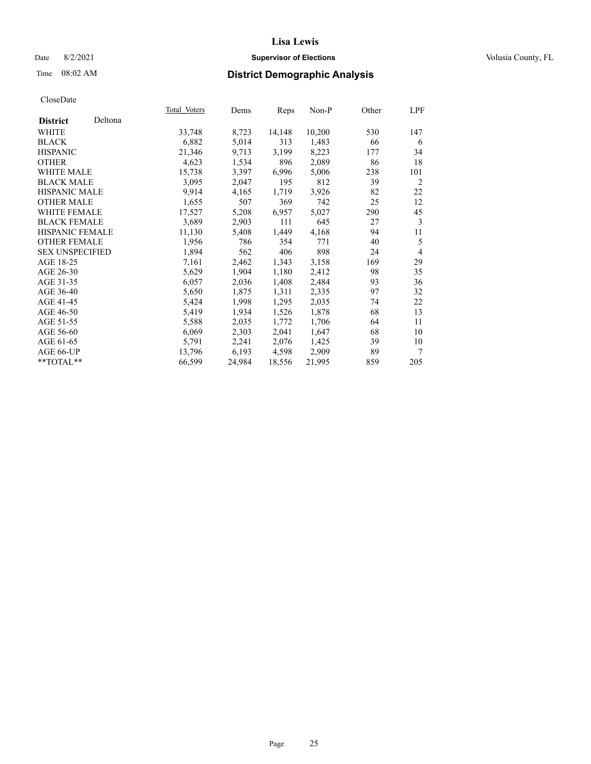## Date 8/2/2021 **Supervisor of Elections Supervisor of Elections** Volusia County, FL

# Time 08:02 AM **District Demographic Analysis**

|                        |         | Total Voters | Dems   | <b>Reps</b> | $Non-P$ | Other | LPF            |
|------------------------|---------|--------------|--------|-------------|---------|-------|----------------|
| <b>District</b>        | Deltona |              |        |             |         |       |                |
| WHITE                  |         | 33,748       | 8,723  | 14,148      | 10,200  | 530   | 147            |
| <b>BLACK</b>           |         | 6,882        | 5,014  | 313         | 1,483   | 66    | 6              |
| <b>HISPANIC</b>        |         | 21,346       | 9,713  | 3,199       | 8,223   | 177   | 34             |
| <b>OTHER</b>           |         | 4,623        | 1,534  | 896         | 2,089   | 86    | 18             |
| WHITE MALE             |         | 15,738       | 3,397  | 6,996       | 5,006   | 238   | 101            |
| <b>BLACK MALE</b>      |         | 3,095        | 2,047  | 195         | 812     | 39    | 2              |
| <b>HISPANIC MALE</b>   |         | 9,914        | 4,165  | 1,719       | 3,926   | 82    | 22             |
| <b>OTHER MALE</b>      |         | 1,655        | 507    | 369         | 742     | 25    | 12             |
| WHITE FEMALE           |         | 17,527       | 5,208  | 6,957       | 5,027   | 290   | 45             |
| <b>BLACK FEMALE</b>    |         | 3,689        | 2,903  | 111         | 645     | 27    | 3              |
| HISPANIC FEMALE        |         | 11,130       | 5,408  | 1,449       | 4,168   | 94    | 11             |
| <b>OTHER FEMALE</b>    |         | 1,956        | 786    | 354         | 771     | 40    | 5              |
| <b>SEX UNSPECIFIED</b> |         | 1,894        | 562    | 406         | 898     | 24    | $\overline{4}$ |
| AGE 18-25              |         | 7,161        | 2,462  | 1,343       | 3,158   | 169   | 29             |
| AGE 26-30              |         | 5,629        | 1,904  | 1,180       | 2,412   | 98    | 35             |
| AGE 31-35              |         | 6,057        | 2,036  | 1,408       | 2,484   | 93    | 36             |
| AGE 36-40              |         | 5,650        | 1,875  | 1,311       | 2,335   | 97    | 32             |
| AGE 41-45              |         | 5,424        | 1,998  | 1,295       | 2,035   | 74    | 22             |
| AGE 46-50              |         | 5,419        | 1,934  | 1,526       | 1,878   | 68    | 13             |
| AGE 51-55              |         | 5,588        | 2,035  | 1,772       | 1,706   | 64    | 11             |
| AGE 56-60              |         | 6,069        | 2,303  | 2,041       | 1,647   | 68    | 10             |
| AGE 61-65              |         | 5,791        | 2,241  | 2,076       | 1,425   | 39    | 10             |
| AGE 66-UP              |         | 13,796       | 6,193  | 4,598       | 2,909   | 89    | 7              |
| $*$ TOTAL $*$          |         | 66,599       | 24,984 | 18,556      | 21,995  | 859   | 205            |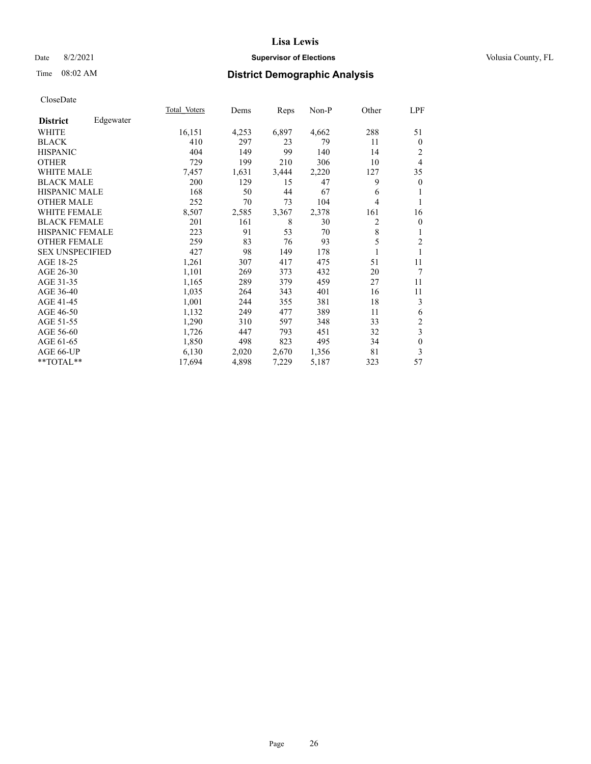## Date 8/2/2021 **Supervisor of Elections Supervisor of Elections** Volusia County, FL

# Time 08:02 AM **District Demographic Analysis**

|                        |           | Total Voters | Dems  | Reps  | Non-P | Other | LPF                     |
|------------------------|-----------|--------------|-------|-------|-------|-------|-------------------------|
| <b>District</b>        | Edgewater |              |       |       |       |       |                         |
| WHITE                  |           | 16,151       | 4,253 | 6,897 | 4,662 | 288   | 51                      |
| <b>BLACK</b>           |           | 410          | 297   | 23    | 79    | 11    | $\mathbf{0}$            |
| <b>HISPANIC</b>        |           | 404          | 149   | 99    | 140   | 14    | 2                       |
| <b>OTHER</b>           |           | 729          | 199   | 210   | 306   | 10    | 4                       |
| <b>WHITE MALE</b>      |           | 7,457        | 1,631 | 3,444 | 2,220 | 127   | 35                      |
| <b>BLACK MALE</b>      |           | 200          | 129   | 15    | 47    | 9     | $\boldsymbol{0}$        |
| <b>HISPANIC MALE</b>   |           | 168          | 50    | 44    | 67    | 6     | 1                       |
| <b>OTHER MALE</b>      |           | 252          | 70    | 73    | 104   | 4     | 1                       |
| <b>WHITE FEMALE</b>    |           | 8,507        | 2,585 | 3,367 | 2,378 | 161   | 16                      |
| <b>BLACK FEMALE</b>    |           | 201          | 161   | 8     | 30    | 2     | $\mathbf{0}$            |
| <b>HISPANIC FEMALE</b> |           | 223          | 91    | 53    | 70    | 8     | 1                       |
| <b>OTHER FEMALE</b>    |           | 259          | 83    | 76    | 93    | 5     | $\sqrt{2}$              |
| <b>SEX UNSPECIFIED</b> |           | 427          | 98    | 149   | 178   | 1     | 1                       |
| AGE 18-25              |           | 1,261        | 307   | 417   | 475   | 51    | 11                      |
| AGE 26-30              |           | 1,101        | 269   | 373   | 432   | 20    | $\tau$                  |
| AGE 31-35              |           | 1,165        | 289   | 379   | 459   | 27    | 11                      |
| AGE 36-40              |           | 1,035        | 264   | 343   | 401   | 16    | 11                      |
| AGE 41-45              |           | 1,001        | 244   | 355   | 381   | 18    | 3                       |
| AGE 46-50              |           | 1,132        | 249   | 477   | 389   | 11    | 6                       |
| AGE 51-55              |           | 1,290        | 310   | 597   | 348   | 33    | $\sqrt{2}$              |
| AGE 56-60              |           | 1,726        | 447   | 793   | 451   | 32    | $\overline{\mathbf{3}}$ |
| AGE 61-65              |           | 1,850        | 498   | 823   | 495   | 34    | $\boldsymbol{0}$        |
| AGE 66-UP              |           | 6,130        | 2,020 | 2,670 | 1,356 | 81    | 3                       |
| **TOTAL**              |           | 17,694       | 4,898 | 7,229 | 5,187 | 323   | 57                      |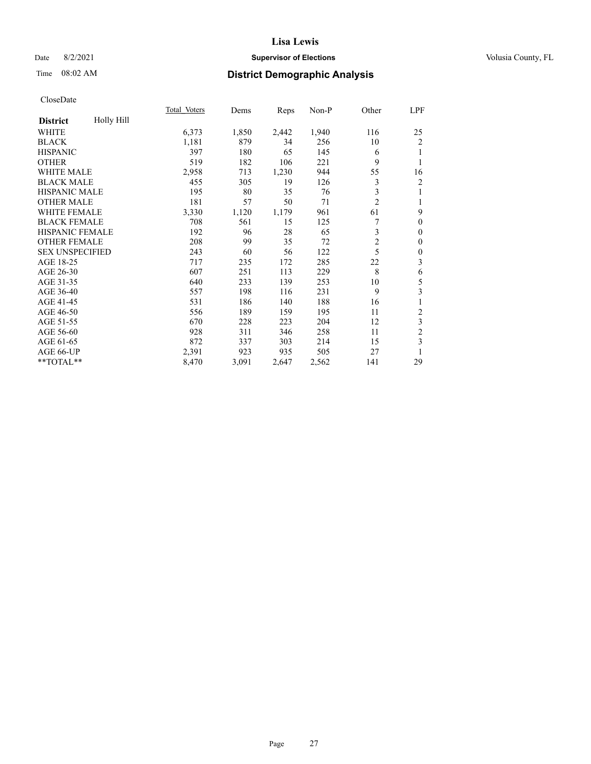## Date 8/2/2021 **Supervisor of Elections Supervisor of Elections** Volusia County, FL

# Time 08:02 AM **District Demographic Analysis**

|                        |            | Total Voters | Dems  | Reps  | Non-P | Other          | LPF              |
|------------------------|------------|--------------|-------|-------|-------|----------------|------------------|
| <b>District</b>        | Holly Hill |              |       |       |       |                |                  |
| WHITE                  |            | 6,373        | 1,850 | 2,442 | 1,940 | 116            | 25               |
| <b>BLACK</b>           |            | 1,181        | 879   | 34    | 256   | 10             | $\overline{c}$   |
| <b>HISPANIC</b>        |            | 397          | 180   | 65    | 145   | 6              |                  |
| <b>OTHER</b>           |            | 519          | 182   | 106   | 221   | 9              | 1                |
| WHITE MALE             |            | 2,958        | 713   | 1,230 | 944   | 55             | 16               |
| <b>BLACK MALE</b>      |            | 455          | 305   | 19    | 126   | 3              | $\overline{c}$   |
| <b>HISPANIC MALE</b>   |            | 195          | 80    | 35    | 76    | 3              | 1                |
| <b>OTHER MALE</b>      |            | 181          | 57    | 50    | 71    | $\overline{2}$ | 1                |
| <b>WHITE FEMALE</b>    |            | 3,330        | 1,120 | 1,179 | 961   | 61             | 9                |
| <b>BLACK FEMALE</b>    |            | 708          | 561   | 15    | 125   | 7              | $\theta$         |
| HISPANIC FEMALE        |            | 192          | 96    | 28    | 65    | 3              | $\theta$         |
| <b>OTHER FEMALE</b>    |            | 208          | 99    | 35    | 72    | $\overline{c}$ | $\theta$         |
| <b>SEX UNSPECIFIED</b> |            | 243          | 60    | 56    | 122   | 5              | $\boldsymbol{0}$ |
| AGE 18-25              |            | 717          | 235   | 172   | 285   | 22             | 3                |
| AGE 26-30              |            | 607          | 251   | 113   | 229   | 8              | 6                |
| AGE 31-35              |            | 640          | 233   | 139   | 253   | 10             | 5                |
| AGE 36-40              |            | 557          | 198   | 116   | 231   | 9              | 3                |
| AGE 41-45              |            | 531          | 186   | 140   | 188   | 16             | 1                |
| AGE 46-50              |            | 556          | 189   | 159   | 195   | 11             | 2                |
| AGE 51-55              |            | 670          | 228   | 223   | 204   | 12             | 3                |
| AGE 56-60              |            | 928          | 311   | 346   | 258   | 11             | $\overline{c}$   |
| AGE 61-65              |            | 872          | 337   | 303   | 214   | 15             | 3                |
| AGE 66-UP              |            | 2,391        | 923   | 935   | 505   | 27             | 1                |
| **TOTAL**              |            | 8,470        | 3,091 | 2,647 | 2,562 | 141            | 29               |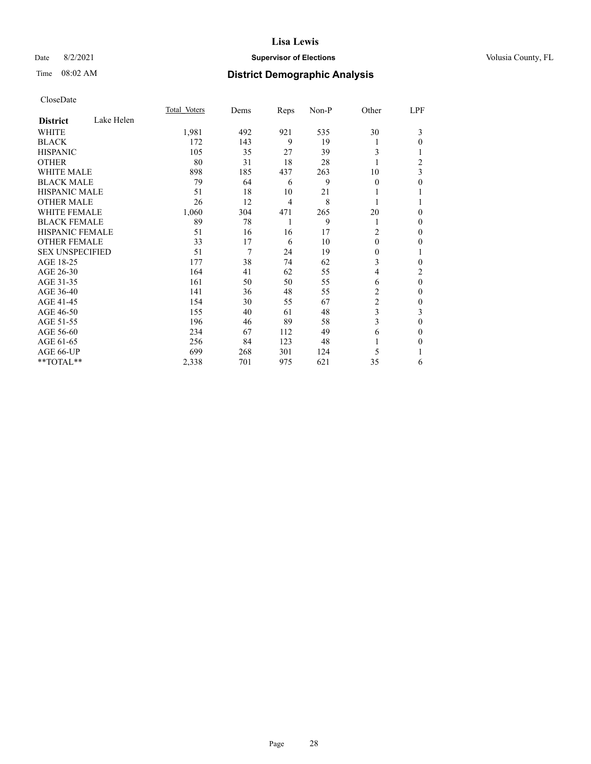## Date 8/2/2021 **Supervisor of Elections Supervisor of Elections** Volusia County, FL

# Time 08:02 AM **District Demographic Analysis**

|                               | Total Voters | Dems | Reps           | Non-P | Other          | LPF            |
|-------------------------------|--------------|------|----------------|-------|----------------|----------------|
| Lake Helen<br><b>District</b> |              |      |                |       |                |                |
| WHITE                         | 1,981        | 492  | 921            | 535   | 30             | 3              |
| <b>BLACK</b>                  | 172          | 143  | 9              | 19    | 1              | 0              |
| <b>HISPANIC</b>               | 105          | 35   | 27             | 39    | 3              |                |
| <b>OTHER</b>                  | 80           | 31   | 18             | 28    | 1              | $\overline{c}$ |
| <b>WHITE MALE</b>             | 898          | 185  | 437            | 263   | 10             | 3              |
| <b>BLACK MALE</b>             | 79           | 64   | 6              | 9     | $\theta$       | 0              |
| <b>HISPANIC MALE</b>          | 51           | 18   | 10             | 21    | 1              |                |
| <b>OTHER MALE</b>             | 26           | 12   | $\overline{4}$ | 8     | 1              | 1              |
| <b>WHITE FEMALE</b>           | 1,060        | 304  | 471            | 265   | 20             | 0              |
| <b>BLACK FEMALE</b>           | 89           | 78   | 1              | 9     | 1              | 0              |
| <b>HISPANIC FEMALE</b>        | 51           | 16   | 16             | 17    | 2              | 0              |
| <b>OTHER FEMALE</b>           | 33           | 17   | 6              | 10    | $\theta$       | 0              |
| <b>SEX UNSPECIFIED</b>        | 51           | 7    | 24             | 19    | $\mathbf{0}$   |                |
| AGE 18-25                     | 177          | 38   | 74             | 62    | 3              | 0              |
| AGE 26-30                     | 164          | 41   | 62             | 55    | 4              | 2              |
| AGE 31-35                     | 161          | 50   | 50             | 55    | 6              | $\theta$       |
| AGE 36-40                     | 141          | 36   | 48             | 55    | 2              | 0              |
| AGE 41-45                     | 154          | 30   | 55             | 67    | $\overline{c}$ | 0              |
| AGE 46-50                     | 155          | 40   | 61             | 48    | 3              | 3              |
| AGE 51-55                     | 196          | 46   | 89             | 58    | 3              | $\mathbf{0}$   |
| AGE 56-60                     | 234          | 67   | 112            | 49    | 6              | 0              |
| AGE 61-65                     | 256          | 84   | 123            | 48    | 1              | 0              |
| AGE 66-UP                     | 699          | 268  | 301            | 124   | 5              |                |
| **TOTAL**                     | 2,338        | 701  | 975            | 621   | 35             | 6              |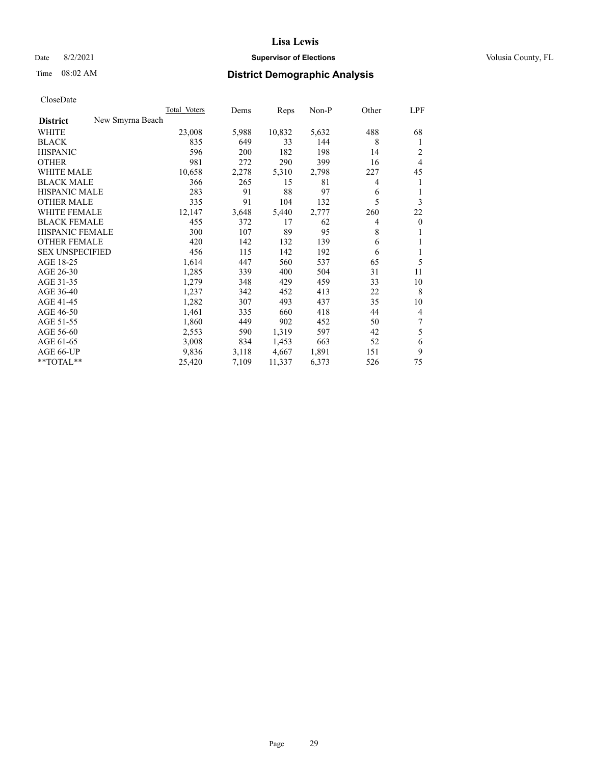## Date 8/2/2021 **Supervisor of Elections Supervisor of Elections** Volusia County, FL

# Time 08:02 AM **District Demographic Analysis**

|                                     | Total Voters | Dems  | Reps   | Non-P | Other | LPF            |
|-------------------------------------|--------------|-------|--------|-------|-------|----------------|
| New Smyrna Beach<br><b>District</b> |              |       |        |       |       |                |
| WHITE                               | 23,008       | 5,988 | 10,832 | 5,632 | 488   | 68             |
| <b>BLACK</b>                        | 835          | 649   | 33     | 144   | 8     | 1              |
| <b>HISPANIC</b>                     | 596          | 200   | 182    | 198   | 14    | 2              |
| <b>OTHER</b>                        | 981          | 272   | 290    | 399   | 16    | $\overline{4}$ |
| <b>WHITE MALE</b>                   | 10,658       | 2,278 | 5,310  | 2,798 | 227   | 45             |
| <b>BLACK MALE</b>                   | 366          | 265   | 15     | 81    | 4     | 1              |
| <b>HISPANIC MALE</b>                | 283          | 91    | 88     | 97    | 6     | 1              |
| <b>OTHER MALE</b>                   | 335          | 91    | 104    | 132   | 5     | 3              |
| <b>WHITE FEMALE</b>                 | 12,147       | 3,648 | 5,440  | 2,777 | 260   | 22             |
| <b>BLACK FEMALE</b>                 | 455          | 372   | 17     | 62    | 4     | $\mathbf{0}$   |
| <b>HISPANIC FEMALE</b>              | 300          | 107   | 89     | 95    | 8     | 1              |
| <b>OTHER FEMALE</b>                 | 420          | 142   | 132    | 139   | 6     | 1              |
| <b>SEX UNSPECIFIED</b>              | 456          | 115   | 142    | 192   | 6     | 1              |
| AGE 18-25                           | 1,614        | 447   | 560    | 537   | 65    | 5              |
| AGE 26-30                           | 1,285        | 339   | 400    | 504   | 31    | 11             |
| AGE 31-35                           | 1,279        | 348   | 429    | 459   | 33    | 10             |
| AGE 36-40                           | 1,237        | 342   | 452    | 413   | 22    | 8              |
| AGE 41-45                           | 1,282        | 307   | 493    | 437   | 35    | 10             |
| AGE 46-50                           | 1,461        | 335   | 660    | 418   | 44    | $\overline{4}$ |
| AGE 51-55                           | 1,860        | 449   | 902    | 452   | 50    | 7              |
| AGE 56-60                           | 2,553        | 590   | 1,319  | 597   | 42    | 5              |
| AGE 61-65                           | 3,008        | 834   | 1,453  | 663   | 52    | 6              |
| AGE 66-UP                           | 9,836        | 3,118 | 4,667  | 1,891 | 151   | 9              |
| $*$ $TOTAL**$                       | 25,420       | 7,109 | 11,337 | 6,373 | 526   | 75             |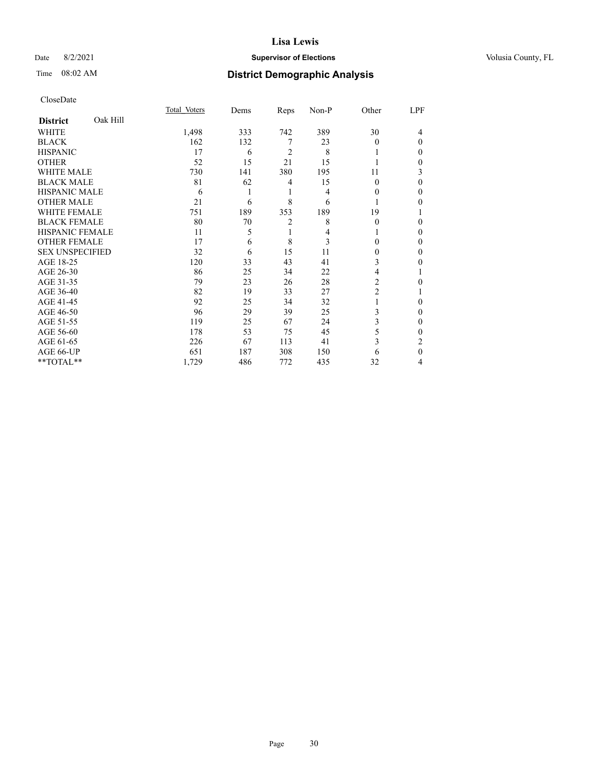## Date 8/2/2021 **Supervisor of Elections Supervisor of Elections** Volusia County, FL

# Time 08:02 AM **District Demographic Analysis**

|                        |          | Total Voters | Dems | Reps           | Non-P | Other    | LPF          |
|------------------------|----------|--------------|------|----------------|-------|----------|--------------|
| <b>District</b>        | Oak Hill |              |      |                |       |          |              |
| WHITE                  |          | 1,498        | 333  | 742            | 389   | 30       | 4            |
| <b>BLACK</b>           |          | 162          | 132  | 7              | 23    | $\Omega$ | $\Omega$     |
| <b>HISPANIC</b>        |          | 17           | 6    | 2              | 8     |          | 0            |
| <b>OTHER</b>           |          | 52           | 15   | 21             | 15    |          | 0            |
| WHITE MALE             |          | 730          | 141  | 380            | 195   | 11       | 3            |
| <b>BLACK MALE</b>      |          | 81           | 62   | 4              | 15    | $\theta$ | $\Omega$     |
| <b>HISPANIC MALE</b>   |          | 6            | 1    | 1              | 4     | 0        | 0            |
| <b>OTHER MALE</b>      |          | 21           | 6    | 8              | 6     | 1        | 0            |
| WHITE FEMALE           |          | 751          | 189  | 353            | 189   | 19       |              |
| <b>BLACK FEMALE</b>    |          | 80           | 70   | $\overline{2}$ | 8     | $\Omega$ | 0            |
| <b>HISPANIC FEMALE</b> |          | 11           | 5    | 1              | 4     |          | 0            |
| <b>OTHER FEMALE</b>    |          | 17           | 6    | 8              | 3     | 0        | 0            |
| <b>SEX UNSPECIFIED</b> |          | 32           | 6    | 15             | 11    | 0        | 0            |
| AGE 18-25              |          | 120          | 33   | 43             | 41    | 3        | 0            |
| AGE 26-30              |          | 86           | 25   | 34             | 22    | 4        |              |
| AGE 31-35              |          | 79           | 23   | 26             | 28    | 2        | 0            |
| AGE 36-40              |          | 82           | 19   | 33             | 27    | 2        |              |
| AGE 41-45              |          | 92           | 25   | 34             | 32    |          | 0            |
| AGE 46-50              |          | 96           | 29   | 39             | 25    | 3        | 0            |
| AGE 51-55              |          | 119          | 25   | 67             | 24    | 3        | $\mathbf{0}$ |
| AGE 56-60              |          | 178          | 53   | 75             | 45    | 5        | 0            |
| AGE 61-65              |          | 226          | 67   | 113            | 41    | 3        | 2            |
| AGE 66-UP              |          | 651          | 187  | 308            | 150   | 6        | $\theta$     |
| **TOTAL**              |          | 1,729        | 486  | 772            | 435   | 32       | 4            |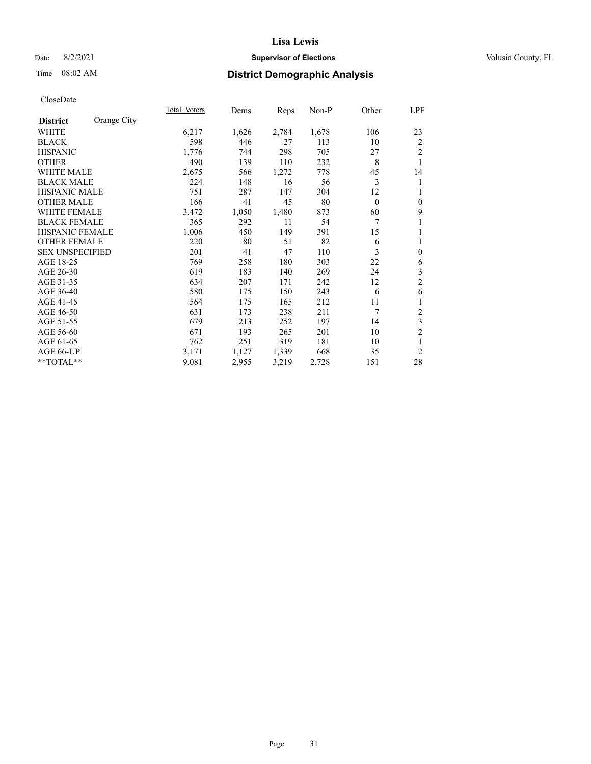## Date 8/2/2021 **Supervisor of Elections Supervisor of Elections** Volusia County, FL

## Time 08:02 AM **District Demographic Analysis**

|                                | Total Voters | Dems  | Reps  | Non-P | Other        | LPF            |
|--------------------------------|--------------|-------|-------|-------|--------------|----------------|
| Orange City<br><b>District</b> |              |       |       |       |              |                |
| WHITE                          | 6,217        | 1,626 | 2,784 | 1,678 | 106          | 23             |
| <b>BLACK</b>                   | 598          | 446   | 27    | 113   | 10           | $\overline{c}$ |
| <b>HISPANIC</b>                | 1,776        | 744   | 298   | 705   | 27           | $\overline{2}$ |
| <b>OTHER</b>                   | 490          | 139   | 110   | 232   | 8            | 1              |
| <b>WHITE MALE</b>              | 2,675        | 566   | 1,272 | 778   | 45           | 14             |
| <b>BLACK MALE</b>              | 224          | 148   | 16    | 56    | 3            | 1              |
| <b>HISPANIC MALE</b>           | 751          | 287   | 147   | 304   | 12           | 1              |
| <b>OTHER MALE</b>              | 166          | 41    | 45    | 80    | $\mathbf{0}$ | $\mathbf{0}$   |
| <b>WHITE FEMALE</b>            | 3,472        | 1,050 | 1,480 | 873   | 60           | 9              |
| <b>BLACK FEMALE</b>            | 365          | 292   | 11    | 54    | 7            | 1              |
| <b>HISPANIC FEMALE</b>         | 1,006        | 450   | 149   | 391   | 15           | 1              |
| <b>OTHER FEMALE</b>            | 220          | 80    | 51    | 82    | 6            | 1              |
| <b>SEX UNSPECIFIED</b>         | 201          | 41    | 47    | 110   | 3            | $\mathbf{0}$   |
| AGE 18-25                      | 769          | 258   | 180   | 303   | 22           | 6              |
| AGE 26-30                      | 619          | 183   | 140   | 269   | 24           | 3              |
| AGE 31-35                      | 634          | 207   | 171   | 242   | 12           | $\overline{2}$ |
| AGE 36-40                      | 580          | 175   | 150   | 243   | 6            | 6              |
| AGE 41-45                      | 564          | 175   | 165   | 212   | 11           | 1              |
| AGE 46-50                      | 631          | 173   | 238   | 211   | 7            | $\mathfrak{2}$ |
| AGE 51-55                      | 679          | 213   | 252   | 197   | 14           | 3              |
| AGE 56-60                      | 671          | 193   | 265   | 201   | 10           | $\overline{2}$ |
| AGE 61-65                      | 762          | 251   | 319   | 181   | 10           | 1              |
| AGE 66-UP                      | 3,171        | 1,127 | 1,339 | 668   | 35           | $\overline{2}$ |
| **TOTAL**                      | 9,081        | 2,955 | 3,219 | 2,728 | 151          | 28             |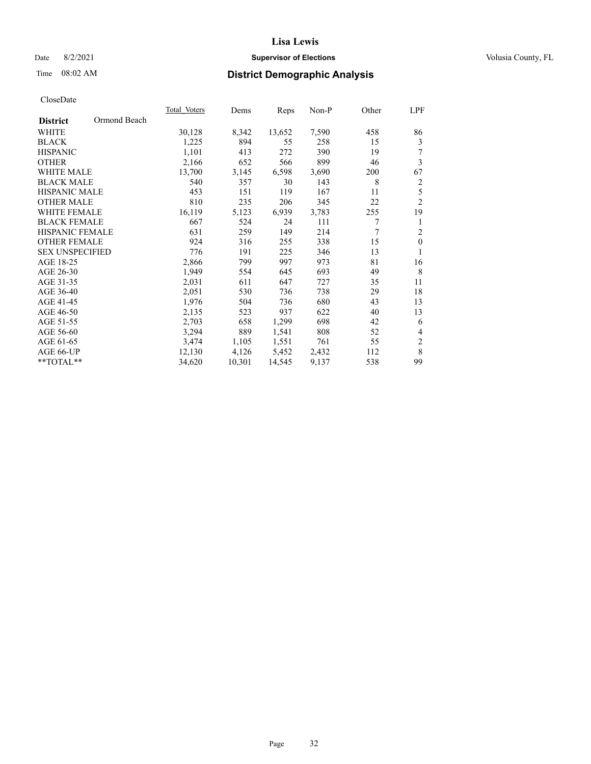## Date 8/2/2021 **Supervisor of Elections Supervisor of Elections** Volusia County, FL

# Time 08:02 AM **District Demographic Analysis**

|                                 | Total Voters | Dems   | Reps   | Non-P | Other | LPF            |
|---------------------------------|--------------|--------|--------|-------|-------|----------------|
| Ormond Beach<br><b>District</b> |              |        |        |       |       |                |
| WHITE                           | 30,128       | 8,342  | 13,652 | 7,590 | 458   | 86             |
| <b>BLACK</b>                    | 1,225        | 894    | 55     | 258   | 15    | 3              |
| <b>HISPANIC</b>                 | 1,101        | 413    | 272    | 390   | 19    | 7              |
| <b>OTHER</b>                    | 2,166        | 652    | 566    | 899   | 46    | 3              |
| <b>WHITE MALE</b>               | 13,700       | 3,145  | 6,598  | 3,690 | 200   | 67             |
| <b>BLACK MALE</b>               | 540          | 357    | 30     | 143   | 8     | $\overline{c}$ |
| <b>HISPANIC MALE</b>            | 453          | 151    | 119    | 167   | 11    | $\mathfrak s$  |
| <b>OTHER MALE</b>               | 810          | 235    | 206    | 345   | 22    | $\overline{2}$ |
| <b>WHITE FEMALE</b>             | 16,119       | 5,123  | 6,939  | 3,783 | 255   | 19             |
| <b>BLACK FEMALE</b>             | 667          | 524    | 24     | 111   | 7     | 1              |
| <b>HISPANIC FEMALE</b>          | 631          | 259    | 149    | 214   | 7     | $\overline{c}$ |
| <b>OTHER FEMALE</b>             | 924          | 316    | 255    | 338   | 15    | $\mathbf{0}$   |
| <b>SEX UNSPECIFIED</b>          | 776          | 191    | 225    | 346   | 13    | 1              |
| AGE 18-25                       | 2,866        | 799    | 997    | 973   | 81    | 16             |
| AGE 26-30                       | 1,949        | 554    | 645    | 693   | 49    | 8              |
| AGE 31-35                       | 2,031        | 611    | 647    | 727   | 35    | 11             |
| AGE 36-40                       | 2,051        | 530    | 736    | 738   | 29    | 18             |
| AGE 41-45                       | 1,976        | 504    | 736    | 680   | 43    | 13             |
| AGE 46-50                       | 2,135        | 523    | 937    | 622   | 40    | 13             |
| AGE 51-55                       | 2,703        | 658    | 1,299  | 698   | 42    | 6              |
| AGE 56-60                       | 3,294        | 889    | 1,541  | 808   | 52    | 4              |
| AGE 61-65                       | 3,474        | 1,105  | 1,551  | 761   | 55    | $\overline{2}$ |
| AGE 66-UP                       | 12,130       | 4,126  | 5,452  | 2,432 | 112   | $\,$ 8 $\,$    |
| **TOTAL**                       | 34,620       | 10,301 | 14,545 | 9,137 | 538   | 99             |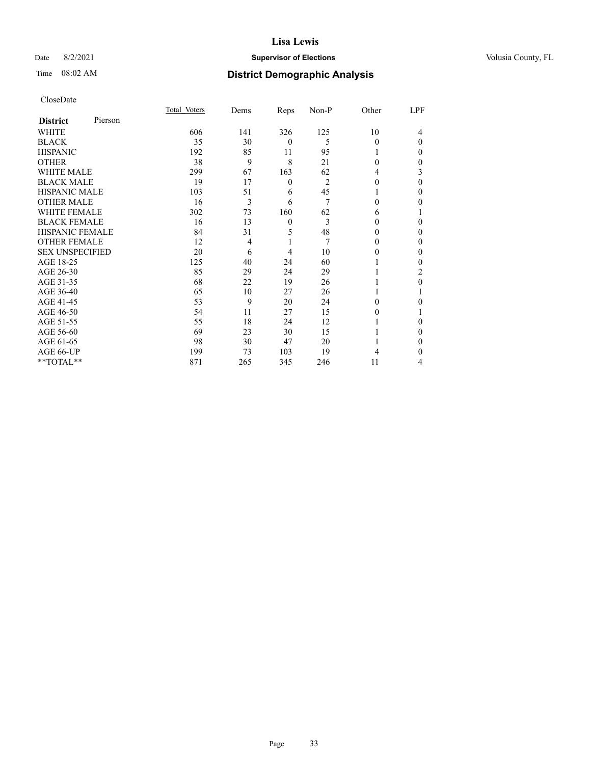## Date 8/2/2021 **Supervisor of Elections Supervisor of Elections** Volusia County, FL

| CloseDate |
|-----------|
|-----------|

|                        |         | Total Voters | Dems           | Reps             | Non-P | Other    | LPF      |
|------------------------|---------|--------------|----------------|------------------|-------|----------|----------|
| <b>District</b>        | Pierson |              |                |                  |       |          |          |
| WHITE                  |         | 606          | 141            | 326              | 125   | 10       | 4        |
| <b>BLACK</b>           |         | 35           | 30             | $\overline{0}$   | 5     | 0        | $\Omega$ |
| <b>HISPANIC</b>        |         | 192          | 85             | 11               | 95    | 1        | 0        |
| <b>OTHER</b>           |         | 38           | 9              | 8                | 21    | $\Omega$ | 0        |
| <b>WHITE MALE</b>      |         | 299          | 67             | 163              | 62    | 4        | 3        |
| <b>BLACK MALE</b>      |         | 19           | 17             | $\boldsymbol{0}$ | 2     | $\theta$ | 0        |
| <b>HISPANIC MALE</b>   |         | 103          | 51             | 6                | 45    |          | 0        |
| <b>OTHER MALE</b>      |         | 16           | 3              | 6                | 7     | 0        | 0        |
| <b>WHITE FEMALE</b>    |         | 302          | 73             | 160              | 62    | 6        |          |
| <b>BLACK FEMALE</b>    |         | 16           | 13             | $\mathbf{0}$     | 3     | 0        | 0        |
| <b>HISPANIC FEMALE</b> |         | 84           | 31             | 5                | 48    | $\Omega$ | 0        |
| <b>OTHER FEMALE</b>    |         | 12           | $\overline{4}$ | 1                | 7     | $\theta$ | 0        |
| <b>SEX UNSPECIFIED</b> |         | 20           | 6              | $\overline{4}$   | 10    | 0        | 0        |
| AGE 18-25              |         | 125          | 40             | 24               | 60    |          | 0        |
| AGE 26-30              |         | 85           | 29             | 24               | 29    |          | 2        |
| AGE 31-35              |         | 68           | 22             | 19               | 26    |          | 0        |
| AGE 36-40              |         | 65           | 10             | 27               | 26    |          |          |
| AGE 41-45              |         | 53           | 9              | 20               | 24    | 0        | 0        |
| AGE 46-50              |         | 54           | 11             | 27               | 15    | 0        |          |
| AGE 51-55              |         | 55           | 18             | 24               | 12    |          | 0        |
| AGE 56-60              |         | 69           | 23             | 30               | 15    |          | $_{0}$   |
| AGE 61-65              |         | 98           | 30             | 47               | 20    |          | 0        |
| AGE 66-UP              |         | 199          | 73             | 103              | 19    | 4        | 0        |
| **TOTAL**              |         | 871          | 265            | 345              | 246   | 11       | 4        |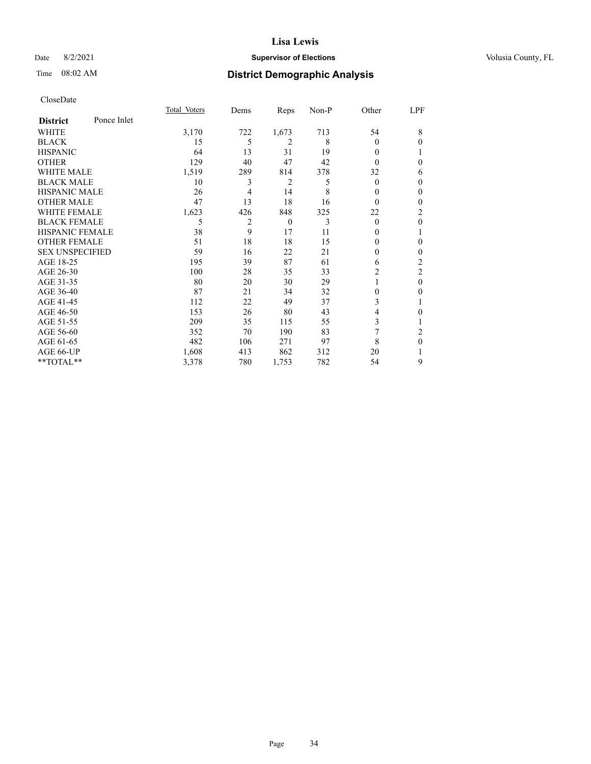## Date 8/2/2021 **Supervisor of Elections Supervisor of Elections** Volusia County, FL

# Time 08:02 AM **District Demographic Analysis**

|                        |             | Total Voters | Dems           | Reps         | Non-P | Other          | LPF          |
|------------------------|-------------|--------------|----------------|--------------|-------|----------------|--------------|
| <b>District</b>        | Ponce Inlet |              |                |              |       |                |              |
| WHITE                  |             | 3,170        | 722            | 1,673        | 713   | 54             | 8            |
| <b>BLACK</b>           |             | 15           | 5              | 2            | 8     | 0              | 0            |
| <b>HISPANIC</b>        |             | 64           | 13             | 31           | 19    | $\Omega$       |              |
| <b>OTHER</b>           |             | 129          | 40             | 47           | 42    | $\Omega$       | 0            |
| <b>WHITE MALE</b>      |             | 1,519        | 289            | 814          | 378   | 32             | 6            |
| <b>BLACK MALE</b>      |             | 10           | 3              | 2            | 5     | $\mathbf{0}$   | $\mathbf{0}$ |
| <b>HISPANIC MALE</b>   |             | 26           | 4              | 14           | 8     | 0              | 0            |
| <b>OTHER MALE</b>      |             | 47           | 13             | 18           | 16    | 0              | 0            |
| <b>WHITE FEMALE</b>    |             | 1,623        | 426            | 848          | 325   | 22             | 2            |
| <b>BLACK FEMALE</b>    |             | 5            | $\overline{c}$ | $\mathbf{0}$ | 3     | $\theta$       | $\theta$     |
| <b>HISPANIC FEMALE</b> |             | 38           | 9              | 17           | 11    | 0              |              |
| <b>OTHER FEMALE</b>    |             | 51           | 18             | 18           | 15    | 0              | 0            |
| <b>SEX UNSPECIFIED</b> |             | 59           | 16             | 22           | 21    | $\Omega$       | $\mathbf{0}$ |
| AGE 18-25              |             | 195          | 39             | 87           | 61    | 6              | 2            |
| AGE 26-30              |             | 100          | 28             | 35           | 33    | 2              | 2            |
| AGE 31-35              |             | 80           | 20             | 30           | 29    |                | $\theta$     |
| AGE 36-40              |             | 87           | 21             | 34           | 32    | $\theta$       | 0            |
| AGE 41-45              |             | 112          | 22             | 49           | 37    | 3              | 1            |
| AGE 46-50              |             | 153          | 26             | 80           | 43    | 4              | 0            |
| AGE 51-55              |             | 209          | 35             | 115          | 55    | 3              | 1            |
| AGE 56-60              |             | 352          | 70             | 190          | 83    | $\overline{7}$ | 2            |
| AGE 61-65              |             | 482          | 106            | 271          | 97    | 8              | $\theta$     |
| AGE 66-UP              |             | 1,608        | 413            | 862          | 312   | 20             |              |
| **TOTAL**              |             | 3,378        | 780            | 1,753        | 782   | 54             | 9            |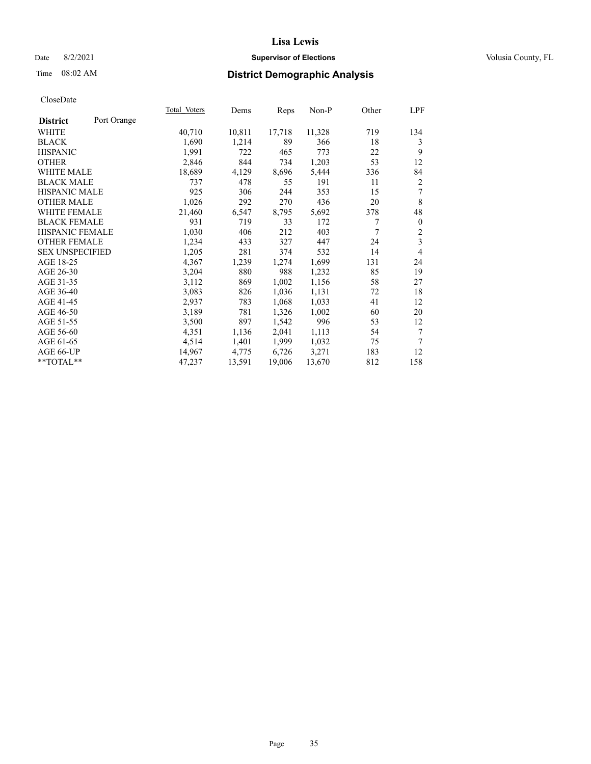## Date 8/2/2021 **Supervisor of Elections Supervisor of Elections** Volusia County, FL

# Time 08:02 AM **District Demographic Analysis**

|                                | Total Voters | Dems   | Reps   | Non-P  | Other | LPF                     |
|--------------------------------|--------------|--------|--------|--------|-------|-------------------------|
| Port Orange<br><b>District</b> |              |        |        |        |       |                         |
| WHITE                          | 40,710       | 10,811 | 17,718 | 11,328 | 719   | 134                     |
| <b>BLACK</b>                   | 1,690        | 1,214  | 89     | 366    | 18    | 3                       |
| <b>HISPANIC</b>                | 1,991        | 722    | 465    | 773    | 22    | 9                       |
| <b>OTHER</b>                   | 2,846        | 844    | 734    | 1,203  | 53    | 12                      |
| <b>WHITE MALE</b>              | 18,689       | 4,129  | 8,696  | 5,444  | 336   | 84                      |
| <b>BLACK MALE</b>              | 737          | 478    | 55     | 191    | 11    | $\overline{2}$          |
| <b>HISPANIC MALE</b>           | 925          | 306    | 244    | 353    | 15    | 7                       |
| <b>OTHER MALE</b>              | 1,026        | 292    | 270    | 436    | 20    | $\,$ 8 $\,$             |
| WHITE FEMALE                   | 21,460       | 6,547  | 8,795  | 5,692  | 378   | 48                      |
| <b>BLACK FEMALE</b>            | 931          | 719    | 33     | 172    | 7     | $\mathbf{0}$            |
| <b>HISPANIC FEMALE</b>         | 1,030        | 406    | 212    | 403    | 7     | $\overline{\mathbf{c}}$ |
| <b>OTHER FEMALE</b>            | 1,234        | 433    | 327    | 447    | 24    | $\overline{\mathbf{3}}$ |
| <b>SEX UNSPECIFIED</b>         | 1,205        | 281    | 374    | 532    | 14    | $\overline{4}$          |
| AGE 18-25                      | 4,367        | 1,239  | 1,274  | 1,699  | 131   | 24                      |
| AGE 26-30                      | 3,204        | 880    | 988    | 1,232  | 85    | 19                      |
| AGE 31-35                      | 3,112        | 869    | 1,002  | 1,156  | 58    | 27                      |
| AGE 36-40                      | 3,083        | 826    | 1,036  | 1,131  | 72    | 18                      |
| AGE 41-45                      | 2,937        | 783    | 1,068  | 1,033  | 41    | 12                      |
| AGE 46-50                      | 3,189        | 781    | 1,326  | 1,002  | 60    | 20                      |
| AGE 51-55                      | 3,500        | 897    | 1,542  | 996    | 53    | 12                      |
| AGE 56-60                      | 4,351        | 1,136  | 2,041  | 1,113  | 54    | 7                       |
| AGE 61-65                      | 4,514        | 1,401  | 1,999  | 1,032  | 75    | 7                       |
| AGE 66-UP                      | 14,967       | 4,775  | 6,726  | 3,271  | 183   | 12                      |
| **TOTAL**                      | 47,237       | 13,591 | 19,006 | 13,670 | 812   | 158                     |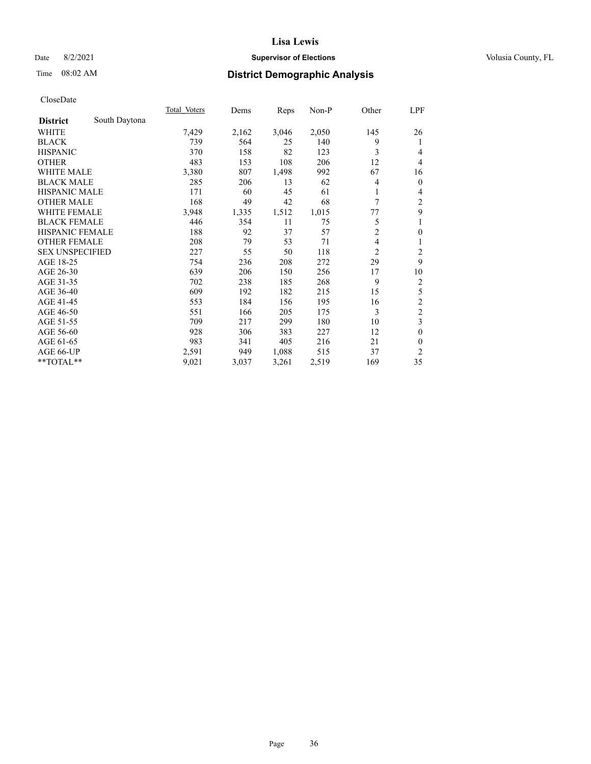## Date 8/2/2021 **Supervisor of Elections Supervisor of Elections** Volusia County, FL

# Time 08:02 AM **District Demographic Analysis**

|                                  | Total Voters | Dems  | Reps  | Non-P | Other          | LPF              |
|----------------------------------|--------------|-------|-------|-------|----------------|------------------|
| South Daytona<br><b>District</b> |              |       |       |       |                |                  |
| WHITE                            | 7,429        | 2,162 | 3,046 | 2,050 | 145            | 26               |
| <b>BLACK</b>                     | 739          | 564   | 25    | 140   | 9              | 1                |
| <b>HISPANIC</b>                  | 370          | 158   | 82    | 123   | 3              | 4                |
| <b>OTHER</b>                     | 483          | 153   | 108   | 206   | 12             | $\overline{4}$   |
| <b>WHITE MALE</b>                | 3,380        | 807   | 1,498 | 992   | 67             | 16               |
| <b>BLACK MALE</b>                | 285          | 206   | 13    | 62    | 4              | $\mathbf{0}$     |
| HISPANIC MALE                    | 171          | 60    | 45    | 61    | 1              | 4                |
| <b>OTHER MALE</b>                | 168          | 49    | 42    | 68    | 7              | $\overline{c}$   |
| WHITE FEMALE                     | 3,948        | 1,335 | 1,512 | 1,015 | 77             | 9                |
| <b>BLACK FEMALE</b>              | 446          | 354   | 11    | 75    | 5              | 1                |
| <b>HISPANIC FEMALE</b>           | 188          | 92    | 37    | 57    | $\overline{c}$ | $\boldsymbol{0}$ |
| <b>OTHER FEMALE</b>              | 208          | 79    | 53    | 71    | 4              | 1                |
| <b>SEX UNSPECIFIED</b>           | 227          | 55    | 50    | 118   | $\overline{2}$ | 2                |
| AGE 18-25                        | 754          | 236   | 208   | 272   | 29             | 9                |
| AGE 26-30                        | 639          | 206   | 150   | 256   | 17             | 10               |
| AGE 31-35                        | 702          | 238   | 185   | 268   | 9              | $\sqrt{2}$       |
| AGE 36-40                        | 609          | 192   | 182   | 215   | 15             | 5                |
| AGE 41-45                        | 553          | 184   | 156   | 195   | 16             | $\sqrt{2}$       |
| AGE 46-50                        | 551          | 166   | 205   | 175   | 3              | $\overline{c}$   |
| AGE 51-55                        | 709          | 217   | 299   | 180   | 10             | 3                |
| AGE 56-60                        | 928          | 306   | 383   | 227   | 12             | $\mathbf{0}$     |
| AGE 61-65                        | 983          | 341   | 405   | 216   | 21             | $\mathbf{0}$     |
| AGE 66-UP                        | 2,591        | 949   | 1,088 | 515   | 37             | $\mathfrak{2}$   |
| **TOTAL**                        | 9,021        | 3,037 | 3,261 | 2,519 | 169            | 35               |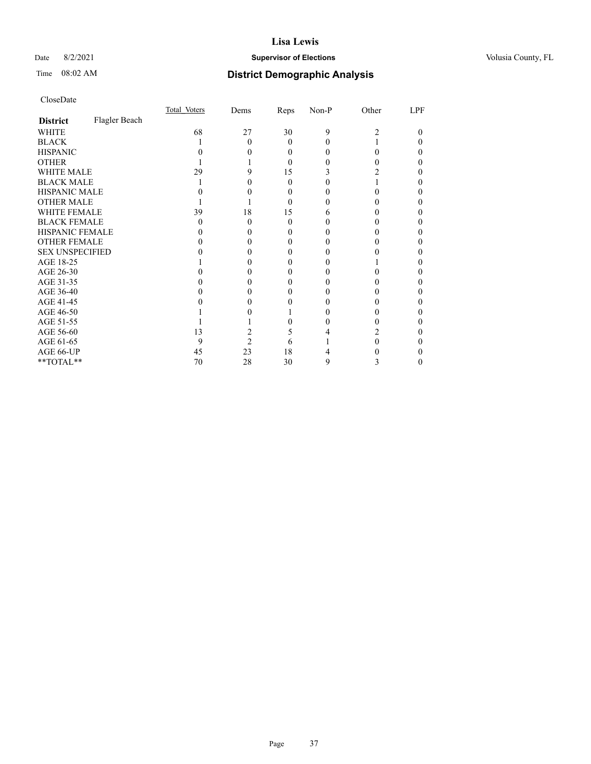## Date 8/2/2021 **Supervisor of Elections Supervisor of Elections** Volusia County, FL

# Time 08:02 AM **District Demographic Analysis**

|                        |               | Total Voters | Dems | Reps     | Non-P | Other | LPF |
|------------------------|---------------|--------------|------|----------|-------|-------|-----|
| <b>District</b>        | Flagler Beach |              |      |          |       |       |     |
| WHITE                  |               | 68           | 27   | 30       | 9     | 2     | 0   |
| <b>BLACK</b>           |               |              | 0    | $\Omega$ |       |       |     |
| <b>HISPANIC</b>        |               |              |      | $\theta$ |       | 0     |     |
| <b>OTHER</b>           |               |              |      | $\Omega$ |       |       |     |
| <b>WHITE MALE</b>      |               | 29           |      | 15       |       |       |     |
| <b>BLACK MALE</b>      |               |              |      | 0        |       |       |     |
| <b>HISPANIC MALE</b>   |               |              |      | $\theta$ |       |       |     |
| <b>OTHER MALE</b>      |               |              |      | $\theta$ |       |       |     |
| WHITE FEMALE           |               | 39           | 18   | 15       | h     |       |     |
| <b>BLACK FEMALE</b>    |               | 0            | 0    | $\Omega$ |       |       |     |
| <b>HISPANIC FEMALE</b> |               |              |      | 0        |       |       |     |
| <b>OTHER FEMALE</b>    |               |              |      | $\theta$ |       |       |     |
| <b>SEX UNSPECIFIED</b> |               |              |      |          |       |       |     |
| AGE 18-25              |               |              |      |          |       |       |     |
| AGE 26-30              |               |              |      |          |       |       |     |
| AGE 31-35              |               |              |      |          |       |       |     |
| AGE 36-40              |               |              |      |          |       |       | 0   |
| AGE 41-45              |               |              |      |          |       |       |     |
| AGE 46-50              |               |              |      |          |       |       |     |
| AGE 51-55              |               |              |      |          |       |       |     |
| AGE 56-60              |               | 13           |      | 5        |       |       |     |
| AGE 61-65              |               | 9            | 2    | 6        |       |       |     |
| AGE 66-UP              |               | 45           | 23   | 18       |       |       |     |
| **TOTAL**              |               | 70           | 28   | 30       | 9     | 3     |     |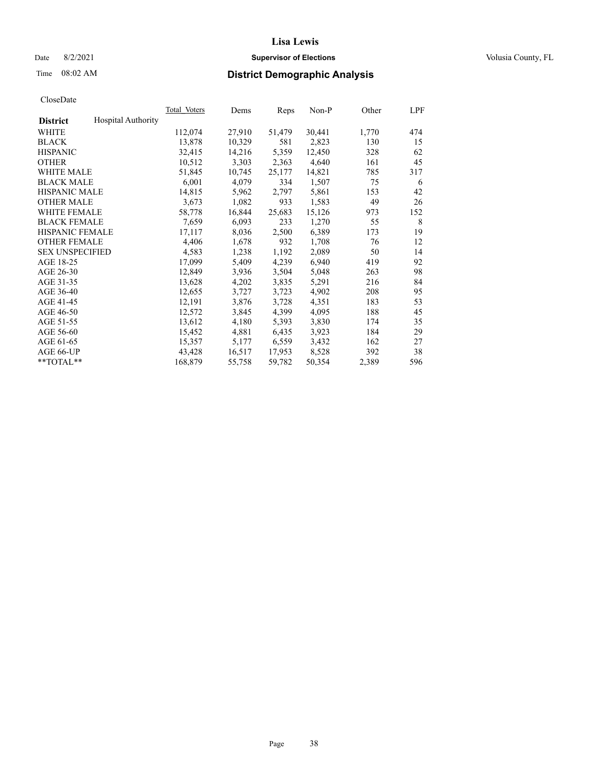## Date 8/2/2021 **Supervisor of Elections Supervisor of Elections** Volusia County, FL

# Time 08:02 AM **District Demographic Analysis**

|                        |                           | Total Voters | Dems   | Reps   | Non-P  | Other | LPF |
|------------------------|---------------------------|--------------|--------|--------|--------|-------|-----|
| <b>District</b>        | <b>Hospital Authority</b> |              |        |        |        |       |     |
| WHITE                  |                           | 112,074      | 27,910 | 51,479 | 30,441 | 1,770 | 474 |
| <b>BLACK</b>           |                           | 13,878       | 10,329 | 581    | 2,823  | 130   | 15  |
| <b>HISPANIC</b>        |                           | 32,415       | 14,216 | 5,359  | 12,450 | 328   | 62  |
| <b>OTHER</b>           |                           | 10,512       | 3,303  | 2,363  | 4,640  | 161   | 45  |
| <b>WHITE MALE</b>      |                           | 51,845       | 10,745 | 25,177 | 14,821 | 785   | 317 |
| <b>BLACK MALE</b>      |                           | 6,001        | 4,079  | 334    | 1,507  | 75    | 6   |
| <b>HISPANIC MALE</b>   |                           | 14,815       | 5,962  | 2,797  | 5,861  | 153   | 42  |
| <b>OTHER MALE</b>      |                           | 3,673        | 1,082  | 933    | 1,583  | 49    | 26  |
| <b>WHITE FEMALE</b>    |                           | 58,778       | 16,844 | 25,683 | 15,126 | 973   | 152 |
| <b>BLACK FEMALE</b>    |                           | 7,659        | 6,093  | 233    | 1,270  | 55    | 8   |
| <b>HISPANIC FEMALE</b> |                           | 17,117       | 8,036  | 2,500  | 6,389  | 173   | 19  |
| <b>OTHER FEMALE</b>    |                           | 4,406        | 1,678  | 932    | 1,708  | 76    | 12  |
| <b>SEX UNSPECIFIED</b> |                           | 4,583        | 1,238  | 1,192  | 2,089  | 50    | 14  |
| AGE 18-25              |                           | 17,099       | 5,409  | 4,239  | 6,940  | 419   | 92  |
| AGE 26-30              |                           | 12,849       | 3,936  | 3,504  | 5,048  | 263   | 98  |
| AGE 31-35              |                           | 13,628       | 4,202  | 3,835  | 5,291  | 216   | 84  |
| AGE 36-40              |                           | 12,655       | 3,727  | 3,723  | 4,902  | 208   | 95  |
| AGE 41-45              |                           | 12,191       | 3,876  | 3,728  | 4,351  | 183   | 53  |
| AGE 46-50              |                           | 12,572       | 3,845  | 4,399  | 4,095  | 188   | 45  |
| AGE 51-55              |                           | 13,612       | 4,180  | 5,393  | 3,830  | 174   | 35  |
| AGE 56-60              |                           | 15,452       | 4,881  | 6,435  | 3,923  | 184   | 29  |
| AGE 61-65              |                           | 15,357       | 5,177  | 6,559  | 3,432  | 162   | 27  |
| AGE 66-UP              |                           | 43,428       | 16,517 | 17,953 | 8,528  | 392   | 38  |
| $*$ TOTAL $*$          |                           | 168,879      | 55,758 | 59,782 | 50,354 | 2,389 | 596 |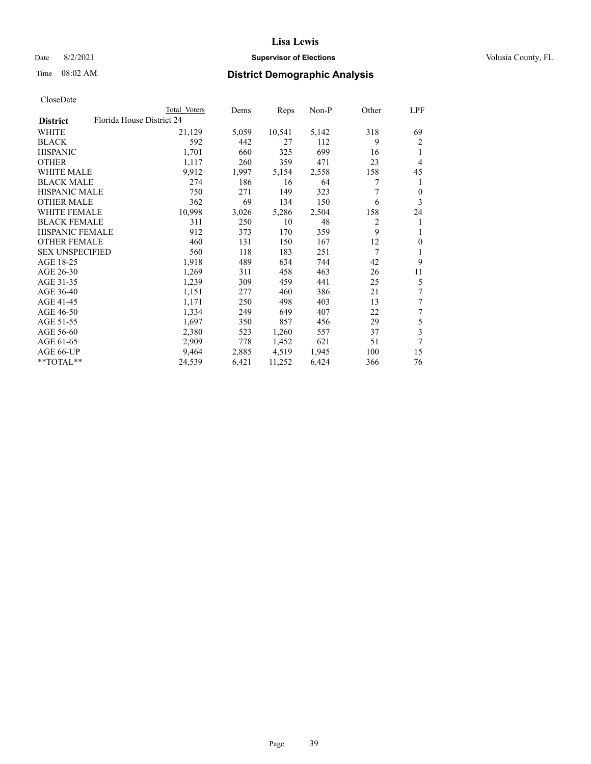## Date 8/2/2021 **Supervisor of Elections Supervisor of Elections** Volusia County, FL

| CloseDate |
|-----------|
|-----------|

|                        | Total Voters              | Dems  | Reps   | Non-P | Other | LPF            |
|------------------------|---------------------------|-------|--------|-------|-------|----------------|
| <b>District</b>        | Florida House District 24 |       |        |       |       |                |
| WHITE                  | 21,129                    | 5,059 | 10,541 | 5,142 | 318   | 69             |
| <b>BLACK</b>           | 592                       | 442   | 27     | 112   | 9     | $\overline{2}$ |
| <b>HISPANIC</b>        | 1,701                     | 660   | 325    | 699   | 16    | 1              |
| <b>OTHER</b>           | 1,117                     | 260   | 359    | 471   | 23    | 4              |
| <b>WHITE MALE</b>      | 9,912                     | 1,997 | 5,154  | 2,558 | 158   | 45             |
| <b>BLACK MALE</b>      | 274                       | 186   | 16     | 64    | 7     | 1              |
| HISPANIC MALE          | 750                       | 271   | 149    | 323   | 7     | $\theta$       |
| <b>OTHER MALE</b>      | 362                       | 69    | 134    | 150   | 6     | 3              |
| <b>WHITE FEMALE</b>    | 10,998                    | 3,026 | 5,286  | 2,504 | 158   | 24             |
| <b>BLACK FEMALE</b>    | 311                       | 250   | 10     | 48    | 2     | 1              |
| <b>HISPANIC FEMALE</b> | 912                       | 373   | 170    | 359   | 9     | 1              |
| <b>OTHER FEMALE</b>    | 460                       | 131   | 150    | 167   | 12    | $\theta$       |
| <b>SEX UNSPECIFIED</b> | 560                       | 118   | 183    | 251   | 7     | 1              |
| AGE 18-25              | 1,918                     | 489   | 634    | 744   | 42    | 9              |
| AGE 26-30              | 1,269                     | 311   | 458    | 463   | 26    | 11             |
| AGE 31-35              | 1,239                     | 309   | 459    | 441   | 25    | 5              |
| AGE 36-40              | 1,151                     | 277   | 460    | 386   | 21    | $\tau$         |
| AGE 41-45              | 1,171                     | 250   | 498    | 403   | 13    | 7              |
| AGE 46-50              | 1,334                     | 249   | 649    | 407   | 22    | 7              |
| AGE 51-55              | 1,697                     | 350   | 857    | 456   | 29    | 5              |
| AGE 56-60              | 2,380                     | 523   | 1,260  | 557   | 37    | 3              |
| AGE 61-65              | 2,909                     | 778   | 1,452  | 621   | 51    | 7              |
| AGE 66-UP              | 9,464                     | 2,885 | 4,519  | 1,945 | 100   | 15             |
| **TOTAL**              | 24,539                    | 6,421 | 11,252 | 6,424 | 366   | 76             |
|                        |                           |       |        |       |       |                |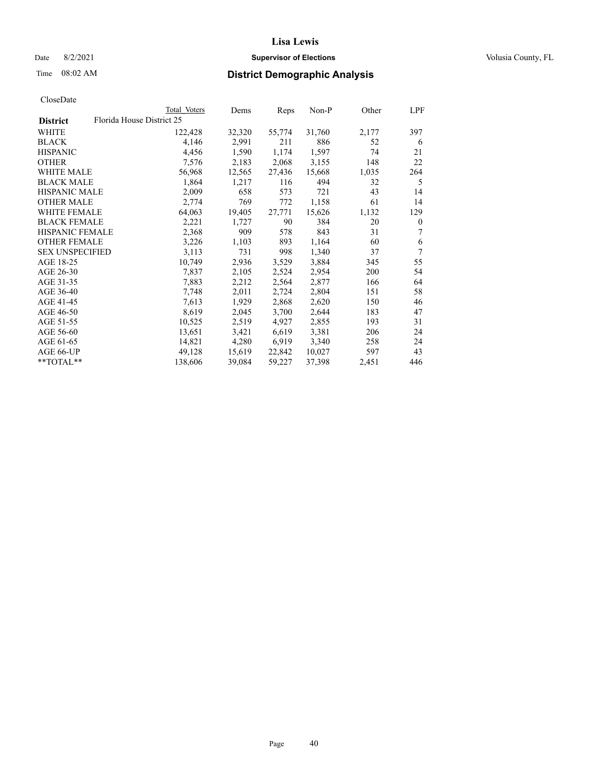## Date 8/2/2021 **Supervisor of Elections Supervisor of Elections** Volusia County, FL

|                        | Total Voters              | Dems   | Reps   | Non-P  | Other | LPF      |
|------------------------|---------------------------|--------|--------|--------|-------|----------|
| <b>District</b>        | Florida House District 25 |        |        |        |       |          |
| WHITE                  | 122,428                   | 32,320 | 55,774 | 31,760 | 2,177 | 397      |
| <b>BLACK</b>           | 4,146                     | 2,991  | 211    | 886    | 52    | 6        |
| <b>HISPANIC</b>        | 4,456                     | 1,590  | 1,174  | 1,597  | 74    | 21       |
| <b>OTHER</b>           | 7,576                     | 2,183  | 2,068  | 3,155  | 148   | 22       |
| <b>WHITE MALE</b>      | 56,968                    | 12,565 | 27,436 | 15,668 | 1,035 | 264      |
| <b>BLACK MALE</b>      | 1,864                     | 1,217  | 116    | 494    | 32    | 5        |
| <b>HISPANIC MALE</b>   | 2,009                     | 658    | 573    | 721    | 43    | 14       |
| <b>OTHER MALE</b>      | 2,774                     | 769    | 772    | 1,158  | 61    | 14       |
| <b>WHITE FEMALE</b>    | 64,063                    | 19,405 | 27,771 | 15,626 | 1,132 | 129      |
| <b>BLACK FEMALE</b>    | 2,221                     | 1,727  | 90     | 384    | 20    | $\theta$ |
| <b>HISPANIC FEMALE</b> | 2,368                     | 909    | 578    | 843    | 31    | 7        |
| <b>OTHER FEMALE</b>    | 3,226                     | 1,103  | 893    | 1,164  | 60    | 6        |
| <b>SEX UNSPECIFIED</b> | 3,113                     | 731    | 998    | 1,340  | 37    | 7        |
| AGE 18-25              | 10,749                    | 2,936  | 3,529  | 3,884  | 345   | 55       |
| AGE 26-30              | 7,837                     | 2,105  | 2,524  | 2,954  | 200   | 54       |
| AGE 31-35              | 7,883                     | 2,212  | 2,564  | 2,877  | 166   | 64       |
| AGE 36-40              | 7,748                     | 2,011  | 2,724  | 2,804  | 151   | 58       |
| AGE 41-45              | 7,613                     | 1,929  | 2,868  | 2,620  | 150   | 46       |
| AGE 46-50              | 8,619                     | 2,045  | 3,700  | 2,644  | 183   | 47       |
| AGE 51-55              | 10,525                    | 2,519  | 4,927  | 2,855  | 193   | 31       |
| AGE 56-60              | 13,651                    | 3,421  | 6,619  | 3,381  | 206   | 24       |
| AGE 61-65              | 14,821                    | 4,280  | 6,919  | 3,340  | 258   | 24       |
| AGE 66-UP              | 49,128                    | 15,619 | 22,842 | 10,027 | 597   | 43       |
| $*$ $TOTAL**$          | 138,606                   | 39,084 | 59,227 | 37,398 | 2,451 | 446      |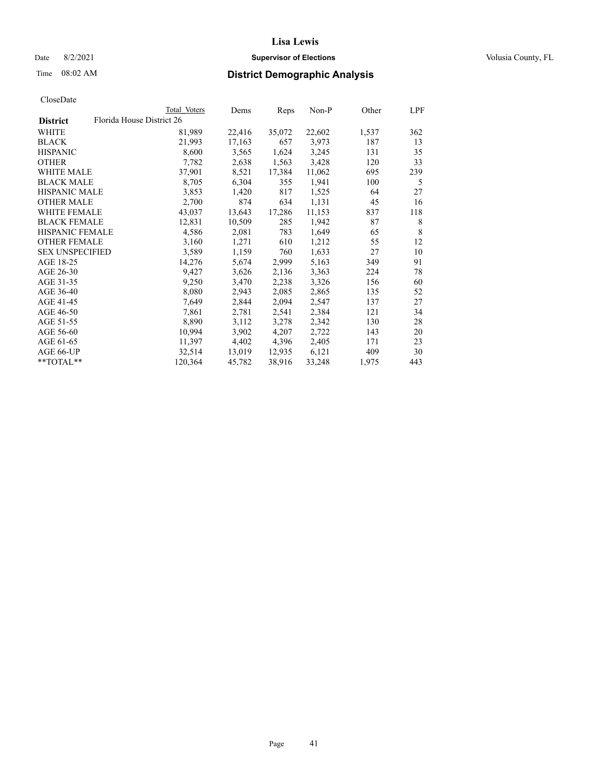## Date 8/2/2021 **Supervisor of Elections Supervisor of Elections** Volusia County, FL

| CloseDate |
|-----------|
|-----------|

|                        | Total Voters              | Dems   | Reps   | Non-P  | Other | LPF |
|------------------------|---------------------------|--------|--------|--------|-------|-----|
| <b>District</b>        | Florida House District 26 |        |        |        |       |     |
| WHITE                  | 81,989                    | 22,416 | 35,072 | 22,602 | 1,537 | 362 |
| BLACK                  | 21,993                    | 17,163 | 657    | 3,973  | 187   | 13  |
| <b>HISPANIC</b>        | 8,600                     | 3,565  | 1,624  | 3,245  | 131   | 35  |
| <b>OTHER</b>           | 7,782                     | 2,638  | 1,563  | 3,428  | 120   | 33  |
| WHITE MALE             | 37,901                    | 8,521  | 17,384 | 11,062 | 695   | 239 |
| <b>BLACK MALE</b>      | 8,705                     | 6,304  | 355    | 1,941  | 100   | 5   |
| <b>HISPANIC MALE</b>   | 3,853                     | 1,420  | 817    | 1,525  | 64    | 27  |
| OTHER MALE             | 2,700                     | 874    | 634    | 1,131  | 45    | 16  |
| WHITE FEMALE           | 43,037                    | 13,643 | 17,286 | 11,153 | 837   | 118 |
| <b>BLACK FEMALE</b>    | 12,831                    | 10,509 | 285    | 1,942  | 87    | 8   |
| <b>HISPANIC FEMALE</b> | 4,586                     | 2,081  | 783    | 1,649  | 65    | 8   |
| <b>OTHER FEMALE</b>    | 3,160                     | 1,271  | 610    | 1,212  | 55    | 12  |
| <b>SEX UNSPECIFIED</b> | 3,589                     | 1,159  | 760    | 1,633  | 27    | 10  |
| AGE 18-25              | 14,276                    | 5,674  | 2,999  | 5,163  | 349   | 91  |
| AGE 26-30              | 9,427                     | 3,626  | 2,136  | 3,363  | 224   | 78  |
| AGE 31-35              | 9,250                     | 3,470  | 2,238  | 3,326  | 156   | 60  |
| AGE 36-40              | 8,080                     | 2,943  | 2,085  | 2,865  | 135   | 52  |
| AGE 41-45              | 7,649                     | 2,844  | 2,094  | 2,547  | 137   | 27  |
| AGE 46-50              | 7,861                     | 2,781  | 2,541  | 2,384  | 121   | 34  |
| AGE 51-55              | 8,890                     | 3,112  | 3,278  | 2,342  | 130   | 28  |
| AGE 56-60              | 10,994                    | 3,902  | 4,207  | 2,722  | 143   | 20  |
| AGE 61-65              | 11,397                    | 4,402  | 4,396  | 2,405  | 171   | 23  |
| AGE 66-UP              | 32,514                    | 13,019 | 12,935 | 6,121  | 409   | 30  |
| **TOTAL**              | 120,364                   | 45,782 | 38,916 | 33,248 | 1,975 | 443 |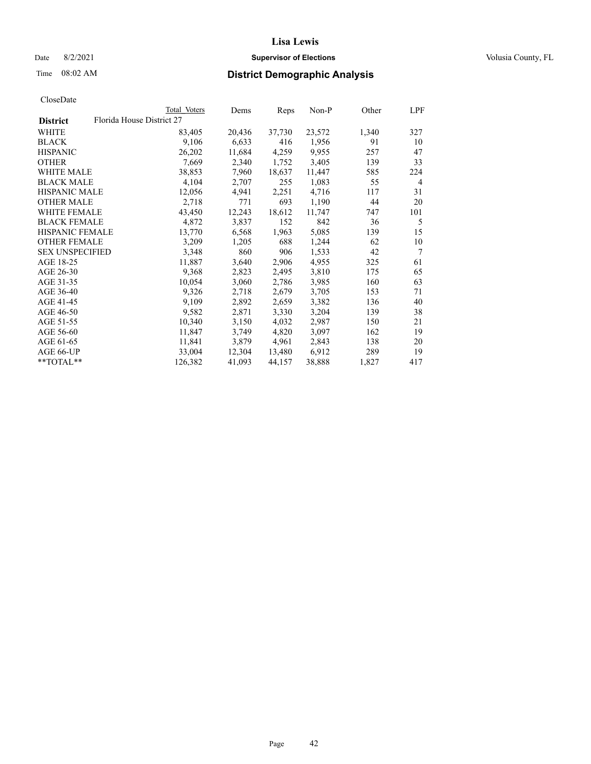## Date 8/2/2021 **Supervisor of Elections Supervisor of Elections** Volusia County, FL

|                        |                           | Total Voters | Dems   | Reps   | $Non-P$ | Other | LPF            |
|------------------------|---------------------------|--------------|--------|--------|---------|-------|----------------|
| <b>District</b>        | Florida House District 27 |              |        |        |         |       |                |
| <b>WHITE</b>           |                           | 83,405       | 20,436 | 37,730 | 23,572  | 1,340 | 327            |
| <b>BLACK</b>           |                           | 9,106        | 6,633  | 416    | 1,956   | 91    | 10             |
| <b>HISPANIC</b>        |                           | 26,202       | 11,684 | 4,259  | 9,955   | 257   | 47             |
| <b>OTHER</b>           |                           | 7,669        | 2,340  | 1,752  | 3,405   | 139   | 33             |
| <b>WHITE MALE</b>      |                           | 38,853       | 7,960  | 18,637 | 11,447  | 585   | 224            |
| <b>BLACK MALE</b>      |                           | 4,104        | 2,707  | 255    | 1,083   | 55    | $\overline{4}$ |
| <b>HISPANIC MALE</b>   |                           | 12,056       | 4,941  | 2,251  | 4,716   | 117   | 31             |
| <b>OTHER MALE</b>      |                           | 2,718        | 771    | 693    | 1,190   | 44    | 20             |
| WHITE FEMALE           |                           | 43,450       | 12,243 | 18,612 | 11,747  | 747   | 101            |
| <b>BLACK FEMALE</b>    |                           | 4,872        | 3,837  | 152    | 842     | 36    | 5              |
| HISPANIC FEMALE        |                           | 13,770       | 6,568  | 1,963  | 5,085   | 139   | 15             |
| <b>OTHER FEMALE</b>    |                           | 3,209        | 1,205  | 688    | 1,244   | 62    | 10             |
| <b>SEX UNSPECIFIED</b> |                           | 3,348        | 860    | 906    | 1,533   | 42    | 7              |
| AGE 18-25              |                           | 11,887       | 3,640  | 2,906  | 4,955   | 325   | 61             |
| AGE 26-30              |                           | 9,368        | 2,823  | 2,495  | 3,810   | 175   | 65             |
| AGE 31-35              |                           | 10,054       | 3,060  | 2,786  | 3,985   | 160   | 63             |
| AGE 36-40              |                           | 9,326        | 2,718  | 2,679  | 3,705   | 153   | 71             |
| AGE 41-45              |                           | 9,109        | 2,892  | 2,659  | 3,382   | 136   | 40             |
| AGE 46-50              |                           | 9,582        | 2,871  | 3,330  | 3,204   | 139   | 38             |
| AGE 51-55              |                           | 10,340       | 3,150  | 4,032  | 2,987   | 150   | 21             |
| AGE 56-60              |                           | 11,847       | 3,749  | 4,820  | 3,097   | 162   | 19             |
| AGE 61-65              |                           | 11,841       | 3,879  | 4,961  | 2,843   | 138   | 20             |
| AGE 66-UP              |                           | 33,004       | 12,304 | 13,480 | 6,912   | 289   | 19             |
| **TOTAL**              |                           | 126,382      | 41,093 | 44,157 | 38,888  | 1,827 | 417            |
|                        |                           |              |        |        |         |       |                |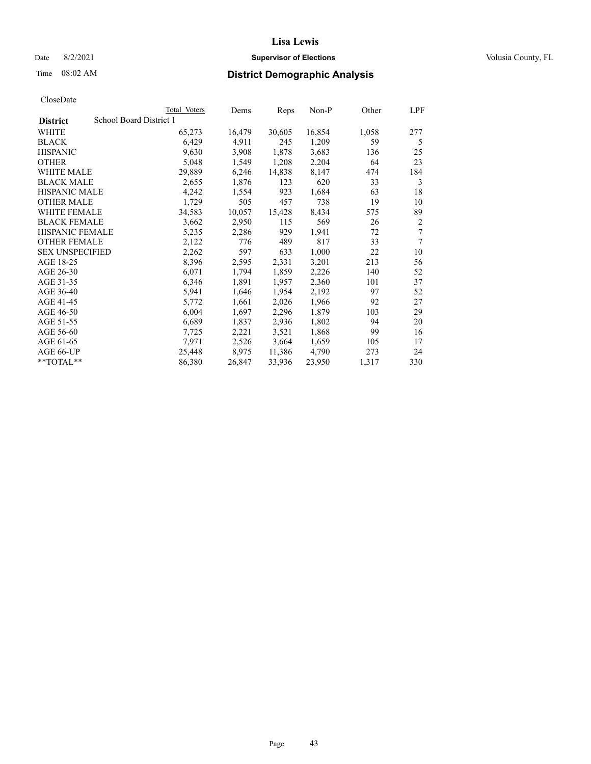## Date 8/2/2021 **Supervisor of Elections Supervisor of Elections** Volusia County, FL

| CloseDate |
|-----------|
|-----------|

|                        | Total Voters            | Dems   | Reps   | Non-P  | Other | LPF            |
|------------------------|-------------------------|--------|--------|--------|-------|----------------|
| <b>District</b>        | School Board District 1 |        |        |        |       |                |
| WHITE                  | 65,273                  | 16,479 | 30,605 | 16,854 | 1,058 | 277            |
| <b>BLACK</b>           | 6,429                   | 4,911  | 245    | 1,209  | 59    | 5              |
| <b>HISPANIC</b>        | 9,630                   | 3,908  | 1,878  | 3,683  | 136   | 25             |
| <b>OTHER</b>           | 5,048                   | 1,549  | 1,208  | 2,204  | 64    | 23             |
| WHITE MALE             | 29,889                  | 6,246  | 14,838 | 8,147  | 474   | 184            |
| <b>BLACK MALE</b>      | 2,655                   | 1,876  | 123    | 620    | 33    | 3              |
| <b>HISPANIC MALE</b>   | 4,242                   | 1,554  | 923    | 1,684  | 63    | 18             |
| <b>OTHER MALE</b>      | 1,729                   | 505    | 457    | 738    | 19    | 10             |
| <b>WHITE FEMALE</b>    | 34,583                  | 10,057 | 15,428 | 8,434  | 575   | 89             |
| <b>BLACK FEMALE</b>    | 3,662                   | 2,950  | 115    | 569    | 26    | $\overline{2}$ |
| <b>HISPANIC FEMALE</b> | 5,235                   | 2,286  | 929    | 1,941  | 72    | 7              |
| <b>OTHER FEMALE</b>    | 2,122                   | 776    | 489    | 817    | 33    | 7              |
| <b>SEX UNSPECIFIED</b> | 2,262                   | 597    | 633    | 1,000  | 22    | 10             |
| AGE 18-25              | 8,396                   | 2,595  | 2,331  | 3,201  | 213   | 56             |
| AGE 26-30              | 6,071                   | 1,794  | 1,859  | 2,226  | 140   | 52             |
| AGE 31-35              | 6,346                   | 1,891  | 1,957  | 2,360  | 101   | 37             |
| AGE 36-40              | 5,941                   | 1,646  | 1,954  | 2,192  | 97    | 52             |
| AGE 41-45              | 5,772                   | 1,661  | 2,026  | 1,966  | 92    | 27             |
| AGE 46-50              | 6,004                   | 1,697  | 2,296  | 1,879  | 103   | 29             |
| AGE 51-55              | 6,689                   | 1,837  | 2,936  | 1,802  | 94    | 20             |
| AGE 56-60              | 7,725                   | 2,221  | 3,521  | 1,868  | 99    | 16             |
| AGE 61-65              | 7,971                   | 2,526  | 3,664  | 1,659  | 105   | 17             |
| AGE 66-UP              | 25,448                  | 8,975  | 11,386 | 4,790  | 273   | 24             |
| $*$ TOTAL $*$          | 86,380                  | 26,847 | 33,936 | 23,950 | 1,317 | 330            |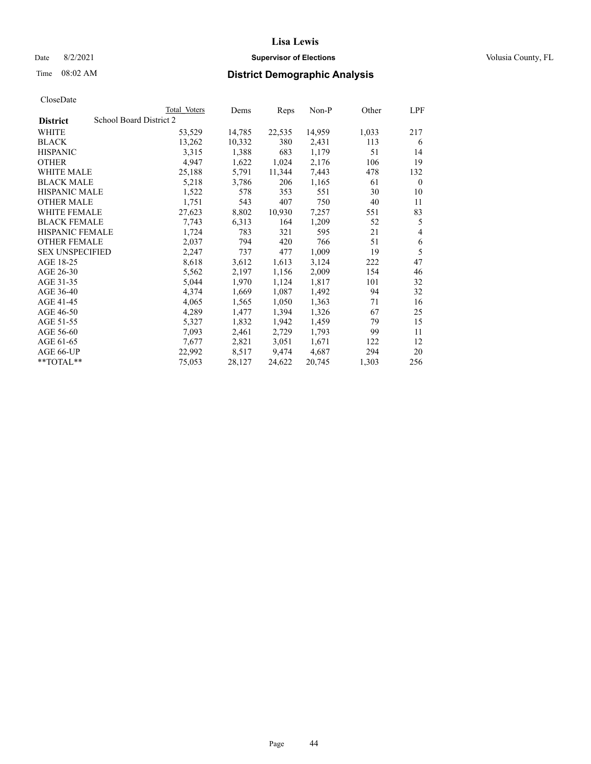Date 8/2/2021 **Supervisor of Elections Supervisor of Elections** Volusia County, FL

# Time 08:02 AM **District Demographic Analysis**

|                        |                         | Total Voters | Dems   | Reps   | Non-P  | Other | LPF      |
|------------------------|-------------------------|--------------|--------|--------|--------|-------|----------|
| <b>District</b>        | School Board District 2 |              |        |        |        |       |          |
| WHITE                  |                         | 53,529       | 14,785 | 22,535 | 14,959 | 1,033 | 217      |
| <b>BLACK</b>           |                         | 13,262       | 10,332 | 380    | 2,431  | 113   | 6        |
| <b>HISPANIC</b>        |                         | 3,315        | 1,388  | 683    | 1,179  | 51    | 14       |
| <b>OTHER</b>           |                         | 4,947        | 1,622  | 1,024  | 2,176  | 106   | 19       |
| WHITE MALE             |                         | 25,188       | 5,791  | 11,344 | 7,443  | 478   | 132      |
| <b>BLACK MALE</b>      |                         | 5,218        | 3,786  | 206    | 1,165  | 61    | $\theta$ |
| <b>HISPANIC MALE</b>   |                         | 1,522        | 578    | 353    | 551    | 30    | 10       |
| <b>OTHER MALE</b>      |                         | 1,751        | 543    | 407    | 750    | 40    | 11       |
| <b>WHITE FEMALE</b>    |                         | 27,623       | 8,802  | 10,930 | 7,257  | 551   | 83       |
| <b>BLACK FEMALE</b>    |                         | 7,743        | 6,313  | 164    | 1,209  | 52    | 5        |
| <b>HISPANIC FEMALE</b> |                         | 1,724        | 783    | 321    | 595    | 21    | 4        |
| <b>OTHER FEMALE</b>    |                         | 2,037        | 794    | 420    | 766    | 51    | 6        |
| <b>SEX UNSPECIFIED</b> |                         | 2,247        | 737    | 477    | 1,009  | 19    | 5        |
| AGE 18-25              |                         | 8,618        | 3,612  | 1,613  | 3,124  | 222   | 47       |
| AGE 26-30              |                         | 5,562        | 2,197  | 1,156  | 2,009  | 154   | 46       |
| AGE 31-35              |                         | 5,044        | 1,970  | 1,124  | 1,817  | 101   | 32       |
| AGE 36-40              |                         | 4,374        | 1,669  | 1,087  | 1,492  | 94    | 32       |
| AGE 41-45              |                         | 4,065        | 1,565  | 1,050  | 1,363  | 71    | 16       |
| AGE 46-50              |                         | 4,289        | 1,477  | 1,394  | 1,326  | 67    | 25       |
| AGE 51-55              |                         | 5,327        | 1,832  | 1,942  | 1,459  | 79    | 15       |
| AGE 56-60              |                         | 7,093        | 2,461  | 2,729  | 1,793  | 99    | 11       |
| AGE 61-65              |                         | 7,677        | 2,821  | 3,051  | 1,671  | 122   | 12       |
| AGE 66-UP              |                         | 22,992       | 8,517  | 9,474  | 4,687  | 294   | 20       |
| **TOTAL**              |                         | 75,053       | 28,127 | 24,622 | 20,745 | 1,303 | 256      |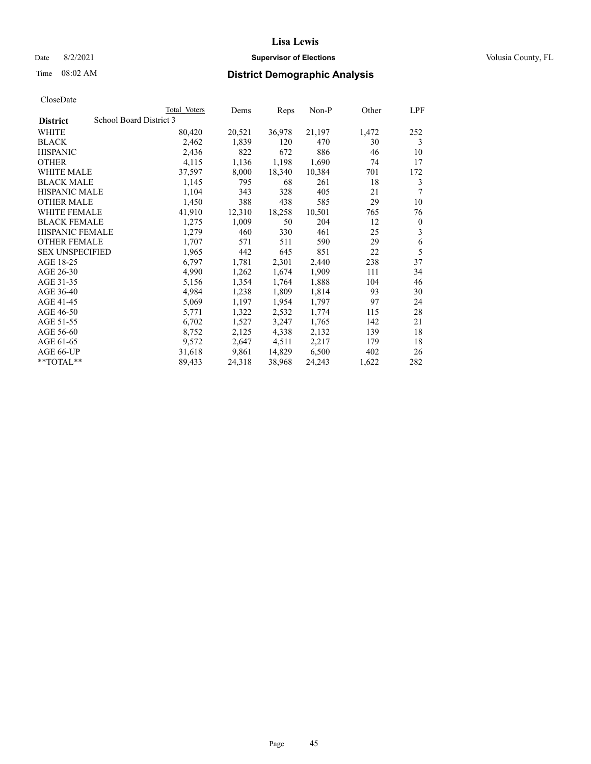## Date 8/2/2021 **Supervisor of Elections Supervisor of Elections** Volusia County, FL

|                        |                         | Total Voters | Dems   | Reps   | Non-P  | Other | LPF              |
|------------------------|-------------------------|--------------|--------|--------|--------|-------|------------------|
| <b>District</b>        | School Board District 3 |              |        |        |        |       |                  |
| WHITE                  |                         | 80,420       | 20,521 | 36,978 | 21,197 | 1,472 | 252              |
| <b>BLACK</b>           |                         | 2,462        | 1,839  | 120    | 470    | 30    | 3                |
| <b>HISPANIC</b>        |                         | 2,436        | 822    | 672    | 886    | 46    | 10               |
| <b>OTHER</b>           |                         | 4,115        | 1,136  | 1,198  | 1,690  | 74    | 17               |
| <b>WHITE MALE</b>      |                         | 37,597       | 8,000  | 18,340 | 10,384 | 701   | 172              |
| <b>BLACK MALE</b>      |                         | 1,145        | 795    | 68     | 261    | 18    | 3                |
| <b>HISPANIC MALE</b>   |                         | 1,104        | 343    | 328    | 405    | 21    | 7                |
| <b>OTHER MALE</b>      |                         | 1,450        | 388    | 438    | 585    | 29    | 10               |
| <b>WHITE FEMALE</b>    |                         | 41,910       | 12,310 | 18,258 | 10,501 | 765   | 76               |
| <b>BLACK FEMALE</b>    |                         | 1,275        | 1,009  | 50     | 204    | 12    | $\boldsymbol{0}$ |
| HISPANIC FEMALE        |                         | 1,279        | 460    | 330    | 461    | 25    | 3                |
| <b>OTHER FEMALE</b>    |                         | 1,707        | 571    | 511    | 590    | 29    | 6                |
| <b>SEX UNSPECIFIED</b> |                         | 1,965        | 442    | 645    | 851    | 22    | 5                |
| AGE 18-25              |                         | 6,797        | 1,781  | 2,301  | 2,440  | 238   | 37               |
| AGE 26-30              |                         | 4,990        | 1,262  | 1,674  | 1,909  | 111   | 34               |
| AGE 31-35              |                         | 5,156        | 1,354  | 1,764  | 1,888  | 104   | 46               |
| AGE 36-40              |                         | 4,984        | 1,238  | 1,809  | 1,814  | 93    | 30               |
| AGE 41-45              |                         | 5,069        | 1,197  | 1,954  | 1,797  | 97    | 24               |
| AGE 46-50              |                         | 5,771        | 1,322  | 2,532  | 1,774  | 115   | 28               |
| AGE 51-55              |                         | 6,702        | 1,527  | 3,247  | 1,765  | 142   | 21               |
| AGE 56-60              |                         | 8,752        | 2,125  | 4,338  | 2,132  | 139   | 18               |
| AGE 61-65              |                         | 9,572        | 2,647  | 4,511  | 2,217  | 179   | 18               |
| AGE 66-UP              |                         | 31,618       | 9,861  | 14,829 | 6,500  | 402   | 26               |
| **TOTAL**              |                         | 89,433       | 24,318 | 38,968 | 24,243 | 1,622 | 282              |
|                        |                         |              |        |        |        |       |                  |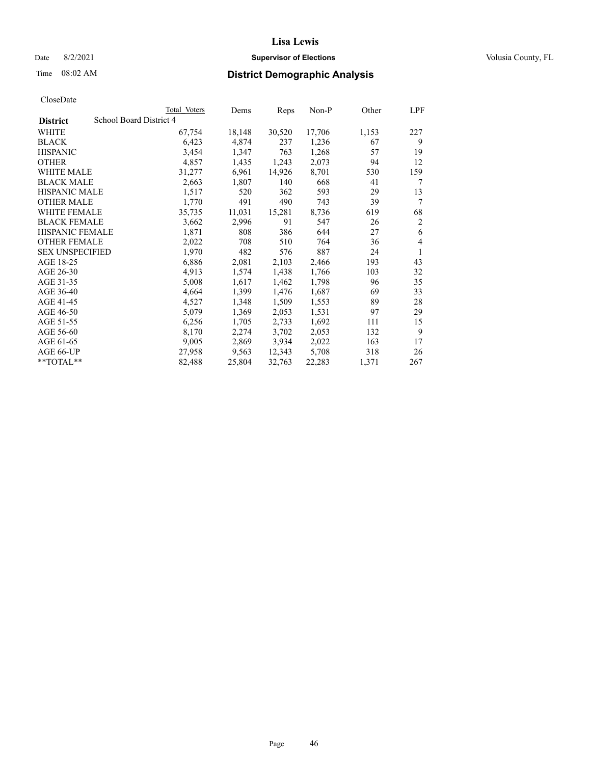## Date 8/2/2021 **Supervisor of Elections Supervisor of Elections** Volusia County, FL

## Time 08:02 AM **District Demographic Analysis**

|                        | Total Voters            | Dems   | Reps   | Non-P  | Other | LPF            |
|------------------------|-------------------------|--------|--------|--------|-------|----------------|
| <b>District</b>        | School Board District 4 |        |        |        |       |                |
| WHITE                  | 67,754                  | 18,148 | 30,520 | 17,706 | 1,153 | 227            |
| <b>BLACK</b>           | 6,423                   | 4,874  | 237    | 1,236  | 67    | 9              |
| <b>HISPANIC</b>        | 3,454                   | 1,347  | 763    | 1,268  | 57    | 19             |
| <b>OTHER</b>           | 4,857                   | 1,435  | 1,243  | 2,073  | 94    | 12             |
| WHITE MALE             | 31,277                  | 6,961  | 14,926 | 8,701  | 530   | 159            |
| <b>BLACK MALE</b>      | 2,663                   | 1,807  | 140    | 668    | 41    | 7              |
| <b>HISPANIC MALE</b>   | 1,517                   | 520    | 362    | 593    | 29    | 13             |
| <b>OTHER MALE</b>      | 1,770                   | 491    | 490    | 743    | 39    | $\tau$         |
| <b>WHITE FEMALE</b>    | 35,735                  | 11,031 | 15,281 | 8,736  | 619   | 68             |
| <b>BLACK FEMALE</b>    | 3,662                   | 2,996  | 91     | 547    | 26    | $\overline{2}$ |
| <b>HISPANIC FEMALE</b> | 1,871                   | 808    | 386    | 644    | 27    | 6              |
| <b>OTHER FEMALE</b>    | 2,022                   | 708    | 510    | 764    | 36    | $\overline{4}$ |
| <b>SEX UNSPECIFIED</b> | 1,970                   | 482    | 576    | 887    | 24    | 1              |
| AGE 18-25              | 6,886                   | 2,081  | 2,103  | 2,466  | 193   | 43             |
| AGE 26-30              | 4,913                   | 1,574  | 1,438  | 1,766  | 103   | 32             |
| AGE 31-35              | 5,008                   | 1,617  | 1,462  | 1,798  | 96    | 35             |
| AGE 36-40              | 4,664                   | 1,399  | 1,476  | 1,687  | 69    | 33             |
| AGE 41-45              | 4,527                   | 1,348  | 1,509  | 1,553  | 89    | 28             |
| AGE 46-50              | 5,079                   | 1,369  | 2,053  | 1,531  | 97    | 29             |
| AGE 51-55              | 6,256                   | 1,705  | 2,733  | 1,692  | 111   | 15             |
| AGE 56-60              | 8,170                   | 2,274  | 3,702  | 2,053  | 132   | 9              |
| AGE 61-65              | 9,005                   | 2,869  | 3,934  | 2,022  | 163   | 17             |
| AGE 66-UP              | 27,958                  | 9,563  | 12,343 | 5,708  | 318   | 26             |
| $*$ $TOTAL**$          | 82,488                  | 25,804 | 32,763 | 22,283 | 1,371 | 267            |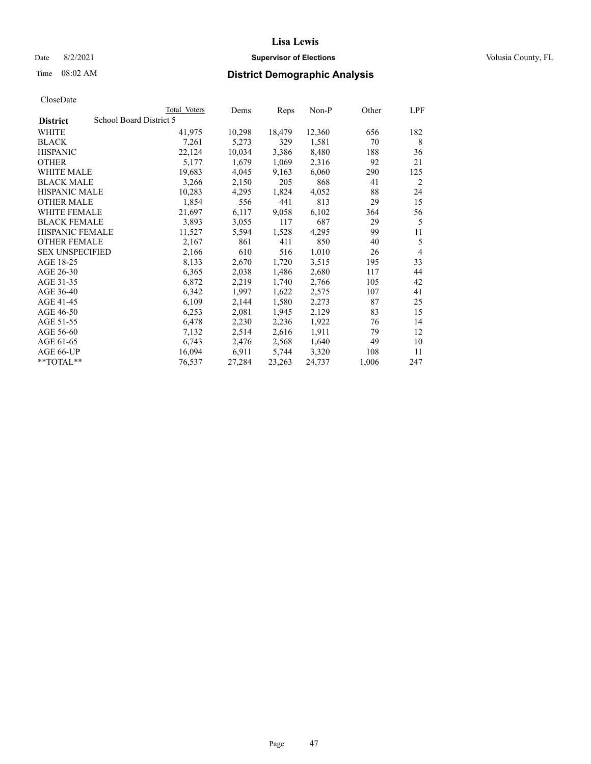## Date 8/2/2021 **Supervisor of Elections Supervisor of Elections** Volusia County, FL

| CloseDate |
|-----------|
|-----------|

|                        | Total Voters            | Dems   | Reps   | Non-P  | Other | LPF            |
|------------------------|-------------------------|--------|--------|--------|-------|----------------|
| <b>District</b>        | School Board District 5 |        |        |        |       |                |
| WHITE                  | 41,975                  | 10,298 | 18,479 | 12,360 | 656   | 182            |
| <b>BLACK</b>           | 7,261                   | 5,273  | 329    | 1,581  | 70    | 8              |
| <b>HISPANIC</b>        | 22,124                  | 10,034 | 3,386  | 8,480  | 188   | 36             |
| <b>OTHER</b>           | 5,177                   | 1,679  | 1,069  | 2,316  | 92    | 21             |
| WHITE MALE             | 19,683                  | 4,045  | 9,163  | 6,060  | 290   | 125            |
| <b>BLACK MALE</b>      | 3,266                   | 2,150  | 205    | 868    | 41    | 2              |
| <b>HISPANIC MALE</b>   | 10,283                  | 4,295  | 1,824  | 4,052  | 88    | 24             |
| <b>OTHER MALE</b>      | 1,854                   | 556    | 441    | 813    | 29    | 15             |
| <b>WHITE FEMALE</b>    | 21,697                  | 6,117  | 9,058  | 6,102  | 364   | 56             |
| <b>BLACK FEMALE</b>    | 3,893                   | 3,055  | 117    | 687    | 29    | 5              |
| HISPANIC FEMALE        | 11,527                  | 5,594  | 1,528  | 4,295  | 99    | 11             |
| <b>OTHER FEMALE</b>    | 2,167                   | 861    | 411    | 850    | 40    | 5              |
| <b>SEX UNSPECIFIED</b> | 2,166                   | 610    | 516    | 1,010  | 26    | $\overline{4}$ |
| AGE 18-25              | 8,133                   | 2,670  | 1,720  | 3,515  | 195   | 33             |
| AGE 26-30              | 6,365                   | 2,038  | 1,486  | 2,680  | 117   | 44             |
| AGE 31-35              | 6,872                   | 2,219  | 1,740  | 2,766  | 105   | 42             |
| AGE 36-40              | 6,342                   | 1,997  | 1,622  | 2,575  | 107   | 41             |
| AGE 41-45              | 6,109                   | 2,144  | 1,580  | 2,273  | 87    | 25             |
| AGE 46-50              | 6,253                   | 2,081  | 1,945  | 2,129  | 83    | 15             |
| AGE 51-55              | 6,478                   | 2,230  | 2,236  | 1,922  | 76    | 14             |
| AGE 56-60              | 7,132                   | 2,514  | 2,616  | 1,911  | 79    | 12             |
| AGE 61-65              | 6,743                   | 2,476  | 2,568  | 1,640  | 49    | 10             |
| AGE 66-UP              | 16,094                  | 6,911  | 5,744  | 3,320  | 108   | 11             |
| **TOTAL**              | 76,537                  | 27,284 | 23,263 | 24,737 | 1,006 | 247            |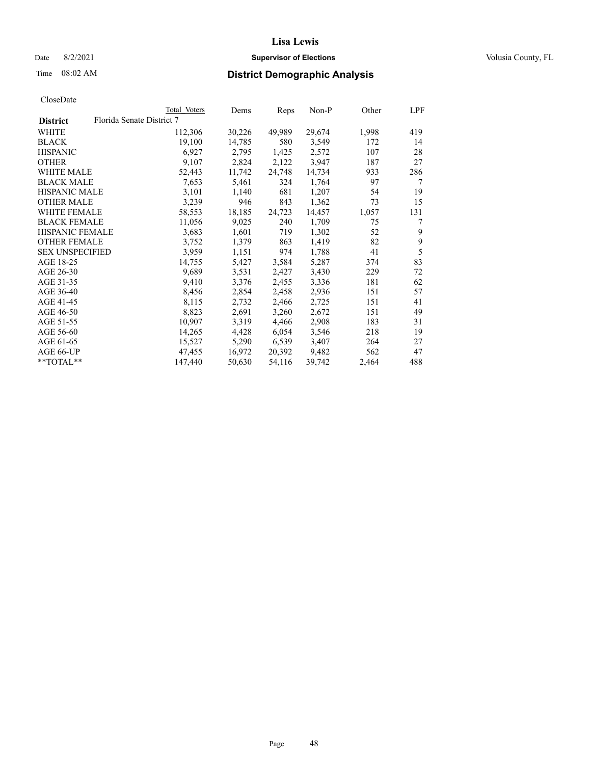## Date 8/2/2021 **Supervisor of Elections Supervisor of Elections** Volusia County, FL

# Time 08:02 AM **District Demographic Analysis**

|                        |                           | Total Voters | Dems   | Reps   | Non-P  | Other | LPF |
|------------------------|---------------------------|--------------|--------|--------|--------|-------|-----|
| <b>District</b>        | Florida Senate District 7 |              |        |        |        |       |     |
| WHITE                  |                           | 112,306      | 30,226 | 49,989 | 29,674 | 1,998 | 419 |
| <b>BLACK</b>           |                           | 19,100       | 14,785 | 580    | 3,549  | 172   | 14  |
| <b>HISPANIC</b>        |                           | 6,927        | 2,795  | 1,425  | 2,572  | 107   | 28  |
| <b>OTHER</b>           |                           | 9,107        | 2,824  | 2,122  | 3,947  | 187   | 27  |
| WHITE MALE             |                           | 52,443       | 11,742 | 24,748 | 14,734 | 933   | 286 |
| <b>BLACK MALE</b>      |                           | 7,653        | 5,461  | 324    | 1,764  | 97    | 7   |
| <b>HISPANIC MALE</b>   |                           | 3,101        | 1,140  | 681    | 1,207  | 54    | 19  |
| <b>OTHER MALE</b>      |                           | 3,239        | 946    | 843    | 1,362  | 73    | 15  |
| <b>WHITE FEMALE</b>    |                           | 58,553       | 18,185 | 24,723 | 14,457 | 1,057 | 131 |
| <b>BLACK FEMALE</b>    |                           | 11,056       | 9,025  | 240    | 1,709  | 75    | 7   |
| <b>HISPANIC FEMALE</b> |                           | 3,683        | 1,601  | 719    | 1,302  | 52    | 9   |
| <b>OTHER FEMALE</b>    |                           | 3,752        | 1,379  | 863    | 1,419  | 82    | 9   |
| <b>SEX UNSPECIFIED</b> |                           | 3,959        | 1,151  | 974    | 1,788  | 41    | 5   |
| AGE 18-25              |                           | 14,755       | 5,427  | 3,584  | 5,287  | 374   | 83  |
| AGE 26-30              |                           | 9,689        | 3,531  | 2,427  | 3,430  | 229   | 72  |
| AGE 31-35              |                           | 9,410        | 3,376  | 2,455  | 3,336  | 181   | 62  |
| AGE 36-40              |                           | 8,456        | 2,854  | 2,458  | 2,936  | 151   | 57  |
| AGE 41-45              |                           | 8,115        | 2,732  | 2,466  | 2,725  | 151   | 41  |
| AGE 46-50              |                           | 8,823        | 2,691  | 3,260  | 2,672  | 151   | 49  |
| AGE 51-55              |                           | 10,907       | 3,319  | 4,466  | 2,908  | 183   | 31  |
| AGE 56-60              |                           | 14,265       | 4,428  | 6,054  | 3,546  | 218   | 19  |
| AGE 61-65              |                           | 15,527       | 5,290  | 6,539  | 3,407  | 264   | 27  |
| AGE 66-UP              |                           | 47,455       | 16,972 | 20,392 | 9,482  | 562   | 47  |
| $*$ $TOTAL**$          |                           | 147,440      | 50,630 | 54,116 | 39,742 | 2,464 | 488 |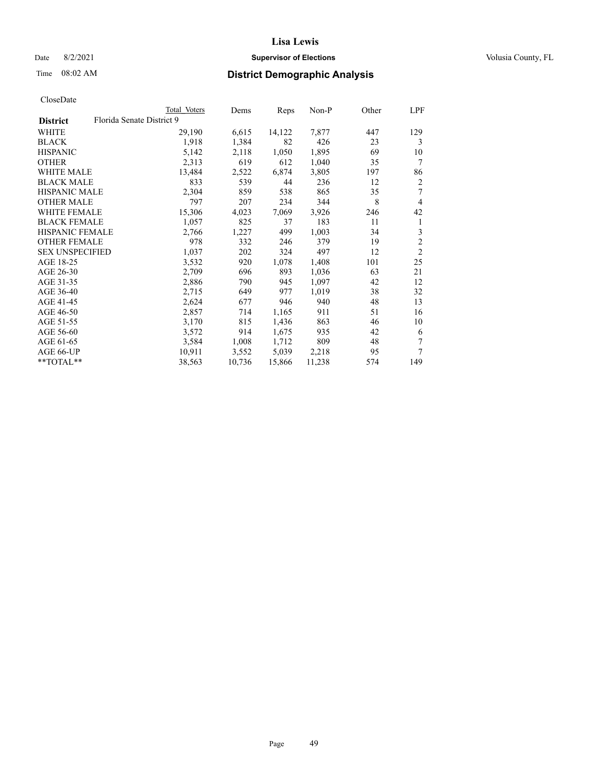## Date 8/2/2021 **Supervisor of Elections Supervisor of Elections** Volusia County, FL

# Time 08:02 AM **District Demographic Analysis**

|                        |                           | Total Voters | Dems   | Reps   | $Non-P$ | Other | LPF            |
|------------------------|---------------------------|--------------|--------|--------|---------|-------|----------------|
| <b>District</b>        | Florida Senate District 9 |              |        |        |         |       |                |
| WHITE                  |                           | 29,190       | 6,615  | 14,122 | 7,877   | 447   | 129            |
| <b>BLACK</b>           |                           | 1,918        | 1,384  | 82     | 426     | 23    | 3              |
| <b>HISPANIC</b>        |                           | 5,142        | 2,118  | 1,050  | 1,895   | 69    | 10             |
| <b>OTHER</b>           |                           | 2,313        | 619    | 612    | 1,040   | 35    | 7              |
| WHITE MALE             |                           | 13,484       | 2,522  | 6,874  | 3,805   | 197   | 86             |
| <b>BLACK MALE</b>      |                           | 833          | 539    | 44     | 236     | 12    | $\overline{2}$ |
| <b>HISPANIC MALE</b>   |                           | 2,304        | 859    | 538    | 865     | 35    | 7              |
| <b>OTHER MALE</b>      |                           | 797          | 207    | 234    | 344     | 8     | 4              |
| <b>WHITE FEMALE</b>    |                           | 15,306       | 4,023  | 7,069  | 3,926   | 246   | 42             |
| <b>BLACK FEMALE</b>    |                           | 1,057        | 825    | 37     | 183     | 11    | 1              |
| <b>HISPANIC FEMALE</b> |                           | 2,766        | 1,227  | 499    | 1,003   | 34    | 3              |
| <b>OTHER FEMALE</b>    |                           | 978          | 332    | 246    | 379     | 19    | $\mathfrak{2}$ |
| <b>SEX UNSPECIFIED</b> |                           | 1,037        | 202    | 324    | 497     | 12    | $\overline{2}$ |
| AGE 18-25              |                           | 3,532        | 920    | 1,078  | 1,408   | 101   | 25             |
| AGE 26-30              |                           | 2,709        | 696    | 893    | 1,036   | 63    | 21             |
| AGE 31-35              |                           | 2,886        | 790    | 945    | 1,097   | 42    | 12             |
| AGE 36-40              |                           | 2,715        | 649    | 977    | 1,019   | 38    | 32             |
| AGE 41-45              |                           | 2,624        | 677    | 946    | 940     | 48    | 13             |
| AGE 46-50              |                           | 2,857        | 714    | 1,165  | 911     | 51    | 16             |
| AGE 51-55              |                           | 3,170        | 815    | 1,436  | 863     | 46    | 10             |
| AGE 56-60              |                           | 3,572        | 914    | 1,675  | 935     | 42    | 6              |
| AGE 61-65              |                           | 3,584        | 1,008  | 1,712  | 809     | 48    | 7              |
| AGE 66-UP              |                           | 10,911       | 3,552  | 5,039  | 2,218   | 95    | 7              |
| $*$ $TOTAL**$          |                           | 38,563       | 10,736 | 15,866 | 11,238  | 574   | 149            |
|                        |                           |              |        |        |         |       |                |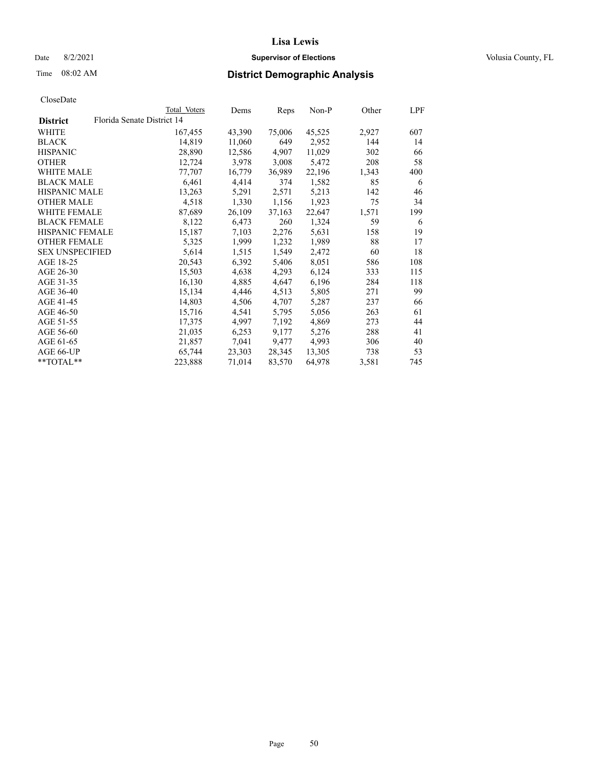## Date 8/2/2021 **Supervisor of Elections Supervisor of Elections** Volusia County, FL

## Time 08:02 AM **District Demographic Analysis**

|                        |                            | Total Voters | Dems   | Reps   | Non-P  | Other | LPF |
|------------------------|----------------------------|--------------|--------|--------|--------|-------|-----|
| <b>District</b>        | Florida Senate District 14 |              |        |        |        |       |     |
| WHITE                  |                            | 167,455      | 43,390 | 75,006 | 45,525 | 2,927 | 607 |
| <b>BLACK</b>           |                            | 14,819       | 11,060 | 649    | 2,952  | 144   | 14  |
| <b>HISPANIC</b>        |                            | 28,890       | 12,586 | 4,907  | 11,029 | 302   | 66  |
| <b>OTHER</b>           |                            | 12,724       | 3,978  | 3,008  | 5,472  | 208   | 58  |
| WHITE MALE             |                            | 77,707       | 16,779 | 36,989 | 22,196 | 1,343 | 400 |
| <b>BLACK MALE</b>      |                            | 6,461        | 4,414  | 374    | 1,582  | 85    | 6   |
| <b>HISPANIC MALE</b>   |                            | 13,263       | 5,291  | 2,571  | 5,213  | 142   | 46  |
| <b>OTHER MALE</b>      |                            | 4,518        | 1,330  | 1,156  | 1,923  | 75    | 34  |
| <b>WHITE FEMALE</b>    |                            | 87,689       | 26,109 | 37,163 | 22,647 | 1,571 | 199 |
| <b>BLACK FEMALE</b>    |                            | 8,122        | 6,473  | 260    | 1,324  | 59    | 6   |
| <b>HISPANIC FEMALE</b> |                            | 15,187       | 7,103  | 2,276  | 5,631  | 158   | 19  |
| <b>OTHER FEMALE</b>    |                            | 5,325        | 1,999  | 1,232  | 1,989  | 88    | 17  |
| <b>SEX UNSPECIFIED</b> |                            | 5,614        | 1,515  | 1,549  | 2,472  | 60    | 18  |
| AGE 18-25              |                            | 20,543       | 6,392  | 5,406  | 8,051  | 586   | 108 |
| AGE 26-30              |                            | 15,503       | 4,638  | 4,293  | 6,124  | 333   | 115 |
| AGE 31-35              |                            | 16,130       | 4,885  | 4,647  | 6,196  | 284   | 118 |
| AGE 36-40              |                            | 15,134       | 4,446  | 4,513  | 5,805  | 271   | 99  |
| AGE 41-45              |                            | 14,803       | 4,506  | 4,707  | 5,287  | 237   | 66  |
| AGE 46-50              |                            | 15,716       | 4,541  | 5,795  | 5,056  | 263   | 61  |
| AGE 51-55              |                            | 17,375       | 4,997  | 7,192  | 4,869  | 273   | 44  |
| AGE 56-60              |                            | 21,035       | 6,253  | 9,177  | 5,276  | 288   | 41  |
| AGE 61-65              |                            | 21,857       | 7,041  | 9,477  | 4,993  | 306   | 40  |
| AGE 66-UP              |                            | 65,744       | 23,303 | 28,345 | 13,305 | 738   | 53  |
| $*$ $TOTAL**$          |                            | 223,888      | 71,014 | 83,570 | 64,978 | 3,581 | 745 |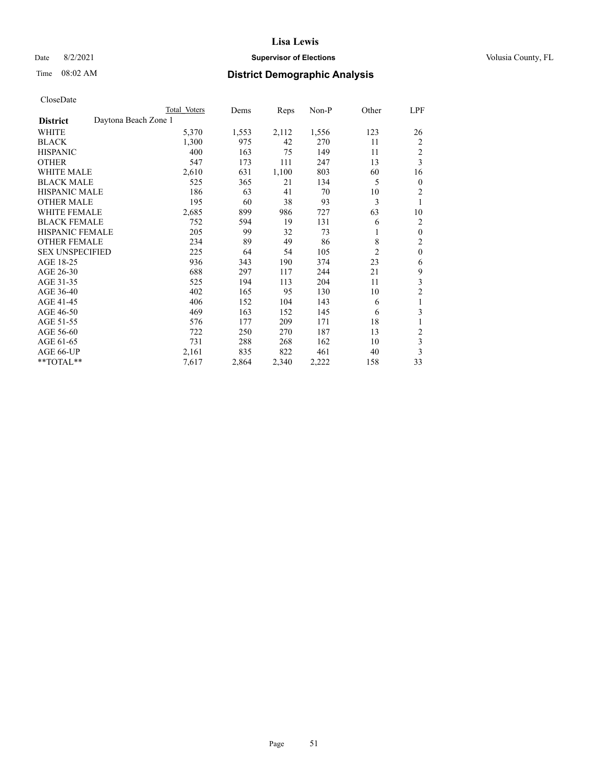## Date 8/2/2021 **Supervisor of Elections Supervisor of Elections** Volusia County, FL

# Time 08:02 AM **District Demographic Analysis**

|                                         | Total Voters | Dems  | Reps  | $Non-P$ | Other          | LPF            |
|-----------------------------------------|--------------|-------|-------|---------|----------------|----------------|
| Daytona Beach Zone 1<br><b>District</b> |              |       |       |         |                |                |
| WHITE                                   | 5,370        | 1,553 | 2,112 | 1,556   | 123            | 26             |
| <b>BLACK</b>                            | 1,300        | 975   | 42    | 270     | 11             | $\overline{2}$ |
| <b>HISPANIC</b>                         | 400          | 163   | 75    | 149     | 11             | $\overline{2}$ |
| <b>OTHER</b>                            | 547          | 173   | 111   | 247     | 13             | 3              |
| <b>WHITE MALE</b>                       | 2,610        | 631   | 1,100 | 803     | 60             | 16             |
| <b>BLACK MALE</b>                       | 525          | 365   | 21    | 134     | 5              | $\theta$       |
| <b>HISPANIC MALE</b>                    | 186          | 63    | 41    | 70      | 10             | 2              |
| <b>OTHER MALE</b>                       | 195          | 60    | 38    | 93      | 3              | 1              |
| <b>WHITE FEMALE</b>                     | 2,685        | 899   | 986   | 727     | 63             | 10             |
| <b>BLACK FEMALE</b>                     | 752          | 594   | 19    | 131     | 6              | $\overline{2}$ |
| <b>HISPANIC FEMALE</b>                  | 205          | 99    | 32    | 73      | 1              | $\mathbf{0}$   |
| <b>OTHER FEMALE</b>                     | 234          | 89    | 49    | 86      | 8              | 2              |
| <b>SEX UNSPECIFIED</b>                  | 225          | 64    | 54    | 105     | $\overline{2}$ | $\mathbf{0}$   |
| AGE 18-25                               | 936          | 343   | 190   | 374     | 23             | 6              |
| AGE 26-30                               | 688          | 297   | 117   | 244     | 21             | 9              |
| AGE 31-35                               | 525          | 194   | 113   | 204     | 11             | 3              |
| AGE 36-40                               | 402          | 165   | 95    | 130     | 10             | $\overline{2}$ |
| AGE 41-45                               | 406          | 152   | 104   | 143     | 6              | 1              |
| AGE 46-50                               | 469          | 163   | 152   | 145     | 6              | 3              |
| AGE 51-55                               | 576          | 177   | 209   | 171     | 18             | 1              |
| AGE 56-60                               | 722          | 250   | 270   | 187     | 13             | $\overline{c}$ |
| AGE 61-65                               | 731          | 288   | 268   | 162     | 10             | 3              |
| AGE 66-UP                               | 2,161        | 835   | 822   | 461     | 40             | 3              |
| **TOTAL**                               | 7,617        | 2,864 | 2,340 | 2,222   | 158            | 33             |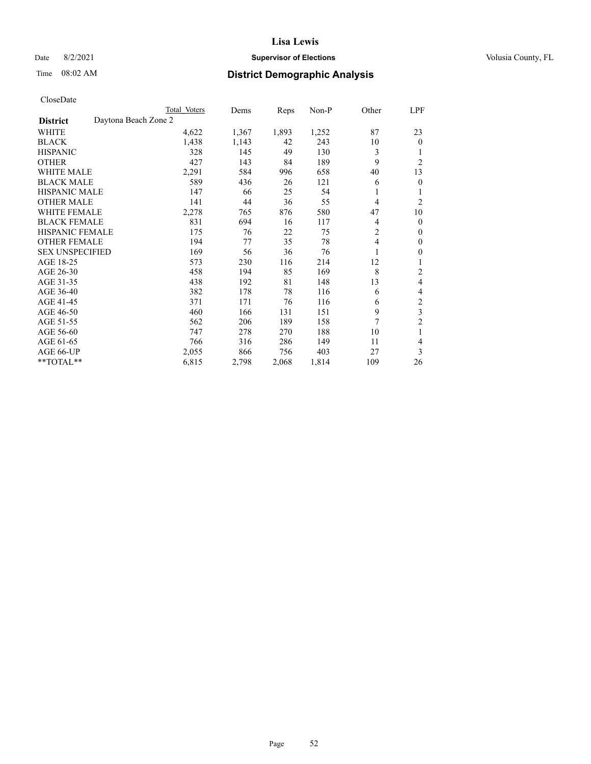## Date 8/2/2021 **Supervisor of Elections Supervisor of Elections** Volusia County, FL

# Time 08:02 AM **District Demographic Analysis**

|                        |                      | Total Voters | Dems  | Reps  | Non-P | Other          | LPF            |
|------------------------|----------------------|--------------|-------|-------|-------|----------------|----------------|
| <b>District</b>        | Daytona Beach Zone 2 |              |       |       |       |                |                |
| WHITE                  |                      | 4,622        | 1,367 | 1,893 | 1,252 | 87             | 23             |
| <b>BLACK</b>           |                      | 1,438        | 1,143 | 42    | 243   | 10             | $\mathbf{0}$   |
| <b>HISPANIC</b>        |                      | 328          | 145   | 49    | 130   | 3              |                |
| <b>OTHER</b>           |                      | 427          | 143   | 84    | 189   | 9              | $\overline{2}$ |
| <b>WHITE MALE</b>      |                      | 2,291        | 584   | 996   | 658   | 40             | 13             |
| <b>BLACK MALE</b>      |                      | 589          | 436   | 26    | 121   | 6              | $\theta$       |
| <b>HISPANIC MALE</b>   |                      | 147          | 66    | 25    | 54    | 1              | 1              |
| <b>OTHER MALE</b>      |                      | 141          | 44    | 36    | 55    | $\overline{4}$ | $\overline{2}$ |
| WHITE FEMALE           |                      | 2,278        | 765   | 876   | 580   | 47             | 10             |
| <b>BLACK FEMALE</b>    |                      | 831          | 694   | 16    | 117   | 4              | $\mathbf{0}$   |
| <b>HISPANIC FEMALE</b> |                      | 175          | 76    | 22    | 75    | $\overline{2}$ | $\Omega$       |
| <b>OTHER FEMALE</b>    |                      | 194          | 77    | 35    | 78    | $\overline{4}$ | $\theta$       |
| <b>SEX UNSPECIFIED</b> |                      | 169          | 56    | 36    | 76    |                | $\theta$       |
| AGE 18-25              |                      | 573          | 230   | 116   | 214   | 12             |                |
| AGE 26-30              |                      | 458          | 194   | 85    | 169   | 8              | 2              |
| AGE 31-35              |                      | 438          | 192   | 81    | 148   | 13             | 4              |
| AGE 36-40              |                      | 382          | 178   | 78    | 116   | 6              | 4              |
| AGE 41-45              |                      | 371          | 171   | 76    | 116   | 6              | $\overline{c}$ |
| AGE 46-50              |                      | 460          | 166   | 131   | 151   | 9              | 3              |
| AGE 51-55              |                      | 562          | 206   | 189   | 158   | 7              | $\overline{2}$ |
| AGE 56-60              |                      | 747          | 278   | 270   | 188   | 10             |                |
| AGE 61-65              |                      | 766          | 316   | 286   | 149   | 11             | 4              |
| AGE 66-UP              |                      | 2,055        | 866   | 756   | 403   | 27             | 3              |
| **TOTAL**              |                      | 6,815        | 2,798 | 2,068 | 1,814 | 109            | 26             |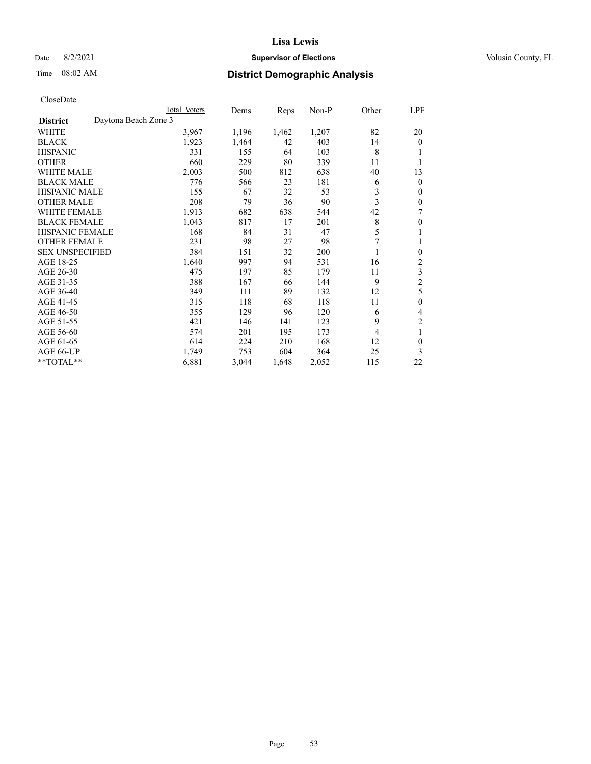## Date 8/2/2021 **Supervisor of Elections Supervisor of Elections** Volusia County, FL

# Time 08:02 AM **District Demographic Analysis**

|                        | Total Voters         | Dems  | Reps  | Non-P | Other | LPF              |
|------------------------|----------------------|-------|-------|-------|-------|------------------|
| <b>District</b>        | Daytona Beach Zone 3 |       |       |       |       |                  |
| WHITE                  | 3,967                | 1,196 | 1,462 | 1,207 | 82    | 20               |
| <b>BLACK</b>           | 1,923                | 1,464 | 42    | 403   | 14    | $\overline{0}$   |
| <b>HISPANIC</b>        | 331                  | 155   | 64    | 103   | 8     |                  |
| <b>OTHER</b>           | 660                  | 229   | 80    | 339   | 11    |                  |
| WHITE MALE             | 2,003                | 500   | 812   | 638   | 40    | 13               |
| <b>BLACK MALE</b>      | 776                  | 566   | 23    | 181   | 6     | 0                |
| <b>HISPANIC MALE</b>   | 155                  | 67    | 32    | 53    | 3     | 0                |
| <b>OTHER MALE</b>      | 208                  | 79    | 36    | 90    | 3     | 0                |
| <b>WHITE FEMALE</b>    | 1,913                | 682   | 638   | 544   | 42    | 7                |
| <b>BLACK FEMALE</b>    | 1,043                | 817   | 17    | 201   | 8     | 0                |
| <b>HISPANIC FEMALE</b> | 168                  | 84    | 31    | 47    | 5     |                  |
| <b>OTHER FEMALE</b>    | 231                  | 98    | 27    | 98    |       |                  |
| <b>SEX UNSPECIFIED</b> | 384                  | 151   | 32    | 200   |       | $\boldsymbol{0}$ |
| AGE 18-25              | 1,640                | 997   | 94    | 531   | 16    | 2                |
| AGE 26-30              | 475                  | 197   | 85    | 179   | 11    | 3                |
| AGE 31-35              | 388                  | 167   | 66    | 144   | 9     | $\overline{c}$   |
| AGE 36-40              | 349                  | 111   | 89    | 132   | 12    | 5                |
| AGE 41-45              | 315                  | 118   | 68    | 118   | 11    | 0                |
| AGE 46-50              | 355                  | 129   | 96    | 120   | 6     | 4                |
| AGE 51-55              | 421                  | 146   | 141   | 123   | 9     | 2                |
| AGE 56-60              | 574                  | 201   | 195   | 173   | 4     | 1                |
| AGE 61-65              | 614                  | 224   | 210   | 168   | 12    | 0                |
| AGE 66-UP              | 1,749                | 753   | 604   | 364   | 25    | 3                |
| **TOTAL**              | 6,881                | 3,044 | 1,648 | 2,052 | 115   | 22               |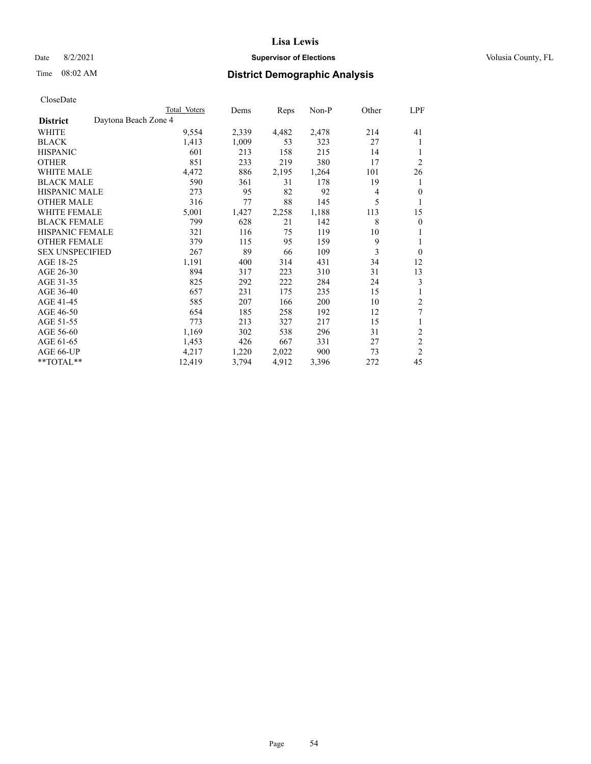## Date 8/2/2021 **Supervisor of Elections Supervisor of Elections** Volusia County, FL

# Time 08:02 AM **District Demographic Analysis**

|                        |                      | Total Voters | Dems  | Reps  | Non-P | Other | LPF            |
|------------------------|----------------------|--------------|-------|-------|-------|-------|----------------|
| <b>District</b>        | Daytona Beach Zone 4 |              |       |       |       |       |                |
| WHITE                  |                      | 9,554        | 2,339 | 4,482 | 2,478 | 214   | 41             |
| <b>BLACK</b>           |                      | 1,413        | 1,009 | 53    | 323   | 27    | 1              |
| <b>HISPANIC</b>        |                      | 601          | 213   | 158   | 215   | 14    | 1              |
| <b>OTHER</b>           |                      | 851          | 233   | 219   | 380   | 17    | $\overline{2}$ |
| WHITE MALE             |                      | 4,472        | 886   | 2,195 | 1,264 | 101   | 26             |
| <b>BLACK MALE</b>      |                      | 590          | 361   | 31    | 178   | 19    | 1              |
| <b>HISPANIC MALE</b>   |                      | 273          | 95    | 82    | 92    | 4     | $\mathbf{0}$   |
| <b>OTHER MALE</b>      |                      | 316          | 77    | 88    | 145   | 5     | 1              |
| <b>WHITE FEMALE</b>    |                      | 5,001        | 1,427 | 2,258 | 1,188 | 113   | 15             |
| <b>BLACK FEMALE</b>    |                      | 799          | 628   | 21    | 142   | 8     | $\mathbf{0}$   |
| HISPANIC FEMALE        |                      | 321          | 116   | 75    | 119   | 10    | 1              |
| <b>OTHER FEMALE</b>    |                      | 379          | 115   | 95    | 159   | 9     | 1              |
| <b>SEX UNSPECIFIED</b> |                      | 267          | 89    | 66    | 109   | 3     | $\mathbf{0}$   |
| AGE 18-25              |                      | 1,191        | 400   | 314   | 431   | 34    | 12             |
| AGE 26-30              |                      | 894          | 317   | 223   | 310   | 31    | 13             |
| AGE 31-35              |                      | 825          | 292   | 222   | 284   | 24    | 3              |
| AGE 36-40              |                      | 657          | 231   | 175   | 235   | 15    |                |
| AGE 41-45              |                      | 585          | 207   | 166   | 200   | 10    | 2              |
| AGE 46-50              |                      | 654          | 185   | 258   | 192   | 12    | 7              |
| AGE 51-55              |                      | 773          | 213   | 327   | 217   | 15    | 1              |
| AGE 56-60              |                      | 1,169        | 302   | 538   | 296   | 31    | $\sqrt{2}$     |
| AGE 61-65              |                      | 1,453        | 426   | 667   | 331   | 27    | $\overline{2}$ |
| AGE 66-UP              |                      | 4,217        | 1,220 | 2,022 | 900   | 73    | $\overline{2}$ |
| **TOTAL**              |                      | 12,419       | 3,794 | 4,912 | 3,396 | 272   | 45             |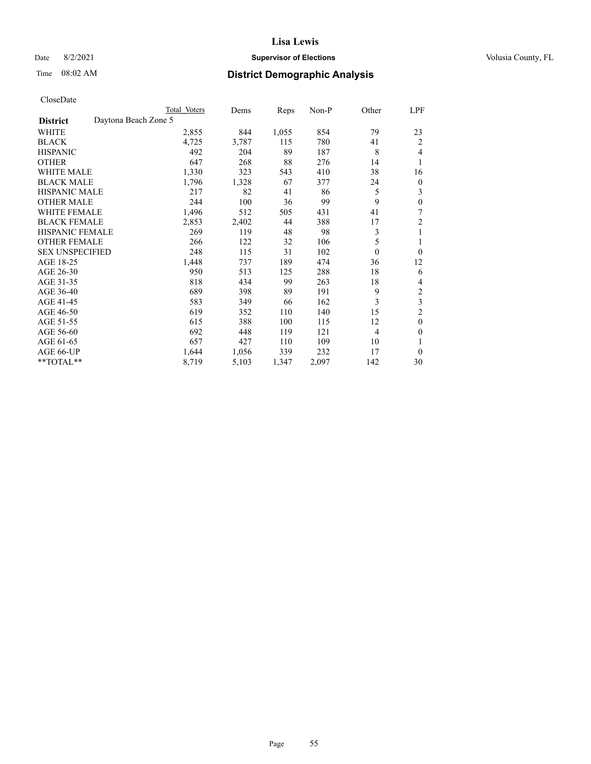## Date 8/2/2021 **Supervisor of Elections Supervisor of Elections** Volusia County, FL

# Time 08:02 AM **District Demographic Analysis**

|                                         | Total Voters | Dems  | Reps  | $Non-P$ | Other            | LPF            |
|-----------------------------------------|--------------|-------|-------|---------|------------------|----------------|
| Daytona Beach Zone 5<br><b>District</b> |              |       |       |         |                  |                |
| WHITE                                   | 2,855        | 844   | 1,055 | 854     | 79               | 23             |
| <b>BLACK</b>                            | 4,725        | 3,787 | 115   | 780     | 41               | $\overline{2}$ |
| <b>HISPANIC</b>                         | 492          | 204   | 89    | 187     | 8                | 4              |
| <b>OTHER</b>                            | 647          | 268   | 88    | 276     | 14               | 1              |
| <b>WHITE MALE</b>                       | 1,330        | 323   | 543   | 410     | 38               | 16             |
| <b>BLACK MALE</b>                       | 1,796        | 1,328 | 67    | 377     | 24               | $\theta$       |
| <b>HISPANIC MALE</b>                    | 217          | 82    | 41    | 86      | 5                | 3              |
| <b>OTHER MALE</b>                       | 244          | 100   | 36    | 99      | 9                | $\theta$       |
| <b>WHITE FEMALE</b>                     | 1,496        | 512   | 505   | 431     | 41               | 7              |
| <b>BLACK FEMALE</b>                     | 2,853        | 2,402 | 44    | 388     | 17               | $\overline{2}$ |
| <b>HISPANIC FEMALE</b>                  | 269          | 119   | 48    | 98      | 3                | 1              |
| <b>OTHER FEMALE</b>                     | 266          | 122   | 32    | 106     | 5                | 1              |
| <b>SEX UNSPECIFIED</b>                  | 248          | 115   | 31    | 102     | $\boldsymbol{0}$ | $\theta$       |
| AGE 18-25                               | 1,448        | 737   | 189   | 474     | 36               | 12             |
| AGE 26-30                               | 950          | 513   | 125   | 288     | 18               | 6              |
| AGE 31-35                               | 818          | 434   | 99    | 263     | 18               | 4              |
| AGE 36-40                               | 689          | 398   | 89    | 191     | 9                | $\overline{2}$ |
| AGE 41-45                               | 583          | 349   | 66    | 162     | 3                | 3              |
| AGE 46-50                               | 619          | 352   | 110   | 140     | 15               | $\overline{2}$ |
| AGE 51-55                               | 615          | 388   | 100   | 115     | 12               | $\theta$       |
| AGE 56-60                               | 692          | 448   | 119   | 121     | 4                | $\theta$       |
| AGE 61-65                               | 657          | 427   | 110   | 109     | 10               | 1              |
| AGE 66-UP                               | 1,644        | 1,056 | 339   | 232     | 17               | $\theta$       |
| **TOTAL**                               | 8,719        | 5,103 | 1,347 | 2,097   | 142              | 30             |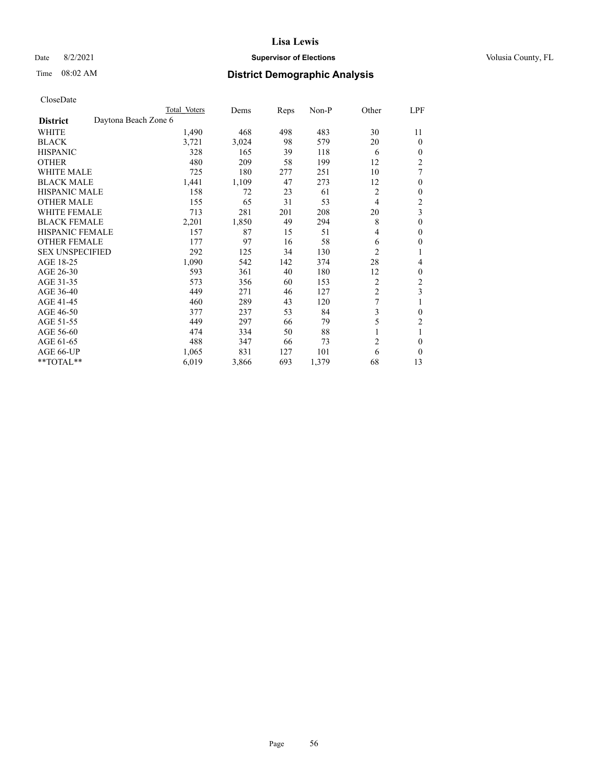## Date 8/2/2021 **Supervisor of Elections Supervisor of Elections** Volusia County, FL

# Time 08:02 AM **District Demographic Analysis**

|                        |                      | Total Voters | Dems  | Reps | Non-P | Other          | LPF                     |
|------------------------|----------------------|--------------|-------|------|-------|----------------|-------------------------|
| <b>District</b>        | Daytona Beach Zone 6 |              |       |      |       |                |                         |
| WHITE                  |                      | 1,490        | 468   | 498  | 483   | 30             | 11                      |
| <b>BLACK</b>           |                      | 3,721        | 3,024 | 98   | 579   | 20             | 0                       |
| <b>HISPANIC</b>        |                      | 328          | 165   | 39   | 118   | 6              | 0                       |
| <b>OTHER</b>           |                      | 480          | 209   | 58   | 199   | 12             | $\overline{c}$          |
| WHITE MALE             |                      | 725          | 180   | 277  | 251   | 10             | 7                       |
| <b>BLACK MALE</b>      |                      | 1,441        | 1,109 | 47   | 273   | 12             | 0                       |
| <b>HISPANIC MALE</b>   |                      | 158          | 72    | 23   | 61    | 2              | 0                       |
| <b>OTHER MALE</b>      |                      | 155          | 65    | 31   | 53    | 4              | 2                       |
| WHITE FEMALE           |                      | 713          | 281   | 201  | 208   | 20             | $\overline{\mathbf{3}}$ |
| <b>BLACK FEMALE</b>    |                      | 2,201        | 1,850 | 49   | 294   | 8              | 0                       |
| <b>HISPANIC FEMALE</b> |                      | 157          | 87    | 15   | 51    | 4              | 0                       |
| <b>OTHER FEMALE</b>    |                      | 177          | 97    | 16   | 58    | 6              | 0                       |
| <b>SEX UNSPECIFIED</b> |                      | 292          | 125   | 34   | 130   | $\overline{2}$ |                         |
| AGE 18-25              |                      | 1,090        | 542   | 142  | 374   | 28             | 4                       |
| AGE 26-30              |                      | 593          | 361   | 40   | 180   | 12             | 0                       |
| AGE 31-35              |                      | 573          | 356   | 60   | 153   | 2              | $\overline{c}$          |
| AGE 36-40              |                      | 449          | 271   | 46   | 127   | $\overline{c}$ | 3                       |
| AGE 41-45              |                      | 460          | 289   | 43   | 120   | 7              |                         |
| AGE 46-50              |                      | 377          | 237   | 53   | 84    | 3              | 0                       |
| AGE 51-55              |                      | 449          | 297   | 66   | 79    | 5              | 2                       |
| AGE 56-60              |                      | 474          | 334   | 50   | 88    |                |                         |
| AGE 61-65              |                      | 488          | 347   | 66   | 73    | $\overline{2}$ | 0                       |
| AGE 66-UP              |                      | 1,065        | 831   | 127  | 101   | 6              | 0                       |
| **TOTAL**              |                      | 6,019        | 3,866 | 693  | 1,379 | 68             | 13                      |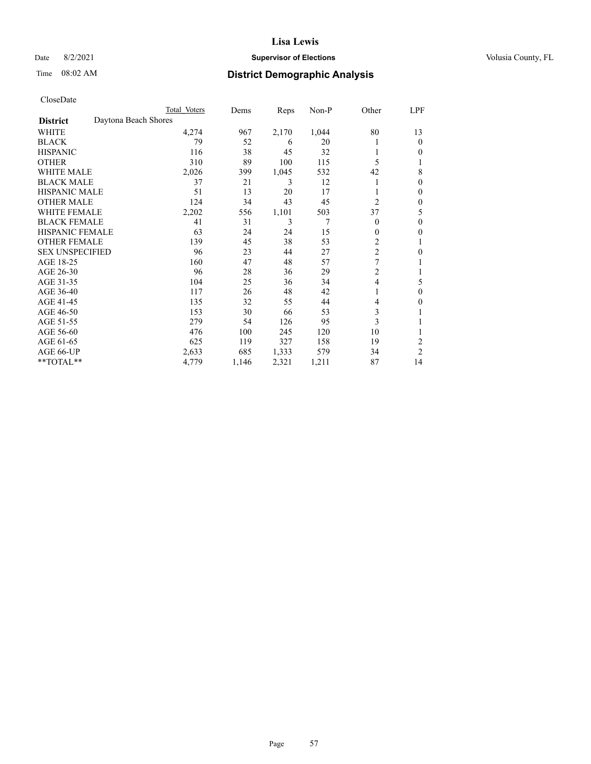## Date 8/2/2021 **Supervisor of Elections Supervisor of Elections** Volusia County, FL

| CloseDate |
|-----------|
|-----------|

| Total Voters | Dems                 | Reps  | $Non-P$ | Other          | LPF            |
|--------------|----------------------|-------|---------|----------------|----------------|
|              |                      |       |         |                |                |
| 4,274        | 967                  | 2,170 | 1,044   | 80             | 13             |
| 79           | 52                   | 6     | 20      |                | $\theta$       |
| 116          | 38                   | 45    | 32      |                | 0              |
| 310          | 89                   | 100   | 115     | 5              | 1              |
| 2,026        | 399                  | 1,045 | 532     | 42             | 8              |
| 37           | 21                   | 3     | 12      |                | 0              |
| 51           | 13                   | 20    | 17      |                | $\theta$       |
| 124          | 34                   | 43    | 45      | $\overline{c}$ | $\mathbf{0}$   |
| 2,202        | 556                  | 1,101 | 503     | 37             | 5              |
| 41           | 31                   | 3     | 7       | $\theta$       | $\theta$       |
| 63           | 24                   | 24    | 15      | $\mathbf{0}$   | $\mathbf{0}$   |
| 139          | 45                   | 38    | 53      | 2              | 1              |
| 96           | 23                   | 44    | 27      |                | 0              |
| 160          | 47                   | 48    | 57      | $\overline{7}$ |                |
| 96           | 28                   | 36    | 29      | $\overline{c}$ | 1              |
| 104          | 25                   | 36    | 34      | $\overline{4}$ | 5              |
| 117          | 26                   | 48    | 42      |                | $\theta$       |
| 135          | 32                   | 55    | 44      | 4              | 0              |
| 153          | 30                   | 66    | 53      | 3              |                |
| 279          | 54                   | 126   | 95      | 3              | 1              |
| 476          | 100                  | 245   | 120     | 10             | 1              |
| 625          | 119                  | 327   | 158     | 19             | 2              |
| 2,633        | 685                  | 1,333 | 579     | 34             | $\overline{2}$ |
| 4,779        | 1,146                | 2,321 | 1,211   | 87             | 14             |
|              | Daytona Beach Shores |       |         |                | $\overline{c}$ |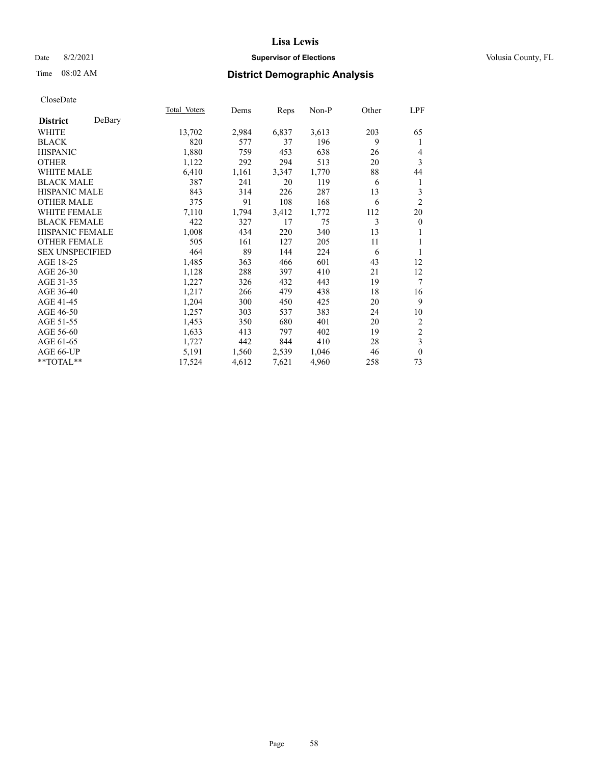## Date 8/2/2021 **Supervisor of Elections Supervisor of Elections** Volusia County, FL

# Time 08:02 AM **District Demographic Analysis**

| Total Voters | Dems  |       |       |      | LPF                     |
|--------------|-------|-------|-------|------|-------------------------|
|              |       |       |       |      |                         |
| 13,702       | 2,984 | 6,837 | 3,613 | 203  | 65                      |
| 820          | 577   | 37    | 196   | 9    | 1                       |
| 1,880        | 759   | 453   | 638   | 26   | 4                       |
| 1,122        | 292   | 294   | 513   | 20   | 3                       |
| 6,410        | 1,161 | 3,347 | 1,770 | 88   | 44                      |
| 387          | 241   | 20    | 119   | 6    | 1                       |
| 843          | 314   | 226   | 287   | 13   | 3                       |
| 375          | 91    | 108   | 168   | 6    | $\overline{2}$          |
| 7,110        | 1,794 | 3,412 | 1,772 | 112  | 20                      |
| 422          | 327   | 17    | 75    | 3    | $\mathbf{0}$            |
| 1,008        | 434   | 220   | 340   | 13   | 1                       |
| 505          | 161   | 127   | 205   | 11   | 1                       |
| 464          | 89    | 144   | 224   | 6    | 1                       |
| 1,485        | 363   | 466   | 601   | 43   | 12                      |
| 1,128        | 288   | 397   | 410   | 21   | 12                      |
| 1,227        | 326   | 432   | 443   | 19   | $\tau$                  |
| 1,217        | 266   | 479   | 438   | 18   | 16                      |
| 1,204        | 300   | 450   | 425   | 20   | 9                       |
| 1,257        | 303   | 537   | 383   | 24   | 10                      |
| 1,453        | 350   | 680   | 401   | 20   | $\overline{c}$          |
| 1,633        | 413   | 797   | 402   | 19   | $\sqrt{2}$              |
| 1,727        | 442   | 844   | 410   | 28   | $\overline{\mathbf{3}}$ |
| 5,191        | 1,560 | 2,539 | 1,046 | 46   | $\mathbf{0}$            |
| 17,524       | 4,612 | 7,621 | 4,960 | 258  | 73                      |
|              |       |       |       | Reps | $Non-P$<br>Other        |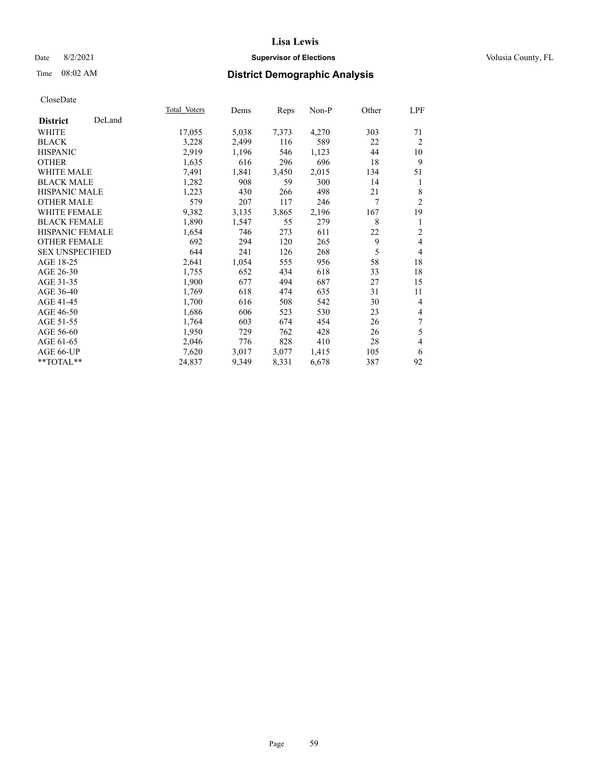## Date 8/2/2021 **Supervisor of Elections Supervisor of Elections** Volusia County, FL

# Time 08:02 AM **District Demographic Analysis**

|                           | Total Voters | Dems  | Reps  | Non-P | Other | LPF            |
|---------------------------|--------------|-------|-------|-------|-------|----------------|
| DeLand<br><b>District</b> |              |       |       |       |       |                |
| WHITE                     | 17,055       | 5,038 | 7,373 | 4,270 | 303   | 71             |
| <b>BLACK</b>              | 3,228        | 2,499 | 116   | 589   | 22    | $\overline{2}$ |
| <b>HISPANIC</b>           | 2,919        | 1,196 | 546   | 1,123 | 44    | 10             |
| <b>OTHER</b>              | 1,635        | 616   | 296   | 696   | 18    | 9              |
| WHITE MALE                | 7,491        | 1,841 | 3,450 | 2,015 | 134   | 51             |
| <b>BLACK MALE</b>         | 1,282        | 908   | 59    | 300   | 14    | 1              |
| <b>HISPANIC MALE</b>      | 1,223        | 430   | 266   | 498   | 21    | 8              |
| <b>OTHER MALE</b>         | 579          | 207   | 117   | 246   | 7     | $\overline{2}$ |
| WHITE FEMALE              | 9,382        | 3,135 | 3,865 | 2,196 | 167   | 19             |
| <b>BLACK FEMALE</b>       | 1,890        | 1,547 | 55    | 279   | 8     | 1              |
| <b>HISPANIC FEMALE</b>    | 1,654        | 746   | 273   | 611   | 22    | $\overline{2}$ |
| <b>OTHER FEMALE</b>       | 692          | 294   | 120   | 265   | 9     | 4              |
| <b>SEX UNSPECIFIED</b>    | 644          | 241   | 126   | 268   | 5     | $\overline{4}$ |
| AGE 18-25                 | 2,641        | 1,054 | 555   | 956   | 58    | 18             |
| AGE 26-30                 | 1,755        | 652   | 434   | 618   | 33    | 18             |
| AGE 31-35                 | 1,900        | 677   | 494   | 687   | 27    | 15             |
| AGE 36-40                 | 1,769        | 618   | 474   | 635   | 31    | 11             |
| AGE 41-45                 | 1,700        | 616   | 508   | 542   | 30    | 4              |
| AGE 46-50                 | 1,686        | 606   | 523   | 530   | 23    | 4              |
| AGE 51-55                 | 1,764        | 603   | 674   | 454   | 26    | 7              |
| AGE 56-60                 | 1,950        | 729   | 762   | 428   | 26    | 5              |
| AGE 61-65                 | 2,046        | 776   | 828   | 410   | 28    | 4              |
| AGE 66-UP                 | 7,620        | 3,017 | 3,077 | 1,415 | 105   | 6              |
| $*$ TOTAL $*$             | 24,837       | 9,349 | 8,331 | 6,678 | 387   | 92             |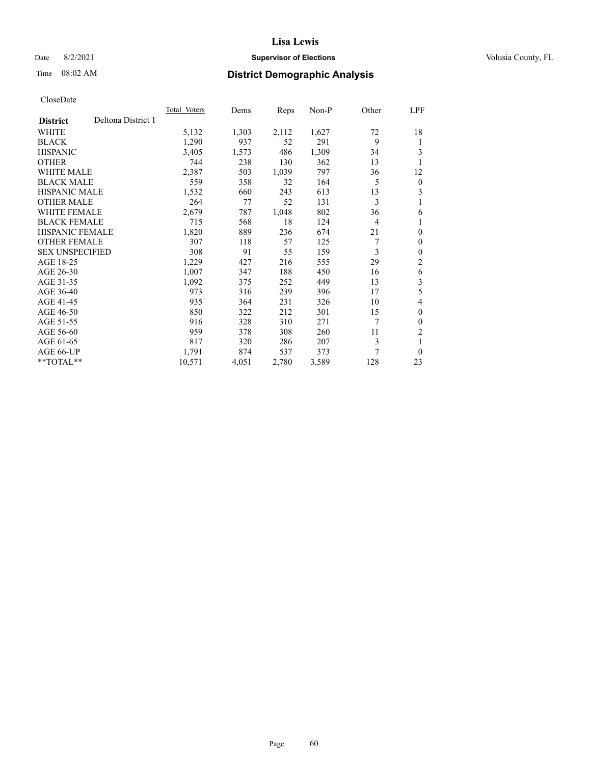## Date 8/2/2021 **Supervisor of Elections Supervisor of Elections** Volusia County, FL

# Time 08:02 AM **District Demographic Analysis**

|                        |                    | Total Voters | Dems  | Reps  | Non-P | Other          | LPF              |
|------------------------|--------------------|--------------|-------|-------|-------|----------------|------------------|
| <b>District</b>        | Deltona District 1 |              |       |       |       |                |                  |
| WHITE                  |                    | 5,132        | 1,303 | 2,112 | 1,627 | 72             | 18               |
| <b>BLACK</b>           |                    | 1,290        | 937   | 52    | 291   | 9              | 1                |
| <b>HISPANIC</b>        |                    | 3,405        | 1,573 | 486   | 1,309 | 34             | 3                |
| <b>OTHER</b>           |                    | 744          | 238   | 130   | 362   | 13             |                  |
| WHITE MALE             |                    | 2,387        | 503   | 1,039 | 797   | 36             | 12               |
| <b>BLACK MALE</b>      |                    | 559          | 358   | 32    | 164   | 5              | $\boldsymbol{0}$ |
| <b>HISPANIC MALE</b>   |                    | 1,532        | 660   | 243   | 613   | 13             | 3                |
| <b>OTHER MALE</b>      |                    | 264          | 77    | 52    | 131   | 3              | 1                |
| WHITE FEMALE           |                    | 2,679        | 787   | 1,048 | 802   | 36             | 6                |
| <b>BLACK FEMALE</b>    |                    | 715          | 568   | 18    | 124   | $\overline{4}$ |                  |
| <b>HISPANIC FEMALE</b> |                    | 1,820        | 889   | 236   | 674   | 21             | $\theta$         |
| <b>OTHER FEMALE</b>    |                    | 307          | 118   | 57    | 125   | 7              | $\theta$         |
| <b>SEX UNSPECIFIED</b> |                    | 308          | 91    | 55    | 159   | 3              | $\theta$         |
| AGE 18-25              |                    | 1,229        | 427   | 216   | 555   | 29             | 2                |
| AGE 26-30              |                    | 1,007        | 347   | 188   | 450   | 16             | 6                |
| AGE 31-35              |                    | 1,092        | 375   | 252   | 449   | 13             | 3                |
| AGE 36-40              |                    | 973          | 316   | 239   | 396   | 17             | 5                |
| AGE 41-45              |                    | 935          | 364   | 231   | 326   | 10             | 4                |
| AGE 46-50              |                    | 850          | 322   | 212   | 301   | 15             | $\theta$         |
| AGE 51-55              |                    | 916          | 328   | 310   | 271   | 7              | $\theta$         |
| AGE 56-60              |                    | 959          | 378   | 308   | 260   | 11             | $\overline{2}$   |
| AGE 61-65              |                    | 817          | 320   | 286   | 207   | 3              | 1                |
| AGE 66-UP              |                    | 1,791        | 874   | 537   | 373   | 7              | $\theta$         |
| $**TOTAL**$            |                    | 10,571       | 4,051 | 2,780 | 3,589 | 128            | 23               |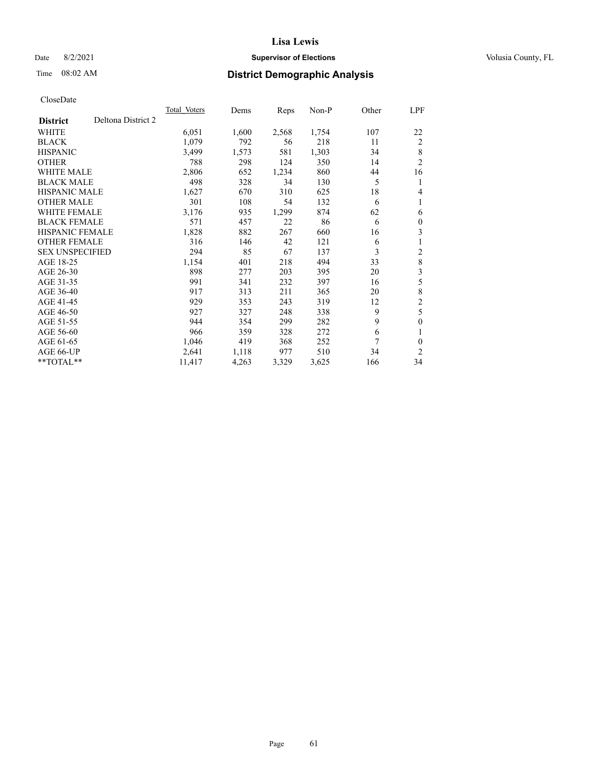## Date 8/2/2021 **Supervisor of Elections Supervisor of Elections** Volusia County, FL

# Time 08:02 AM **District Demographic Analysis**

| Total Voters | Dems  | Reps  | Non-P | Other | LPF            |
|--------------|-------|-------|-------|-------|----------------|
|              |       |       |       |       |                |
| 6,051        | 1,600 | 2,568 | 1,754 | 107   | 22             |
| 1,079        | 792   | 56    | 218   | 11    | $\overline{2}$ |
| 3,499        | 1,573 | 581   | 1,303 | 34    | 8              |
| 788          | 298   | 124   | 350   | 14    | $\overline{2}$ |
| 2,806        | 652   | 1,234 | 860   | 44    | 16             |
| 498          | 328   | 34    | 130   | 5     | 1              |
| 1,627        | 670   | 310   | 625   | 18    | 4              |
| 301          | 108   | 54    | 132   | 6     | 1              |
| 3,176        | 935   | 1,299 | 874   | 62    | 6              |
| 571          | 457   | 22    | 86    | 6     | $\theta$       |
| 1,828        | 882   | 267   | 660   | 16    | 3              |
| 316          | 146   | 42    | 121   | 6     | 1              |
| 294          | 85    | 67    | 137   | 3     | 2              |
| 1,154        | 401   | 218   | 494   | 33    | 8              |
| 898          | 277   | 203   | 395   | 20    | 3              |
| 991          | 341   | 232   | 397   | 16    | 5              |
| 917          | 313   | 211   | 365   | 20    | $\,8\,$        |
| 929          | 353   | 243   | 319   | 12    | $\mathfrak{2}$ |
| 927          | 327   | 248   | 338   | 9     | 5              |
| 944          | 354   | 299   | 282   | 9     | $\theta$       |
| 966          | 359   | 328   | 272   | 6     | 1              |
| 1,046        | 419   | 368   | 252   | 7     | 0              |
| 2,641        | 1,118 | 977   | 510   | 34    | $\overline{2}$ |
| 11,417       | 4,263 | 3,329 | 3,625 | 166   | 34             |
|              |       |       |       |       |                |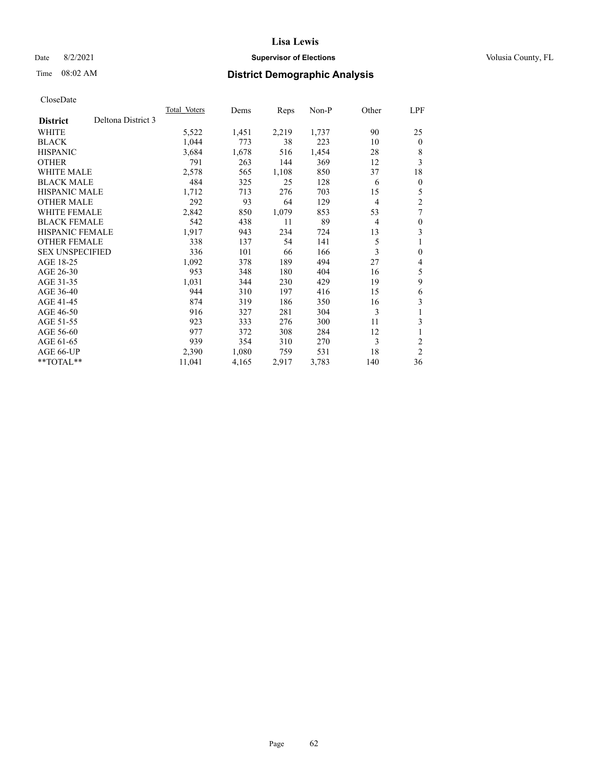## Date 8/2/2021 **Supervisor of Elections Supervisor of Elections** Volusia County, FL

## Time 08:02 AM **District Demographic Analysis**

|                        |                    | Total Voters | Dems  | Reps  | Non-P | Other          | LPF            |
|------------------------|--------------------|--------------|-------|-------|-------|----------------|----------------|
| <b>District</b>        | Deltona District 3 |              |       |       |       |                |                |
| WHITE                  |                    | 5,522        | 1,451 | 2,219 | 1,737 | 90             | 25             |
| <b>BLACK</b>           |                    | 1,044        | 773   | 38    | 223   | 10             | $\mathbf{0}$   |
| <b>HISPANIC</b>        |                    | 3,684        | 1,678 | 516   | 1,454 | 28             | 8              |
| <b>OTHER</b>           |                    | 791          | 263   | 144   | 369   | 12             | 3              |
| WHITE MALE             |                    | 2,578        | 565   | 1,108 | 850   | 37             | 18             |
| <b>BLACK MALE</b>      |                    | 484          | 325   | 25    | 128   | 6              | $\theta$       |
| <b>HISPANIC MALE</b>   |                    | 1,712        | 713   | 276   | 703   | 15             | 5              |
| <b>OTHER MALE</b>      |                    | 292          | 93    | 64    | 129   | $\overline{4}$ | $\overline{2}$ |
| WHITE FEMALE           |                    | 2,842        | 850   | 1,079 | 853   | 53             | 7              |
| <b>BLACK FEMALE</b>    |                    | 542          | 438   | 11    | 89    | $\overline{4}$ | $\theta$       |
| <b>HISPANIC FEMALE</b> |                    | 1,917        | 943   | 234   | 724   | 13             | 3              |
| <b>OTHER FEMALE</b>    |                    | 338          | 137   | 54    | 141   | 5              |                |
| <b>SEX UNSPECIFIED</b> |                    | 336          | 101   | 66    | 166   | 3              | $\theta$       |
| AGE 18-25              |                    | 1,092        | 378   | 189   | 494   | 27             | 4              |
| AGE 26-30              |                    | 953          | 348   | 180   | 404   | 16             | 5              |
| AGE 31-35              |                    | 1,031        | 344   | 230   | 429   | 19             | 9              |
| AGE 36-40              |                    | 944          | 310   | 197   | 416   | 15             | 6              |
| AGE 41-45              |                    | 874          | 319   | 186   | 350   | 16             | 3              |
| AGE 46-50              |                    | 916          | 327   | 281   | 304   | 3              |                |
| AGE 51-55              |                    | 923          | 333   | 276   | 300   | 11             | 3              |
| AGE 56-60              |                    | 977          | 372   | 308   | 284   | 12             |                |
| AGE 61-65              |                    | 939          | 354   | 310   | 270   | 3              | 2              |
| AGE 66-UP              |                    | 2,390        | 1,080 | 759   | 531   | 18             | $\overline{c}$ |
| $**TOTAL**$            |                    | 11,041       | 4,165 | 2,917 | 3,783 | 140            | 36             |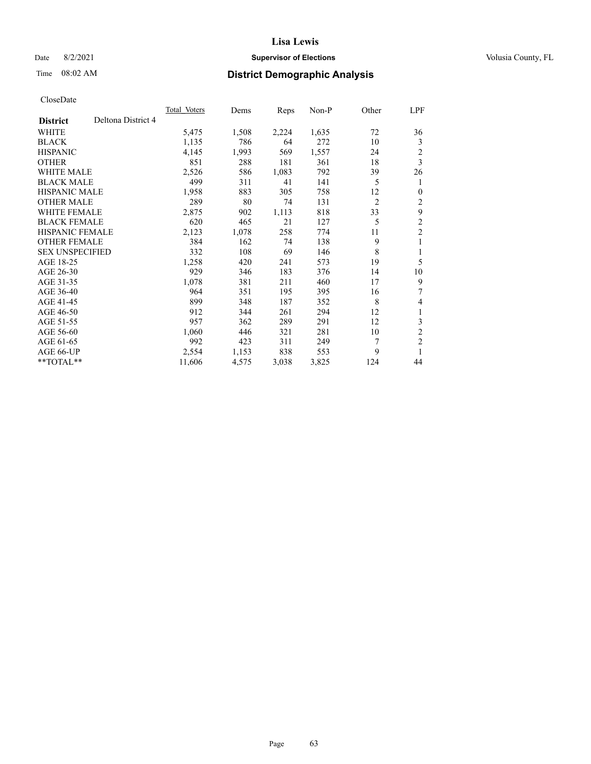## Date 8/2/2021 **Supervisor of Elections Supervisor of Elections** Volusia County, FL

# Time 08:02 AM **District Demographic Analysis**

|                                       | Total Voters | Dems  | Reps  | $Non-P$ | Other          | LPF                     |
|---------------------------------------|--------------|-------|-------|---------|----------------|-------------------------|
| Deltona District 4<br><b>District</b> |              |       |       |         |                |                         |
| WHITE                                 | 5,475        | 1,508 | 2,224 | 1,635   | 72             | 36                      |
| <b>BLACK</b>                          | 1,135        | 786   | 64    | 272     | 10             | 3                       |
| <b>HISPANIC</b>                       | 4,145        | 1,993 | 569   | 1,557   | 24             | $\overline{c}$          |
| <b>OTHER</b>                          | 851          | 288   | 181   | 361     | 18             | 3                       |
| <b>WHITE MALE</b>                     | 2,526        | 586   | 1,083 | 792     | 39             | 26                      |
| <b>BLACK MALE</b>                     | 499          | 311   | 41    | 141     | 5              | 1                       |
| <b>HISPANIC MALE</b>                  | 1,958        | 883   | 305   | 758     | 12             | $\theta$                |
| <b>OTHER MALE</b>                     | 289          | 80    | 74    | 131     | $\overline{2}$ | 2                       |
| WHITE FEMALE                          | 2,875        | 902   | 1,113 | 818     | 33             | 9                       |
| <b>BLACK FEMALE</b>                   | 620          | 465   | 21    | 127     | 5              | 2                       |
| <b>HISPANIC FEMALE</b>                | 2,123        | 1,078 | 258   | 774     | 11             | $\overline{c}$          |
| <b>OTHER FEMALE</b>                   | 384          | 162   | 74    | 138     | 9              | 1                       |
| <b>SEX UNSPECIFIED</b>                | 332          | 108   | 69    | 146     | 8              | 1                       |
| AGE 18-25                             | 1,258        | 420   | 241   | 573     | 19             | 5                       |
| AGE 26-30                             | 929          | 346   | 183   | 376     | 14             | 10                      |
| AGE 31-35                             | 1,078        | 381   | 211   | 460     | 17             | 9                       |
| AGE 36-40                             | 964          | 351   | 195   | 395     | 16             | 7                       |
| AGE 41-45                             | 899          | 348   | 187   | 352     | 8              | 4                       |
| AGE 46-50                             | 912          | 344   | 261   | 294     | 12             | 1                       |
| AGE 51-55                             | 957          | 362   | 289   | 291     | 12             | 3                       |
| AGE 56-60                             | 1,060        | 446   | 321   | 281     | 10             | $\overline{c}$          |
| AGE 61-65                             | 992          | 423   | 311   | 249     | 7              | $\overline{\mathbf{c}}$ |
| AGE 66-UP                             | 2,554        | 1,153 | 838   | 553     | 9              | 1                       |
| $*$ $TOTAL**$                         | 11,606       | 4,575 | 3,038 | 3,825   | 124            | 44                      |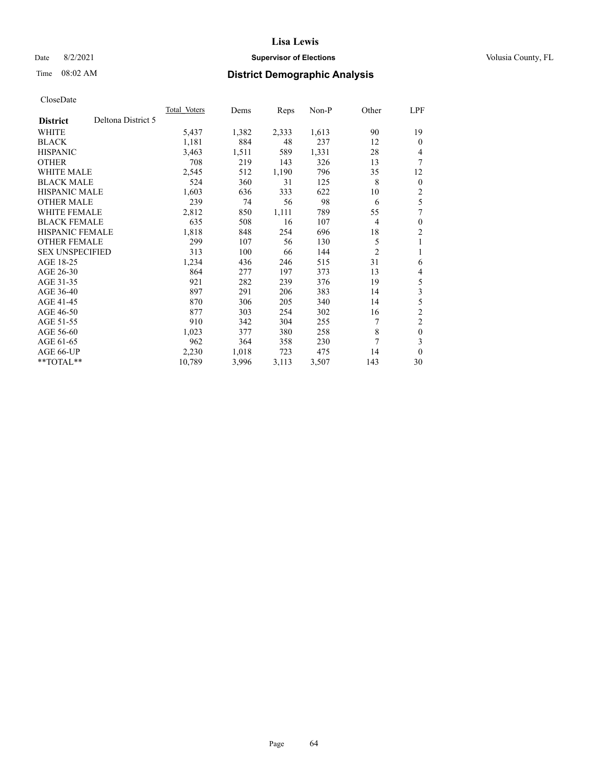## Date 8/2/2021 **Supervisor of Elections Supervisor of Elections** Volusia County, FL

# Time 08:02 AM **District Demographic Analysis**

|                                       | Total Voters | Dems  | Reps  | Non-P | Other          | <u>LPF</u>     |
|---------------------------------------|--------------|-------|-------|-------|----------------|----------------|
| Deltona District 5<br><b>District</b> |              |       |       |       |                |                |
| WHITE                                 | 5,437        | 1,382 | 2,333 | 1,613 | 90             | 19             |
| <b>BLACK</b>                          | 1,181        | 884   | 48    | 237   | 12             | $\theta$       |
| <b>HISPANIC</b>                       | 3,463        | 1,511 | 589   | 1,331 | 28             | 4              |
| <b>OTHER</b>                          | 708          | 219   | 143   | 326   | 13             | 7              |
| <b>WHITE MALE</b>                     | 2,545        | 512   | 1,190 | 796   | 35             | 12             |
| <b>BLACK MALE</b>                     | 524          | 360   | 31    | 125   | 8              | $\mathbf{0}$   |
| <b>HISPANIC MALE</b>                  | 1,603        | 636   | 333   | 622   | 10             | 2              |
| <b>OTHER MALE</b>                     | 239          | 74    | 56    | 98    | 6              | 5              |
| WHITE FEMALE                          | 2,812        | 850   | 1,111 | 789   | 55             | 7              |
| <b>BLACK FEMALE</b>                   | 635          | 508   | 16    | 107   | $\overline{4}$ | $\theta$       |
| <b>HISPANIC FEMALE</b>                | 1,818        | 848   | 254   | 696   | 18             | $\overline{2}$ |
| <b>OTHER FEMALE</b>                   | 299          | 107   | 56    | 130   | 5              | 1              |
| <b>SEX UNSPECIFIED</b>                | 313          | 100   | 66    | 144   | $\overline{2}$ |                |
| AGE 18-25                             | 1,234        | 436   | 246   | 515   | 31             | 6              |
| AGE 26-30                             | 864          | 277   | 197   | 373   | 13             | 4              |
| AGE 31-35                             | 921          | 282   | 239   | 376   | 19             | 5              |
| AGE 36-40                             | 897          | 291   | 206   | 383   | 14             | 3              |
| AGE 41-45                             | 870          | 306   | 205   | 340   | 14             | 5              |
| AGE 46-50                             | 877          | 303   | 254   | 302   | 16             | $\overline{c}$ |
| AGE 51-55                             | 910          | 342   | 304   | 255   | 7              | $\overline{2}$ |
| AGE 56-60                             | 1,023        | 377   | 380   | 258   | 8              | $\theta$       |
| AGE 61-65                             | 962          | 364   | 358   | 230   | 7              | 3              |
| AGE 66-UP                             | 2,230        | 1,018 | 723   | 475   | 14             | $\theta$       |
| $*$ $TOTAL**$                         | 10,789       | 3,996 | 3,113 | 3,507 | 143            | 30             |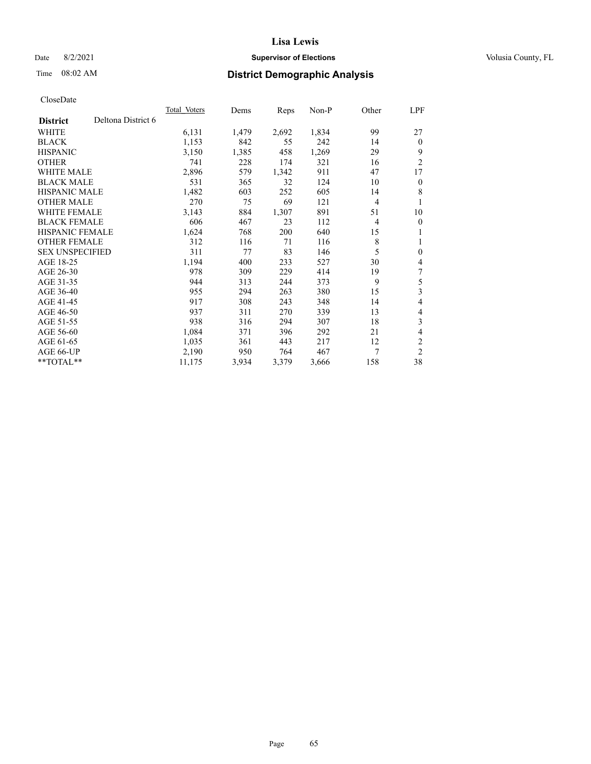## Date 8/2/2021 **Supervisor of Elections Supervisor of Elections** Volusia County, FL

# Time 08:02 AM **District Demographic Analysis**

|                        |                    | <b>Total Voters</b> | Dems  | Reps  | $Non-P$ | Other          | <u>LPF</u>     |
|------------------------|--------------------|---------------------|-------|-------|---------|----------------|----------------|
| <b>District</b>        | Deltona District 6 |                     |       |       |         |                |                |
| WHITE                  |                    | 6,131               | 1,479 | 2,692 | 1,834   | 99             | 27             |
| <b>BLACK</b>           |                    | 1,153               | 842   | 55    | 242     | 14             | $\theta$       |
| <b>HISPANIC</b>        |                    | 3,150               | 1,385 | 458   | 1,269   | 29             | 9              |
| <b>OTHER</b>           |                    | 741                 | 228   | 174   | 321     | 16             | $\overline{2}$ |
| <b>WHITE MALE</b>      |                    | 2,896               | 579   | 1,342 | 911     | 47             | 17             |
| <b>BLACK MALE</b>      |                    | 531                 | 365   | 32    | 124     | 10             | $\mathbf{0}$   |
| <b>HISPANIC MALE</b>   |                    | 1,482               | 603   | 252   | 605     | 14             | 8              |
| <b>OTHER MALE</b>      |                    | 270                 | 75    | 69    | 121     | $\overline{4}$ | 1              |
| <b>WHITE FEMALE</b>    |                    | 3,143               | 884   | 1,307 | 891     | 51             | 10             |
| <b>BLACK FEMALE</b>    |                    | 606                 | 467   | 23    | 112     | 4              | $\mathbf{0}$   |
| <b>HISPANIC FEMALE</b> |                    | 1,624               | 768   | 200   | 640     | 15             | 1              |
| <b>OTHER FEMALE</b>    |                    | 312                 | 116   | 71    | 116     | 8              | 1              |
| <b>SEX UNSPECIFIED</b> |                    | 311                 | 77    | 83    | 146     | 5              | $\mathbf{0}$   |
| AGE 18-25              |                    | 1,194               | 400   | 233   | 527     | 30             | 4              |
| AGE 26-30              |                    | 978                 | 309   | 229   | 414     | 19             | 7              |
| AGE 31-35              |                    | 944                 | 313   | 244   | 373     | 9              | 5              |
| AGE 36-40              |                    | 955                 | 294   | 263   | 380     | 15             | 3              |
| AGE 41-45              |                    | 917                 | 308   | 243   | 348     | 14             | 4              |
| AGE 46-50              |                    | 937                 | 311   | 270   | 339     | 13             | 4              |
| AGE 51-55              |                    | 938                 | 316   | 294   | 307     | 18             | 3              |
| AGE 56-60              |                    | 1,084               | 371   | 396   | 292     | 21             | 4              |
| AGE 61-65              |                    | 1,035               | 361   | 443   | 217     | 12             | $\overline{2}$ |
| AGE 66-UP              |                    | 2,190               | 950   | 764   | 467     | 7              | $\overline{2}$ |
| $*$ $TOTAL**$          |                    | 11,175              | 3,934 | 3,379 | 3,666   | 158            | 38             |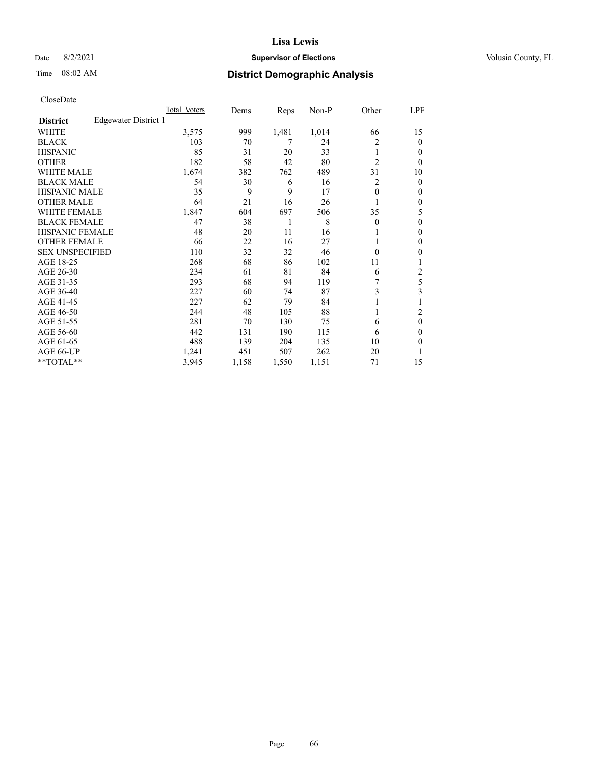## Date 8/2/2021 **Supervisor of Elections Supervisor of Elections** Volusia County, FL

## Time 08:02 AM **District Demographic Analysis**

|                        |                      | Total Voters | Dems  | Reps  | Non-P | Other          | LPF    |
|------------------------|----------------------|--------------|-------|-------|-------|----------------|--------|
| <b>District</b>        | Edgewater District 1 |              |       |       |       |                |        |
| WHITE                  |                      | 3,575        | 999   | 1,481 | 1,014 | 66             | 15     |
| <b>BLACK</b>           |                      | 103          | 70    | 7     | 24    | 2              | 0      |
| <b>HISPANIC</b>        |                      | 85           | 31    | 20    | 33    | 1              | $_{0}$ |
| <b>OTHER</b>           |                      | 182          | 58    | 42    | 80    | $\overline{2}$ | 0      |
| WHITE MALE             |                      | 1,674        | 382   | 762   | 489   | 31             | 10     |
| <b>BLACK MALE</b>      |                      | 54           | 30    | 6     | 16    | 2              | 0      |
| <b>HISPANIC MALE</b>   |                      | 35           | 9     | 9     | 17    | $\theta$       | 0      |
| <b>OTHER MALE</b>      |                      | 64           | 21    | 16    | 26    |                | 0      |
| <b>WHITE FEMALE</b>    |                      | 1,847        | 604   | 697   | 506   | 35             | 5      |
| <b>BLACK FEMALE</b>    |                      | 47           | 38    | 1     | 8     | $\Omega$       | 0      |
| <b>HISPANIC FEMALE</b> |                      | 48           | 20    | 11    | 16    |                | 0      |
| <b>OTHER FEMALE</b>    |                      | 66           | 22    | 16    | 27    |                | 0      |
| <b>SEX UNSPECIFIED</b> |                      | 110          | 32    | 32    | 46    | $\Omega$       | 0      |
| AGE 18-25              |                      | 268          | 68    | 86    | 102   | 11             |        |
| AGE 26-30              |                      | 234          | 61    | 81    | 84    | 6              | 2      |
| AGE 31-35              |                      | 293          | 68    | 94    | 119   |                | 5      |
| AGE 36-40              |                      | 227          | 60    | 74    | 87    | 3              | 3      |
| AGE 41-45              |                      | 227          | 62    | 79    | 84    |                |        |
| AGE 46-50              |                      | 244          | 48    | 105   | 88    | 1              | 2      |
| AGE 51-55              |                      | 281          | 70    | 130   | 75    | 6              | 0      |
| AGE 56-60              |                      | 442          | 131   | 190   | 115   | 6              | 0      |
| AGE 61-65              |                      | 488          | 139   | 204   | 135   | 10             | 0      |
| AGE 66-UP              |                      | 1,241        | 451   | 507   | 262   | 20             |        |
| **TOTAL**              |                      | 3,945        | 1,158 | 1,550 | 1,151 | 71             | 15     |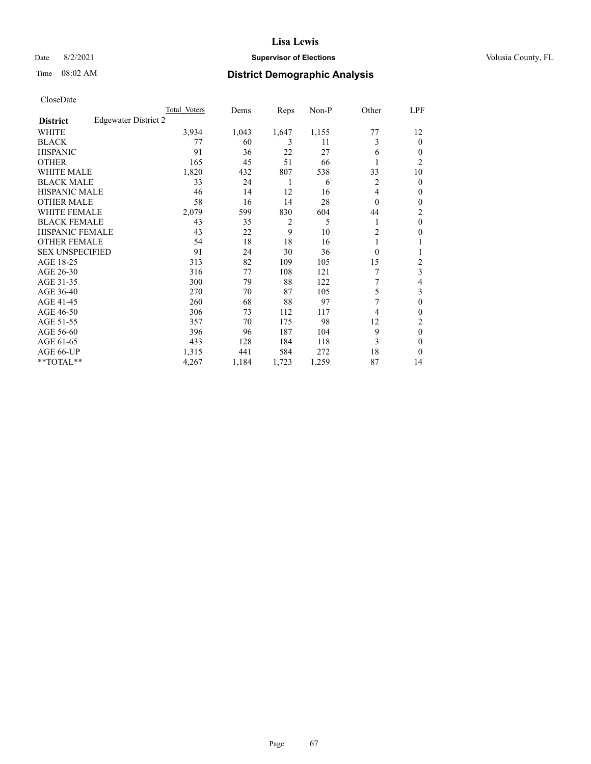## Date 8/2/2021 **Supervisor of Elections Supervisor of Elections** Volusia County, FL

# Time 08:02 AM **District Demographic Analysis**

|                        |                      | Total Voters | Dems  | Reps           | Non-P | Other          | LPF            |
|------------------------|----------------------|--------------|-------|----------------|-------|----------------|----------------|
| <b>District</b>        | Edgewater District 2 |              |       |                |       |                |                |
| WHITE                  |                      | 3,934        | 1,043 | 1,647          | 1,155 | 77             | 12             |
| <b>BLACK</b>           |                      | 77           | 60    | 3              | 11    | 3              | 0              |
| <b>HISPANIC</b>        |                      | 91           | 36    | 22             | 27    | 6              | $_{0}$         |
| <b>OTHER</b>           |                      | 165          | 45    | 51             | 66    |                | $\overline{2}$ |
| WHITE MALE             |                      | 1,820        | 432   | 807            | 538   | 33             | 10             |
| <b>BLACK MALE</b>      |                      | 33           | 24    | 1              | 6     | 2              | 0              |
| <b>HISPANIC MALE</b>   |                      | 46           | 14    | 12             | 16    | 4              | 0              |
| <b>OTHER MALE</b>      |                      | 58           | 16    | 14             | 28    | $\Omega$       | 0              |
| <b>WHITE FEMALE</b>    |                      | 2,079        | 599   | 830            | 604   | 44             | 2              |
| <b>BLACK FEMALE</b>    |                      | 43           | 35    | $\overline{2}$ | 5     |                | $\theta$       |
| <b>HISPANIC FEMALE</b> |                      | 43           | 22    | 9              | 10    | $\overline{c}$ | 0              |
| <b>OTHER FEMALE</b>    |                      | 54           | 18    | 18             | 16    |                |                |
| <b>SEX UNSPECIFIED</b> |                      | 91           | 24    | 30             | 36    | $\Omega$       |                |
| AGE 18-25              |                      | 313          | 82    | 109            | 105   | 15             | 2              |
| AGE 26-30              |                      | 316          | 77    | 108            | 121   | 7              | 3              |
| AGE 31-35              |                      | 300          | 79    | 88             | 122   | 7              | 4              |
| AGE 36-40              |                      | 270          | 70    | 87             | 105   | 5              | 3              |
| AGE 41-45              |                      | 260          | 68    | 88             | 97    | 7              | 0              |
| AGE 46-50              |                      | 306          | 73    | 112            | 117   | 4              | 0              |
| AGE 51-55              |                      | 357          | 70    | 175            | 98    | 12             | 2              |
| AGE 56-60              |                      | 396          | 96    | 187            | 104   | 9              | $\theta$       |
| AGE 61-65              |                      | 433          | 128   | 184            | 118   | 3              | 0              |
| AGE 66-UP              |                      | 1,315        | 441   | 584            | 272   | 18             | 0              |
| **TOTAL**              |                      | 4,267        | 1,184 | 1,723          | 1,259 | 87             | 14             |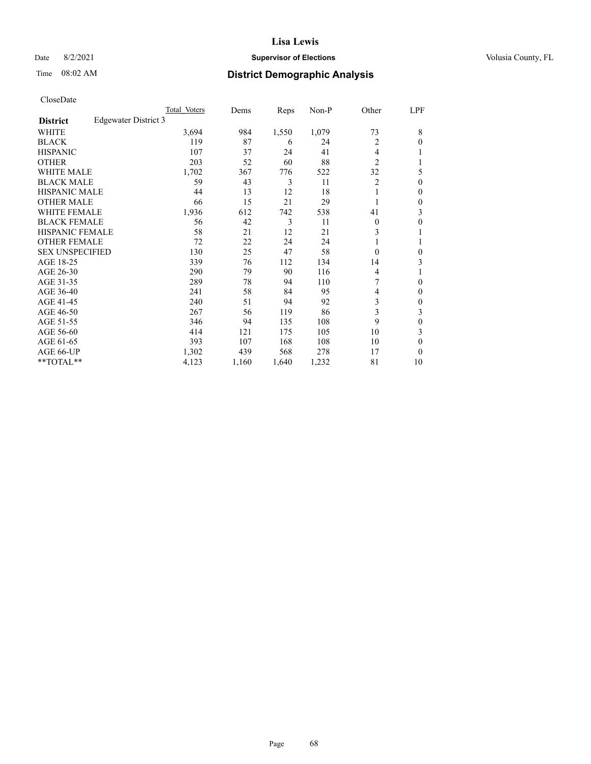## Date 8/2/2021 **Supervisor of Elections Supervisor of Elections** Volusia County, FL

## Time 08:02 AM **District Demographic Analysis**

|                        |                      | Total Voters | Dems  | Reps  | Non-P | Other          | LPF      |
|------------------------|----------------------|--------------|-------|-------|-------|----------------|----------|
| <b>District</b>        | Edgewater District 3 |              |       |       |       |                |          |
| WHITE                  |                      | 3,694        | 984   | 1,550 | 1,079 | 73             | 8        |
| <b>BLACK</b>           |                      | 119          | 87    | 6     | 24    | 2              | 0        |
| <b>HISPANIC</b>        |                      | 107          | 37    | 24    | 41    | 4              |          |
| <b>OTHER</b>           |                      | 203          | 52    | 60    | 88    | $\overline{2}$ |          |
| WHITE MALE             |                      | 1,702        | 367   | 776   | 522   | 32             | 5        |
| <b>BLACK MALE</b>      |                      | 59           | 43    | 3     | 11    | $\overline{2}$ | $\theta$ |
| <b>HISPANIC MALE</b>   |                      | 44           | 13    | 12    | 18    | 1              | 0        |
| <b>OTHER MALE</b>      |                      | 66           | 15    | 21    | 29    | 1              | 0        |
| WHITE FEMALE           |                      | 1,936        | 612   | 742   | 538   | 41             | 3        |
| <b>BLACK FEMALE</b>    |                      | 56           | 42    | 3     | 11    | $\Omega$       | 0        |
| <b>HISPANIC FEMALE</b> |                      | 58           | 21    | 12    | 21    | 3              |          |
| <b>OTHER FEMALE</b>    |                      | 72           | 22    | 24    | 24    | 1              |          |
| <b>SEX UNSPECIFIED</b> |                      | 130          | 25    | 47    | 58    | $\Omega$       | 0        |
| AGE 18-25              |                      | 339          | 76    | 112   | 134   | 14             | 3        |
| AGE 26-30              |                      | 290          | 79    | 90    | 116   | 4              |          |
| AGE 31-35              |                      | 289          | 78    | 94    | 110   | 7              | 0        |
| AGE 36-40              |                      | 241          | 58    | 84    | 95    | 4              | 0        |
| AGE 41-45              |                      | 240          | 51    | 94    | 92    | 3              | 0        |
| AGE 46-50              |                      | 267          | 56    | 119   | 86    | 3              | 3        |
| AGE 51-55              |                      | 346          | 94    | 135   | 108   | 9              | 0        |
| AGE 56-60              |                      | 414          | 121   | 175   | 105   | 10             | 3        |
| AGE 61-65              |                      | 393          | 107   | 168   | 108   | 10             | 0        |
| AGE 66-UP              |                      | 1,302        | 439   | 568   | 278   | 17             | 0        |
| **TOTAL**              |                      | 4,123        | 1,160 | 1,640 | 1,232 | 81             | 10       |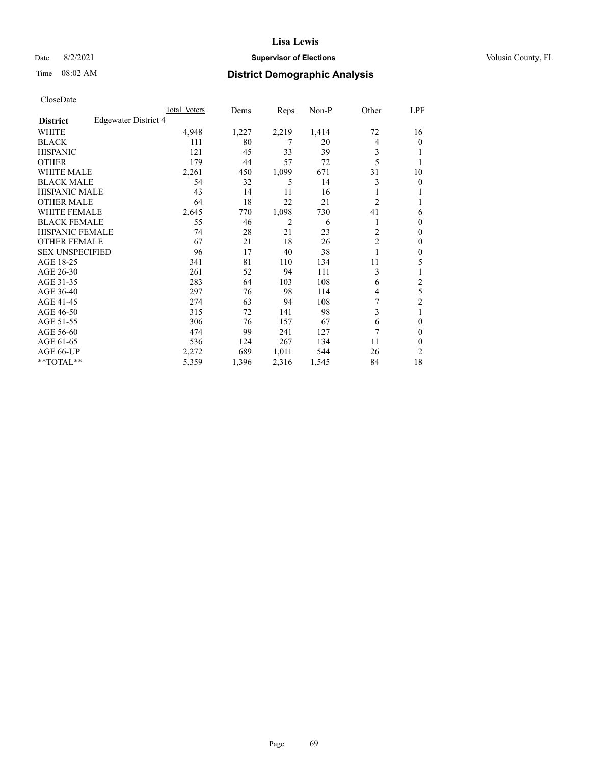## Date 8/2/2021 **Supervisor of Elections Supervisor of Elections** Volusia County, FL

# Time 08:02 AM **District Demographic Analysis**

|                        |                      | Total Voters | Dems  | Reps  | Non-P | Other          | LPF            |
|------------------------|----------------------|--------------|-------|-------|-------|----------------|----------------|
| <b>District</b>        | Edgewater District 4 |              |       |       |       |                |                |
| WHITE                  |                      | 4,948        | 1,227 | 2,219 | 1,414 | 72             | 16             |
| <b>BLACK</b>           |                      | 111          | 80    | 7     | 20    | 4              | 0              |
| <b>HISPANIC</b>        |                      | 121          | 45    | 33    | 39    | 3              |                |
| <b>OTHER</b>           |                      | 179          | 44    | 57    | 72    | 5              |                |
| WHITE MALE             |                      | 2,261        | 450   | 1,099 | 671   | 31             | 10             |
| <b>BLACK MALE</b>      |                      | 54           | 32    | 5     | 14    | 3              | 0              |
| <b>HISPANIC MALE</b>   |                      | 43           | 14    | 11    | 16    |                |                |
| <b>OTHER MALE</b>      |                      | 64           | 18    | 22    | 21    | $\overline{2}$ | 1              |
| <b>WHITE FEMALE</b>    |                      | 2,645        | 770   | 1,098 | 730   | 41             | 6              |
| <b>BLACK FEMALE</b>    |                      | 55           | 46    | 2     | 6     | 1              | 0              |
| <b>HISPANIC FEMALE</b> |                      | 74           | 28    | 21    | 23    | $\overline{c}$ | 0              |
| <b>OTHER FEMALE</b>    |                      | 67           | 21    | 18    | 26    | $\overline{c}$ | 0              |
| <b>SEX UNSPECIFIED</b> |                      | 96           | 17    | 40    | 38    |                | 0              |
| AGE 18-25              |                      | 341          | 81    | 110   | 134   | 11             | 5              |
| AGE 26-30              |                      | 261          | 52    | 94    | 111   | 3              |                |
| AGE 31-35              |                      | 283          | 64    | 103   | 108   | 6              | 2              |
| AGE 36-40              |                      | 297          | 76    | 98    | 114   | 4              | 5              |
| AGE 41-45              |                      | 274          | 63    | 94    | 108   | 7              | $\overline{c}$ |
| AGE 46-50              |                      | 315          | 72    | 141   | 98    | 3              | 1              |
| AGE 51-55              |                      | 306          | 76    | 157   | 67    | 6              | 0              |
| AGE 56-60              |                      | 474          | 99    | 241   | 127   | 7              | 0              |
| AGE 61-65              |                      | 536          | 124   | 267   | 134   | 11             | 0              |
| AGE 66-UP              |                      | 2,272        | 689   | 1,011 | 544   | 26             | 2              |
| **TOTAL**              |                      | 5,359        | 1,396 | 2,316 | 1,545 | 84             | 18             |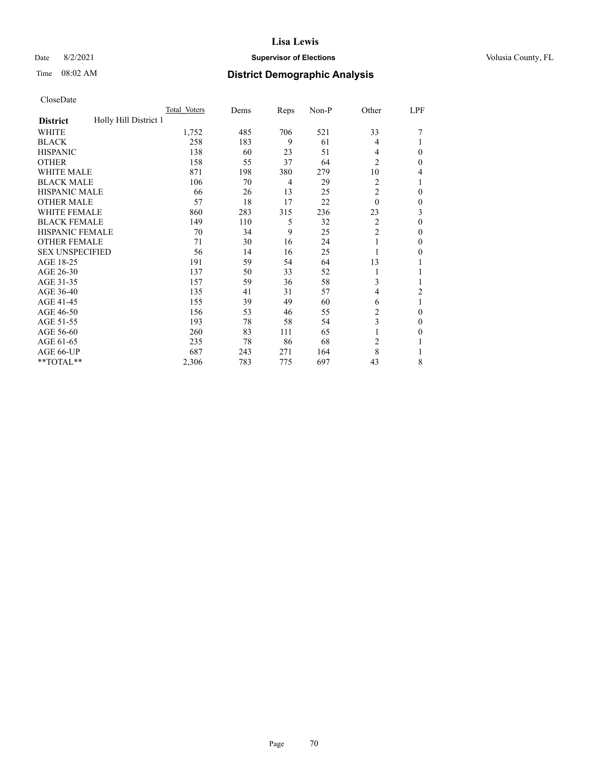## Date 8/2/2021 **Supervisor of Elections Supervisor of Elections** Volusia County, FL

# Time 08:02 AM **District Demographic Analysis**

|                                          | Total Voters | Dems | Reps | Non-P | Other          | LPF |
|------------------------------------------|--------------|------|------|-------|----------------|-----|
| Holly Hill District 1<br><b>District</b> |              |      |      |       |                |     |
| WHITE                                    | 1,752        | 485  | 706  | 521   | 33             |     |
| <b>BLACK</b>                             | 258          | 183  | 9    | 61    | 4              |     |
| <b>HISPANIC</b>                          | 138          | 60   | 23   | 51    | 4              | 0   |
| <b>OTHER</b>                             | 158          | 55   | 37   | 64    | $\overline{2}$ | 0   |
| <b>WHITE MALE</b>                        | 871          | 198  | 380  | 279   | 10             | 4   |
| <b>BLACK MALE</b>                        | 106          | 70   | 4    | 29    | 2              |     |
| <b>HISPANIC MALE</b>                     | 66           | 26   | 13   | 25    | $\overline{c}$ | 0   |
| <b>OTHER MALE</b>                        | 57           | 18   | 17   | 22    | $\theta$       | 0   |
| WHITE FEMALE                             | 860          | 283  | 315  | 236   | 23             | 3   |
| <b>BLACK FEMALE</b>                      | 149          | 110  | 5    | 32    | $\overline{2}$ | 0   |
| <b>HISPANIC FEMALE</b>                   | 70           | 34   | 9    | 25    | $\overline{2}$ | 0   |
| <b>OTHER FEMALE</b>                      | 71           | 30   | 16   | 24    |                | 0   |
| <b>SEX UNSPECIFIED</b>                   | 56           | 14   | 16   | 25    |                | 0   |
| AGE 18-25                                | 191          | 59   | 54   | 64    | 13             |     |
| AGE 26-30                                | 137          | 50   | 33   | 52    | 1              |     |
| AGE 31-35                                | 157          | 59   | 36   | 58    | 3              |     |
| AGE 36-40                                | 135          | 41   | 31   | 57    | $\overline{4}$ | 2   |
| AGE 41-45                                | 155          | 39   | 49   | 60    | 6              |     |
| AGE 46-50                                | 156          | 53   | 46   | 55    | 2              | 0   |
| AGE 51-55                                | 193          | 78   | 58   | 54    | 3              | 0   |
| AGE 56-60                                | 260          | 83   | 111  | 65    |                | 0   |
| AGE 61-65                                | 235          | 78   | 86   | 68    | 2              |     |
| AGE 66-UP                                | 687          | 243  | 271  | 164   | 8              |     |
| **TOTAL**                                | 2,306        | 783  | 775  | 697   | 43             | 8   |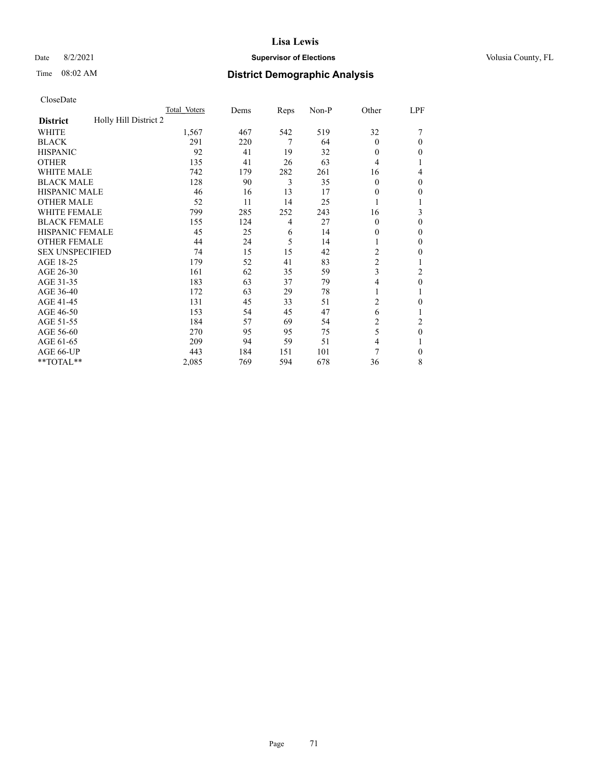## Date 8/2/2021 **Supervisor of Elections Supervisor of Elections** Volusia County, FL

# Time 08:02 AM **District Demographic Analysis**

|                                          | Total Voters | Dems | Reps | Non-P | Other          | LPF              |
|------------------------------------------|--------------|------|------|-------|----------------|------------------|
| Holly Hill District 2<br><b>District</b> |              |      |      |       |                |                  |
| WHITE                                    | 1,567        | 467  | 542  | 519   | 32             |                  |
| <b>BLACK</b>                             | 291          | 220  | 7    | 64    | $\Omega$       | 0                |
| <b>HISPANIC</b>                          | 92           | 41   | 19   | 32    | $\theta$       | 0                |
| <b>OTHER</b>                             | 135          | 41   | 26   | 63    | 4              |                  |
| WHITE MALE                               | 742          | 179  | 282  | 261   | 16             | 4                |
| <b>BLACK MALE</b>                        | 128          | 90   | 3    | 35    | $\Omega$       | 0                |
| <b>HISPANIC MALE</b>                     | 46           | 16   | 13   | 17    | $\theta$       | 0                |
| <b>OTHER MALE</b>                        | 52           | 11   | 14   | 25    |                | 1                |
| <b>WHITE FEMALE</b>                      | 799          | 285  | 252  | 243   | 16             | 3                |
| <b>BLACK FEMALE</b>                      | 155          | 124  | 4    | 27    | $\Omega$       | 0                |
| <b>HISPANIC FEMALE</b>                   | 45           | 25   | 6    | 14    | 0              | 0                |
| <b>OTHER FEMALE</b>                      | 44           | 24   | 5    | 14    |                | 0                |
| <b>SEX UNSPECIFIED</b>                   | 74           | 15   | 15   | 42    | $\overline{c}$ | 0                |
| AGE 18-25                                | 179          | 52   | 41   | 83    | $\overline{2}$ |                  |
| AGE 26-30                                | 161          | 62   | 35   | 59    | 3              | 2                |
| AGE 31-35                                | 183          | 63   | 37   | 79    | 4              | $\boldsymbol{0}$ |
| AGE 36-40                                | 172          | 63   | 29   | 78    | 1              |                  |
| AGE 41-45                                | 131          | 45   | 33   | 51    | 2              | 0                |
| AGE 46-50                                | 153          | 54   | 45   | 47    | 6              |                  |
| AGE 51-55                                | 184          | 57   | 69   | 54    | 2              | $\overline{c}$   |
| AGE 56-60                                | 270          | 95   | 95   | 75    | 5              | $\theta$         |
| AGE 61-65                                | 209          | 94   | 59   | 51    | 4              |                  |
| AGE 66-UP                                | 443          | 184  | 151  | 101   | 7              | 0                |
| **TOTAL**                                | 2,085        | 769  | 594  | 678   | 36             | 8                |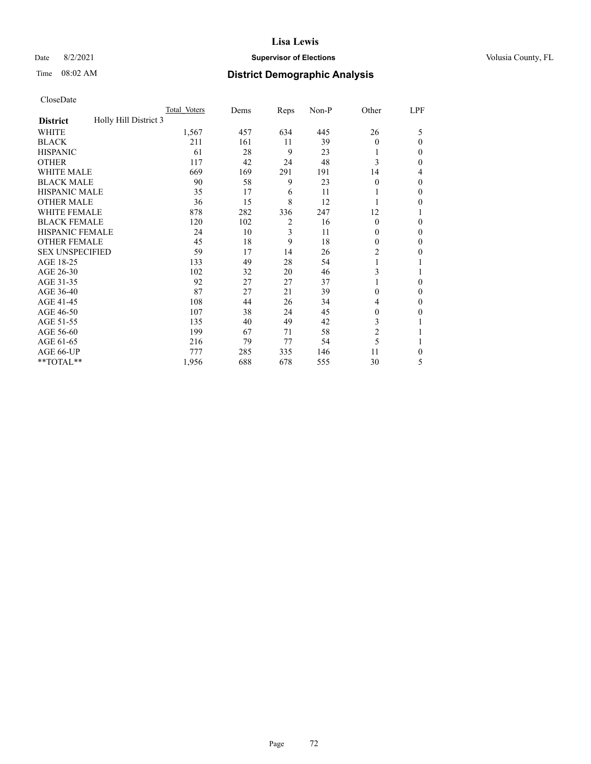## Date 8/2/2021 **Supervisor of Elections Supervisor of Elections** Volusia County, FL

# Time 08:02 AM **District Demographic Analysis**

|                                          | Total Voters | Dems | Reps | Non-P | Other          | LPF          |
|------------------------------------------|--------------|------|------|-------|----------------|--------------|
| Holly Hill District 3<br><b>District</b> |              |      |      |       |                |              |
| WHITE                                    | 1,567        | 457  | 634  | 445   | 26             | 5            |
| <b>BLACK</b>                             | 211          | 161  | 11   | 39    | $\theta$       | $\Omega$     |
| <b>HISPANIC</b>                          | 61           | 28   | 9    | 23    | 1              | 0            |
| <b>OTHER</b>                             | 117          | 42   | 24   | 48    | 3              | 0            |
| <b>WHITE MALE</b>                        | 669          | 169  | 291  | 191   | 14             | 4            |
| <b>BLACK MALE</b>                        | 90           | 58   | 9    | 23    | $\theta$       | $\Omega$     |
| <b>HISPANIC MALE</b>                     | 35           | 17   | 6    | 11    | 1              | $\mathbf{0}$ |
| <b>OTHER MALE</b>                        | 36           | 15   | 8    | 12    | 1              | 0            |
| <b>WHITE FEMALE</b>                      | 878          | 282  | 336  | 247   | 12             |              |
| <b>BLACK FEMALE</b>                      | 120          | 102  | 2    | 16    | $\theta$       | $\Omega$     |
| <b>HISPANIC FEMALE</b>                   | 24           | 10   | 3    | 11    | $\theta$       | 0            |
| <b>OTHER FEMALE</b>                      | 45           | 18   | 9    | 18    | $\theta$       | 0            |
| <b>SEX UNSPECIFIED</b>                   | 59           | 17   | 14   | 26    | $\overline{2}$ | 0            |
| AGE 18-25                                | 133          | 49   | 28   | 54    | 1              |              |
| AGE 26-30                                | 102          | 32   | 20   | 46    | 3              |              |
| AGE 31-35                                | 92           | 27   | 27   | 37    |                | 0            |
| AGE 36-40                                | 87           | 27   | 21   | 39    | $\theta$       | 0            |
| AGE 41-45                                | 108          | 44   | 26   | 34    | 4              | 0            |
| AGE 46-50                                | 107          | 38   | 24   | 45    | $\theta$       | 0            |
| AGE 51-55                                | 135          | 40   | 49   | 42    | 3              |              |
| AGE 56-60                                | 199          | 67   | 71   | 58    | $\overline{c}$ |              |
| AGE 61-65                                | 216          | 79   | 77   | 54    | 5              |              |
| AGE 66-UP                                | 777          | 285  | 335  | 146   | 11             | 0            |
| **TOTAL**                                | 1,956        | 688  | 678  | 555   | 30             | 5            |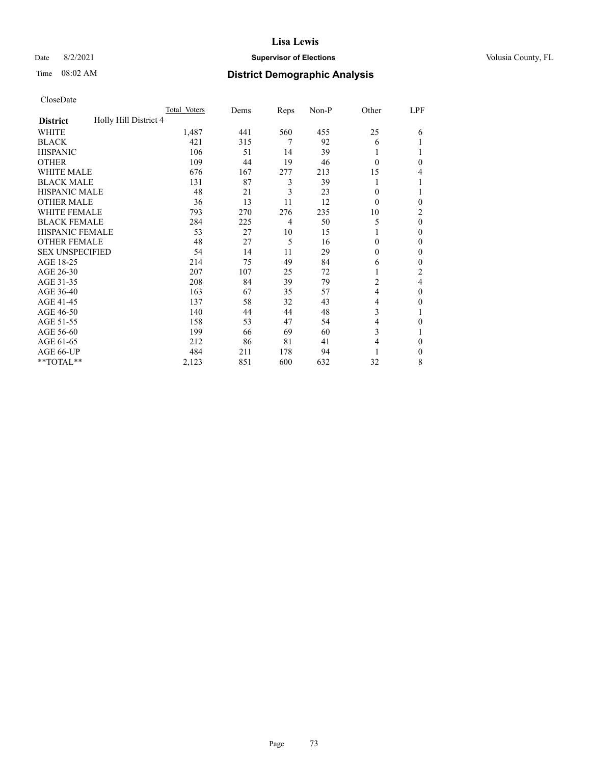### Date 8/2/2021 **Supervisor of Elections Supervisor of Elections** Volusia County, FL

| CloseDate |
|-----------|
|-----------|

|                                          | Total Voters | Dems | Reps | Non-P | Other    | LPF |
|------------------------------------------|--------------|------|------|-------|----------|-----|
| Holly Hill District 4<br><b>District</b> |              |      |      |       |          |     |
| WHITE                                    | 1,487        | 441  | 560  | 455   | 25       | 6   |
| <b>BLACK</b>                             | 421          | 315  | 7    | 92    | 6        |     |
| <b>HISPANIC</b>                          | 106          | 51   | 14   | 39    | 1        |     |
| <b>OTHER</b>                             | 109          | 44   | 19   | 46    | $\theta$ | 0   |
| WHITE MALE                               | 676          | 167  | 277  | 213   | 15       | 4   |
| <b>BLACK MALE</b>                        | 131          | 87   | 3    | 39    |          | 1   |
| <b>HISPANIC MALE</b>                     | 48           | 21   | 3    | 23    | $\theta$ |     |
| <b>OTHER MALE</b>                        | 36           | 13   | 11   | 12    | $\theta$ | 0   |
| <b>WHITE FEMALE</b>                      | 793          | 270  | 276  | 235   | 10       | 2   |
| <b>BLACK FEMALE</b>                      | 284          | 225  | 4    | 50    | 5        | 0   |
| <b>HISPANIC FEMALE</b>                   | 53           | 27   | 10   | 15    |          | 0   |
| <b>OTHER FEMALE</b>                      | 48           | 27   | 5    | 16    | $\Omega$ | 0   |
| <b>SEX UNSPECIFIED</b>                   | 54           | 14   | 11   | 29    | $\Omega$ | 0   |
| AGE 18-25                                | 214          | 75   | 49   | 84    | 6        | 0   |
| AGE 26-30                                | 207          | 107  | 25   | 72    | 1        | 2   |
| AGE 31-35                                | 208          | 84   | 39   | 79    | 2        | 4   |
| AGE 36-40                                | 163          | 67   | 35   | 57    | 4        | 0   |
| AGE 41-45                                | 137          | 58   | 32   | 43    | 4        | 0   |
| AGE 46-50                                | 140          | 44   | 44   | 48    | 3        |     |
| AGE 51-55                                | 158          | 53   | 47   | 54    | 4        | 0   |
| AGE 56-60                                | 199          | 66   | 69   | 60    | 3        |     |
| AGE 61-65                                | 212          | 86   | 81   | 41    | 4        | 0   |
| AGE 66-UP                                | 484          | 211  | 178  | 94    |          | 0   |
| **TOTAL**                                | 2,123        | 851  | 600  | 632   | 32       | 8   |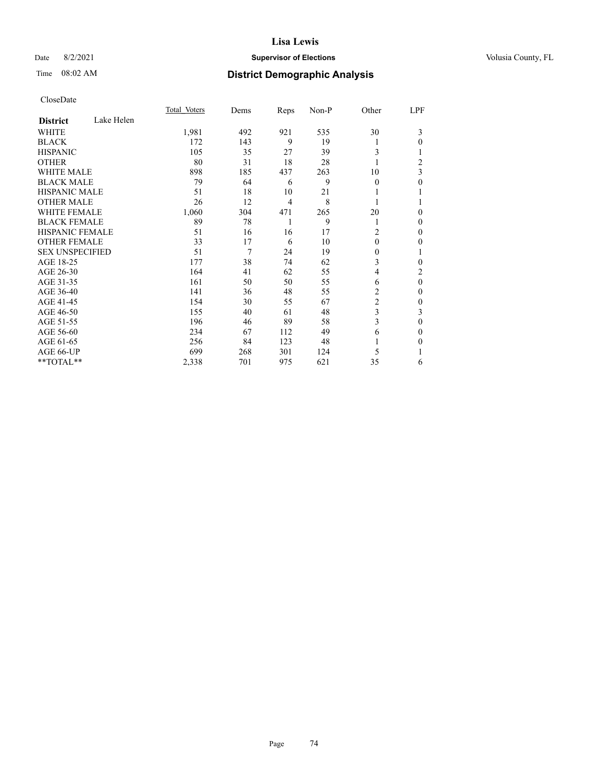### Date 8/2/2021 **Supervisor of Elections Supervisor of Elections** Volusia County, FL

# Time 08:02 AM **District Demographic Analysis**

|                               | Total Voters | Dems | Reps           | Non-P | Other          | LPF |
|-------------------------------|--------------|------|----------------|-------|----------------|-----|
| Lake Helen<br><b>District</b> |              |      |                |       |                |     |
| WHITE                         | 1,981        | 492  | 921            | 535   | 30             | 3   |
| <b>BLACK</b>                  | 172          | 143  | 9              | 19    | 1              | 0   |
| <b>HISPANIC</b>               | 105          | 35   | 27             | 39    | 3              |     |
| <b>OTHER</b>                  | 80           | 31   | 18             | 28    |                | 2   |
| <b>WHITE MALE</b>             | 898          | 185  | 437            | 263   | 10             | 3   |
| <b>BLACK MALE</b>             | 79           | 64   | 6              | 9     | $\theta$       | 0   |
| <b>HISPANIC MALE</b>          | 51           | 18   | 10             | 21    |                |     |
| <b>OTHER MALE</b>             | 26           | 12   | $\overline{4}$ | 8     |                |     |
| <b>WHITE FEMALE</b>           | 1,060        | 304  | 471            | 265   | 20             | 0   |
| <b>BLACK FEMALE</b>           | 89           | 78   | 1              | 9     | 1              | 0   |
| <b>HISPANIC FEMALE</b>        | 51           | 16   | 16             | 17    | $\overline{c}$ | 0   |
| <b>OTHER FEMALE</b>           | 33           | 17   | 6              | 10    | $\theta$       | 0   |
| <b>SEX UNSPECIFIED</b>        | 51           | 7    | 24             | 19    | $\mathbf{0}$   | 1   |
| AGE 18-25                     | 177          | 38   | 74             | 62    | 3              | 0   |
| AGE 26-30                     | 164          | 41   | 62             | 55    | $\overline{4}$ | 2   |
| AGE 31-35                     | 161          | 50   | 50             | 55    | 6              | 0   |
| AGE 36-40                     | 141          | 36   | 48             | 55    | 2              | 0   |
| AGE 41-45                     | 154          | 30   | 55             | 67    | $\overline{c}$ | 0   |
| AGE 46-50                     | 155          | 40   | 61             | 48    | 3              | 3   |
| AGE 51-55                     | 196          | 46   | 89             | 58    | 3              | 0   |
| AGE 56-60                     | 234          | 67   | 112            | 49    | 6              | 0   |
| AGE 61-65                     | 256          | 84   | 123            | 48    |                | 0   |
| AGE 66-UP                     | 699          | 268  | 301            | 124   | 5              |     |
| **TOTAL**                     | 2,338        | 701  | 975            | 621   | 35             | 6   |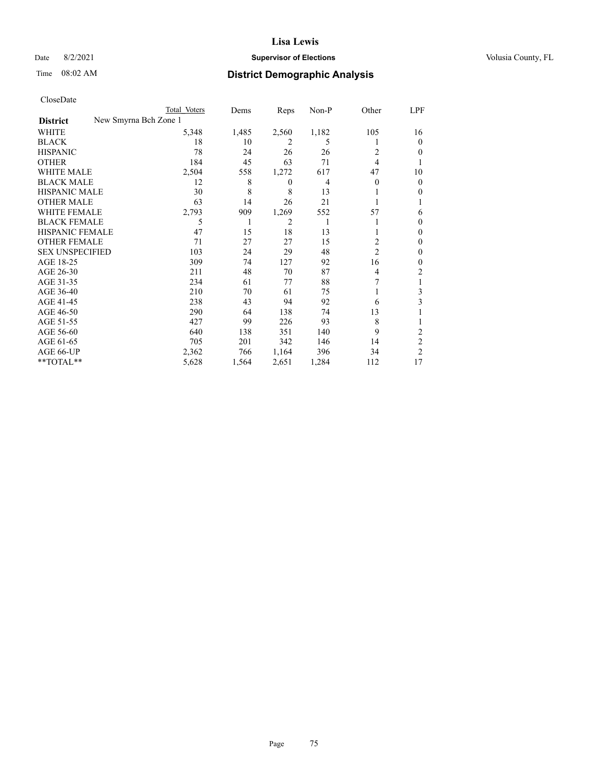### Date 8/2/2021 **Supervisor of Elections Supervisor of Elections** Volusia County, FL

|                                          | Total Voters | Dems  | Reps             | $Non-P$ | Other          | LPF            |
|------------------------------------------|--------------|-------|------------------|---------|----------------|----------------|
| New Smyrna Bch Zone 1<br><b>District</b> |              |       |                  |         |                |                |
| WHITE                                    | 5,348        | 1,485 | 2,560            | 1,182   | 105            | 16             |
| <b>BLACK</b>                             | 18           | 10    | 2                | 5       |                | $\theta$       |
| <b>HISPANIC</b>                          | 78           | 24    | 26               | 26      | 2              | 0              |
| <b>OTHER</b>                             | 184          | 45    | 63               | 71      | 4              |                |
| <b>WHITE MALE</b>                        | 2,504        | 558   | 1,272            | 617     | 47             | 10             |
| <b>BLACK MALE</b>                        | 12           | 8     | $\boldsymbol{0}$ | 4       | $\theta$       | $\Omega$       |
| <b>HISPANIC MALE</b>                     | 30           | 8     | 8                | 13      |                | 0              |
| <b>OTHER MALE</b>                        | 63           | 14    | 26               | 21      |                |                |
| <b>WHITE FEMALE</b>                      | 2,793        | 909   | 1,269            | 552     | 57             | 6              |
| <b>BLACK FEMALE</b>                      | 5            | 1     | 2                | 1       |                | $_{0}$         |
| <b>HISPANIC FEMALE</b>                   | 47           | 15    | 18               | 13      |                | 0              |
| <b>OTHER FEMALE</b>                      | 71           | 27    | 27               | 15      | 2              | 0              |
| <b>SEX UNSPECIFIED</b>                   | 103          | 24    | 29               | 48      | $\overline{2}$ | 0              |
| AGE 18-25                                | 309          | 74    | 127              | 92      | 16             | 0              |
| AGE 26-30                                | 211          | 48    | 70               | 87      | 4              | 2              |
| AGE 31-35                                | 234          | 61    | 77               | 88      |                |                |
| AGE 36-40                                | 210          | 70    | 61               | 75      |                | 3              |
| AGE 41-45                                | 238          | 43    | 94               | 92      | 6              | 3              |
| AGE 46-50                                | 290          | 64    | 138              | 74      | 13             |                |
| AGE 51-55                                | 427          | 99    | 226              | 93      | 8              |                |
| AGE 56-60                                | 640          | 138   | 351              | 140     | 9              | 2              |
| AGE 61-65                                | 705          | 201   | 342              | 146     | 14             | $\overline{c}$ |
| AGE 66-UP                                | 2,362        | 766   | 1,164            | 396     | 34             | $\overline{c}$ |
| **TOTAL**                                | 5,628        | 1,564 | 2,651            | 1,284   | 112            | 17             |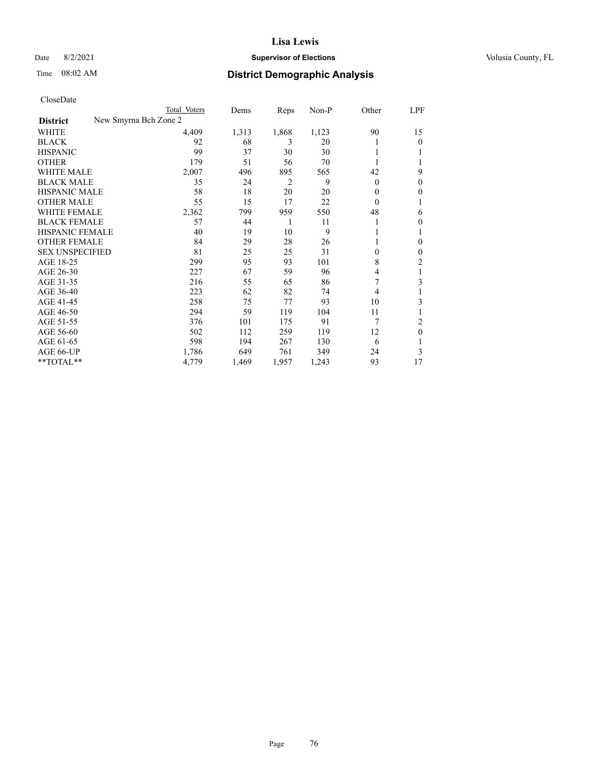### Date 8/2/2021 **Supervisor of Elections Supervisor of Elections** Volusia County, FL

| CloseDate |
|-----------|
|-----------|

| New Smyrna Bch Zone 2<br><b>District</b><br>4,409<br>1,123<br>90<br>WHITE<br>1,313<br>1,868<br>92<br>68<br>3<br><b>BLACK</b><br>20<br>1<br>99<br><b>HISPANIC</b><br>37<br>30<br>30<br><b>OTHER</b><br>179<br>51<br>56<br>70<br><b>WHITE MALE</b><br>2,007<br>42<br>496<br>895<br>565<br>$\overline{2}$<br><b>BLACK MALE</b><br>35<br>9<br>24<br>$\theta$<br><b>HISPANIC MALE</b><br>58<br>18<br>20<br>20<br>$\Omega$<br><b>OTHER MALE</b><br>55<br>15<br>17<br>22<br>$\Omega$<br><b>WHITE FEMALE</b><br>2,362<br>959<br>48<br>799<br>550 | LPF      |
|------------------------------------------------------------------------------------------------------------------------------------------------------------------------------------------------------------------------------------------------------------------------------------------------------------------------------------------------------------------------------------------------------------------------------------------------------------------------------------------------------------------------------------------|----------|
|                                                                                                                                                                                                                                                                                                                                                                                                                                                                                                                                          |          |
|                                                                                                                                                                                                                                                                                                                                                                                                                                                                                                                                          | 15       |
|                                                                                                                                                                                                                                                                                                                                                                                                                                                                                                                                          | $\theta$ |
|                                                                                                                                                                                                                                                                                                                                                                                                                                                                                                                                          |          |
|                                                                                                                                                                                                                                                                                                                                                                                                                                                                                                                                          |          |
|                                                                                                                                                                                                                                                                                                                                                                                                                                                                                                                                          | 9        |
|                                                                                                                                                                                                                                                                                                                                                                                                                                                                                                                                          | 0        |
|                                                                                                                                                                                                                                                                                                                                                                                                                                                                                                                                          | 0        |
|                                                                                                                                                                                                                                                                                                                                                                                                                                                                                                                                          |          |
|                                                                                                                                                                                                                                                                                                                                                                                                                                                                                                                                          | 6        |
| <b>BLACK FEMALE</b><br>57<br>44<br>1<br>11                                                                                                                                                                                                                                                                                                                                                                                                                                                                                               | 0        |
| 9<br>HISPANIC FEMALE<br>40<br>19<br>10<br>1                                                                                                                                                                                                                                                                                                                                                                                                                                                                                              | 1        |
| <b>OTHER FEMALE</b><br>29<br>28<br>84<br>26                                                                                                                                                                                                                                                                                                                                                                                                                                                                                              | 0        |
| <b>SEX UNSPECIFIED</b><br>81<br>25<br>25<br>31<br>$\theta$                                                                                                                                                                                                                                                                                                                                                                                                                                                                               | 0        |
| 299<br>93<br>8<br>AGE 18-25<br>95<br>101                                                                                                                                                                                                                                                                                                                                                                                                                                                                                                 | 2        |
| AGE 26-30<br>227<br>67<br>59<br>96<br>4                                                                                                                                                                                                                                                                                                                                                                                                                                                                                                  | 1        |
| AGE 31-35<br>7<br>216<br>55<br>65<br>86                                                                                                                                                                                                                                                                                                                                                                                                                                                                                                  | 3        |
| AGE 36-40<br>223<br>62<br>82<br>74<br>4                                                                                                                                                                                                                                                                                                                                                                                                                                                                                                  |          |
| AGE 41-45<br>258<br>75<br>77<br>93<br>10                                                                                                                                                                                                                                                                                                                                                                                                                                                                                                 | 3        |
| AGE 46-50<br>294<br>59<br>119<br>104<br>11                                                                                                                                                                                                                                                                                                                                                                                                                                                                                               |          |
| AGE 51-55<br>376<br>101<br>175<br>91<br>7                                                                                                                                                                                                                                                                                                                                                                                                                                                                                                | 2        |
| AGE 56-60<br>502<br>112<br>259<br>12<br>119                                                                                                                                                                                                                                                                                                                                                                                                                                                                                              | 0        |
| AGE 61-65<br>598<br>267<br>130<br>194<br>6                                                                                                                                                                                                                                                                                                                                                                                                                                                                                               |          |
| AGE 66-UP<br>649<br>1,786<br>761<br>349<br>24                                                                                                                                                                                                                                                                                                                                                                                                                                                                                            | 3        |
| **TOTAL**<br>93<br>4,779<br>1,469<br>1,957<br>1,243                                                                                                                                                                                                                                                                                                                                                                                                                                                                                      | 17       |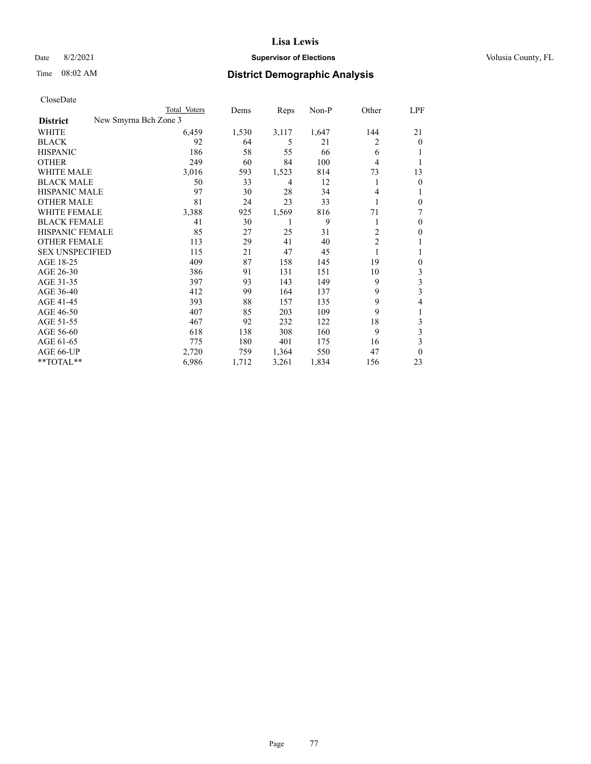### Date 8/2/2021 **Supervisor of Elections Supervisor of Elections** Volusia County, FL

| CloseDate |
|-----------|
|-----------|

|                                          | Total Voters | Dems  | Reps  | Non-P | Other          | LPF          |
|------------------------------------------|--------------|-------|-------|-------|----------------|--------------|
| New Smyrna Bch Zone 3<br><b>District</b> |              |       |       |       |                |              |
| WHITE                                    | 6,459        | 1,530 | 3,117 | 1,647 | 144            | 21           |
| <b>BLACK</b>                             | 92           | 64    | 5     | 21    | 2              | $\theta$     |
| <b>HISPANIC</b>                          | 186          | 58    | 55    | 66    | 6              |              |
| <b>OTHER</b>                             | 249          | 60    | 84    | 100   | 4              |              |
| <b>WHITE MALE</b>                        | 3,016        | 593   | 1,523 | 814   | 73             | 13           |
| <b>BLACK MALE</b>                        | 50           | 33    | 4     | 12    | 1              | 0            |
| HISPANIC MALE                            | 97           | 30    | 28    | 34    | 4              | 1            |
| <b>OTHER MALE</b>                        | 81           | 24    | 23    | 33    |                | $\mathbf{0}$ |
| <b>WHITE FEMALE</b>                      | 3,388        | 925   | 1,569 | 816   | 71             | 7            |
| <b>BLACK FEMALE</b>                      | 41           | 30    |       | 9     | 1              | 0            |
| HISPANIC FEMALE                          | 85           | 27    | 25    | 31    | 2              | 0            |
| <b>OTHER FEMALE</b>                      | 113          | 29    | 41    | 40    | $\overline{c}$ | 1            |
| <b>SEX UNSPECIFIED</b>                   | 115          | 21    | 47    | 45    | 1              | 1            |
| AGE 18-25                                | 409          | 87    | 158   | 145   | 19             | 0            |
| AGE 26-30                                | 386          | 91    | 131   | 151   | 10             | 3            |
| AGE 31-35                                | 397          | 93    | 143   | 149   | 9              | 3            |
| AGE 36-40                                | 412          | 99    | 164   | 137   | 9              | 3            |
| AGE 41-45                                | 393          | 88    | 157   | 135   | 9              | 4            |
| AGE 46-50                                | 407          | 85    | 203   | 109   | 9              | 1            |
| AGE 51-55                                | 467          | 92    | 232   | 122   | 18             | 3            |
| AGE 56-60                                | 618          | 138   | 308   | 160   | 9              | 3            |
| AGE 61-65                                | 775          | 180   | 401   | 175   | 16             | 3            |
| AGE 66-UP                                | 2,720        | 759   | 1,364 | 550   | 47             | $\theta$     |
| **TOTAL**                                | 6,986        | 1,712 | 3,261 | 1,834 | 156            | 23           |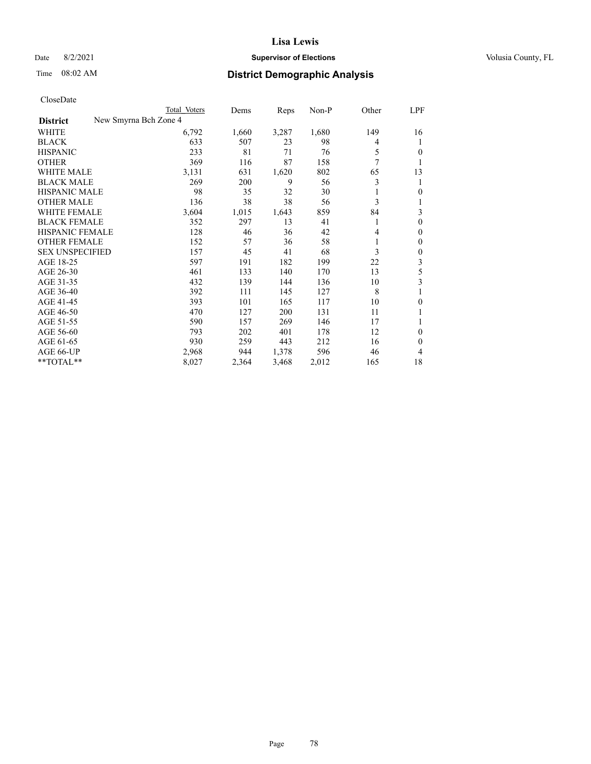### Date 8/2/2021 **Supervisor of Elections Supervisor of Elections** Volusia County, FL

| CloseDate |
|-----------|
|-----------|

|                                          | Total Voters | Dems  | Reps  | $Non-P$ | Other          | LPF      |
|------------------------------------------|--------------|-------|-------|---------|----------------|----------|
| New Smyrna Bch Zone 4<br><b>District</b> |              |       |       |         |                |          |
| WHITE                                    | 6,792        | 1,660 | 3,287 | 1,680   | 149            | 16       |
| <b>BLACK</b>                             | 633          | 507   | 23    | 98      | 4              | 1        |
| <b>HISPANIC</b>                          | 233          | 81    | 71    | 76      | 5              | 0        |
| <b>OTHER</b>                             | 369          | 116   | 87    | 158     | 7              | 1        |
| <b>WHITE MALE</b>                        | 3,131        | 631   | 1,620 | 802     | 65             | 13       |
| <b>BLACK MALE</b>                        | 269          | 200   | 9     | 56      | 3              | 1        |
| <b>HISPANIC MALE</b>                     | 98           | 35    | 32    | 30      | 1              | 0        |
| <b>OTHER MALE</b>                        | 136          | 38    | 38    | 56      | 3              |          |
| WHITE FEMALE                             | 3,604        | 1,015 | 1,643 | 859     | 84             | 3        |
| <b>BLACK FEMALE</b>                      | 352          | 297   | 13    | 41      | 1              | 0        |
| HISPANIC FEMALE                          | 128          | 46    | 36    | 42      | $\overline{4}$ | 0        |
| <b>OTHER FEMALE</b>                      | 152          | 57    | 36    | 58      | 1              | 0        |
| <b>SEX UNSPECIFIED</b>                   | 157          | 45    | 41    | 68      | 3              | 0        |
| AGE 18-25                                | 597          | 191   | 182   | 199     | 22             | 3        |
| AGE 26-30                                | 461          | 133   | 140   | 170     | 13             | 5        |
| AGE 31-35                                | 432          | 139   | 144   | 136     | 10             | 3        |
| AGE 36-40                                | 392          | 111   | 145   | 127     | 8              |          |
| AGE 41-45                                | 393          | 101   | 165   | 117     | 10             | 0        |
| AGE 46-50                                | 470          | 127   | 200   | 131     | 11             |          |
| AGE 51-55                                | 590          | 157   | 269   | 146     | 17             |          |
| AGE 56-60                                | 793          | 202   | 401   | 178     | 12             | 0        |
| AGE 61-65                                | 930          | 259   | 443   | 212     | 16             | $\Omega$ |
| AGE 66-UP                                | 2,968        | 944   | 1,378 | 596     | 46             | 4        |
| **TOTAL**                                | 8,027        | 2,364 | 3,468 | 2,012   | 165            | 18       |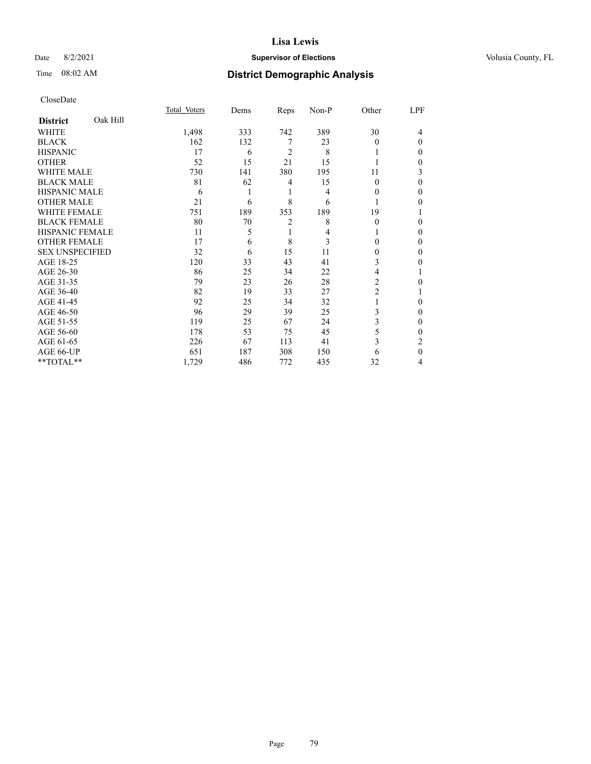### Date 8/2/2021 **Supervisor of Elections Supervisor of Elections** Volusia County, FL

# Time 08:02 AM **District Demographic Analysis**

|                        |          | Total Voters | Dems | Reps           | Non-P | Other    | LPF          |
|------------------------|----------|--------------|------|----------------|-------|----------|--------------|
| <b>District</b>        | Oak Hill |              |      |                |       |          |              |
| WHITE                  |          | 1,498        | 333  | 742            | 389   | 30       | 4            |
| <b>BLACK</b>           |          | 162          | 132  | 7              | 23    | $\Omega$ | $\Omega$     |
| <b>HISPANIC</b>        |          | 17           | 6    | 2              | 8     |          | 0            |
| <b>OTHER</b>           |          | 52           | 15   | 21             | 15    |          | 0            |
| WHITE MALE             |          | 730          | 141  | 380            | 195   | 11       | 3            |
| <b>BLACK MALE</b>      |          | 81           | 62   | 4              | 15    | $\theta$ | $\Omega$     |
| <b>HISPANIC MALE</b>   |          | 6            | 1    | 1              | 4     | 0        | 0            |
| <b>OTHER MALE</b>      |          | 21           | 6    | 8              | 6     | 1        | 0            |
| WHITE FEMALE           |          | 751          | 189  | 353            | 189   | 19       |              |
| <b>BLACK FEMALE</b>    |          | 80           | 70   | $\overline{2}$ | 8     | $\Omega$ | 0            |
| <b>HISPANIC FEMALE</b> |          | 11           | 5    | 1              | 4     |          | 0            |
| <b>OTHER FEMALE</b>    |          | 17           | 6    | 8              | 3     | 0        | 0            |
| <b>SEX UNSPECIFIED</b> |          | 32           | 6    | 15             | 11    | 0        | 0            |
| AGE 18-25              |          | 120          | 33   | 43             | 41    | 3        | 0            |
| AGE 26-30              |          | 86           | 25   | 34             | 22    | 4        |              |
| AGE 31-35              |          | 79           | 23   | 26             | 28    | 2        | 0            |
| AGE 36-40              |          | 82           | 19   | 33             | 27    | 2        |              |
| AGE 41-45              |          | 92           | 25   | 34             | 32    |          | 0            |
| AGE 46-50              |          | 96           | 29   | 39             | 25    | 3        | 0            |
| AGE 51-55              |          | 119          | 25   | 67             | 24    | 3        | $\mathbf{0}$ |
| AGE 56-60              |          | 178          | 53   | 75             | 45    | 5        | 0            |
| AGE 61-65              |          | 226          | 67   | 113            | 41    | 3        | 2            |
| AGE 66-UP              |          | 651          | 187  | 308            | 150   | 6        | $\theta$     |
| **TOTAL**              |          | 1,729        | 486  | 772            | 435   | 32       | 4            |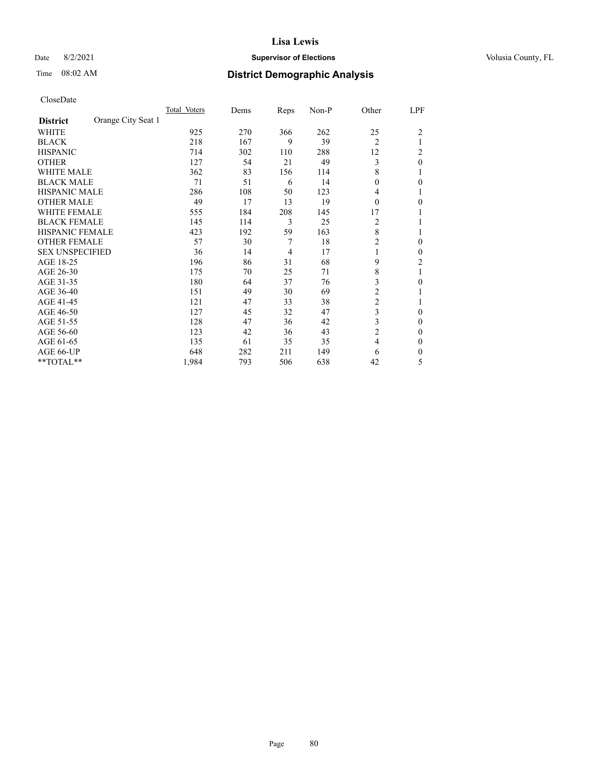### Date 8/2/2021 **Supervisor of Elections Supervisor of Elections** Volusia County, FL

# Time 08:02 AM **District Demographic Analysis**

|                        |                    | Total Voters | Dems | Reps | Non-P | Other          | LPF            |
|------------------------|--------------------|--------------|------|------|-------|----------------|----------------|
| <b>District</b>        | Orange City Seat 1 |              |      |      |       |                |                |
| WHITE                  |                    | 925          | 270  | 366  | 262   | 25             | $\overline{2}$ |
| <b>BLACK</b>           |                    | 218          | 167  | 9    | 39    | $\overline{2}$ |                |
| <b>HISPANIC</b>        |                    | 714          | 302  | 110  | 288   | 12             | 2              |
| <b>OTHER</b>           |                    | 127          | 54   | 21   | 49    | 3              | $\theta$       |
| <b>WHITE MALE</b>      |                    | 362          | 83   | 156  | 114   | 8              |                |
| <b>BLACK MALE</b>      |                    | 71           | 51   | 6    | 14    | $\theta$       | 0              |
| <b>HISPANIC MALE</b>   |                    | 286          | 108  | 50   | 123   | 4              |                |
| <b>OTHER MALE</b>      |                    | 49           | 17   | 13   | 19    | $\theta$       | 0              |
| <b>WHITE FEMALE</b>    |                    | 555          | 184  | 208  | 145   | 17             |                |
| <b>BLACK FEMALE</b>    |                    | 145          | 114  | 3    | 25    | 2              |                |
| <b>HISPANIC FEMALE</b> |                    | 423          | 192  | 59   | 163   | 8              |                |
| <b>OTHER FEMALE</b>    |                    | 57           | 30   | 7    | 18    | $\overline{2}$ | 0              |
| <b>SEX UNSPECIFIED</b> |                    | 36           | 14   | 4    | 17    | 1              | 0              |
| AGE 18-25              |                    | 196          | 86   | 31   | 68    | 9              | $\overline{2}$ |
| AGE 26-30              |                    | 175          | 70   | 25   | 71    | $\,$ 8 $\,$    | 1              |
| AGE 31-35              |                    | 180          | 64   | 37   | 76    | 3              | 0              |
| AGE 36-40              |                    | 151          | 49   | 30   | 69    | 2              |                |
| AGE 41-45              |                    | 121          | 47   | 33   | 38    | $\overline{c}$ |                |
| AGE 46-50              |                    | 127          | 45   | 32   | 47    | 3              | $\Omega$       |
| AGE 51-55              |                    | 128          | 47   | 36   | 42    | 3              | 0              |
| AGE 56-60              |                    | 123          | 42   | 36   | 43    | $\overline{c}$ | 0              |
| AGE 61-65              |                    | 135          | 61   | 35   | 35    | $\overline{4}$ | $\theta$       |
| AGE 66-UP              |                    | 648          | 282  | 211  | 149   | 6              | 0              |
| **TOTAL**              |                    | 1,984        | 793  | 506  | 638   | 42             | 5              |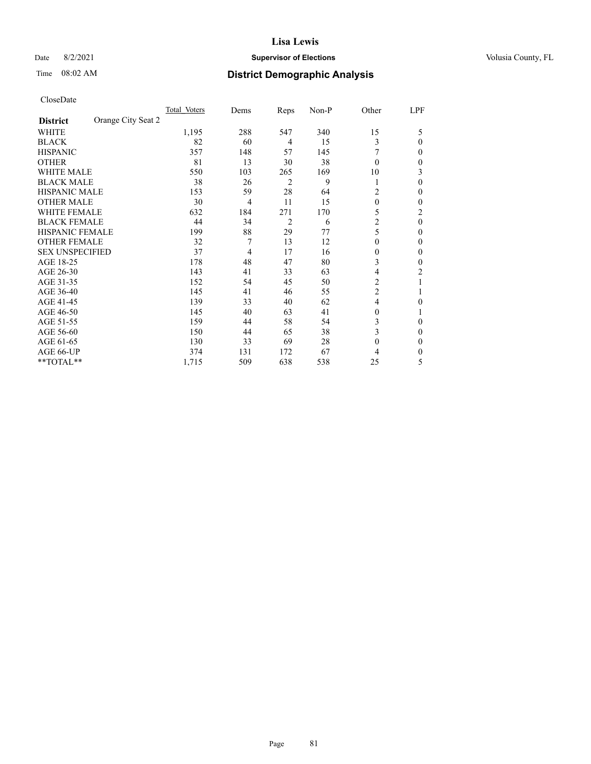### Date 8/2/2021 **Supervisor of Elections Supervisor of Elections** Volusia County, FL

| CloseDate |
|-----------|
|-----------|

|                                       | Total Voters | Dems | Reps | Non-P | Other          | LPF |
|---------------------------------------|--------------|------|------|-------|----------------|-----|
| Orange City Seat 2<br><b>District</b> |              |      |      |       |                |     |
| WHITE                                 | 1,195        | 288  | 547  | 340   | 15             | 5   |
| <b>BLACK</b>                          | 82           | 60   | 4    | 15    | 3              | 0   |
| <b>HISPANIC</b>                       | 357          | 148  | 57   | 145   |                | 0   |
| <b>OTHER</b>                          | 81           | 13   | 30   | 38    | $\theta$       | 0   |
| <b>WHITE MALE</b>                     | 550          | 103  | 265  | 169   | 10             | 3   |
| <b>BLACK MALE</b>                     | 38           | 26   | 2    | 9     |                | 0   |
| <b>HISPANIC MALE</b>                  | 153          | 59   | 28   | 64    | 2              | 0   |
| <b>OTHER MALE</b>                     | 30           | 4    | 11   | 15    | $\theta$       | 0   |
| <b>WHITE FEMALE</b>                   | 632          | 184  | 271  | 170   | 5              | 2   |
| <b>BLACK FEMALE</b>                   | 44           | 34   | 2    | 6     | $\overline{c}$ | 0   |
| <b>HISPANIC FEMALE</b>                | 199          | 88   | 29   | 77    | 5              | 0   |
| <b>OTHER FEMALE</b>                   | 32           | 7    | 13   | 12    | $\Omega$       | 0   |
| <b>SEX UNSPECIFIED</b>                | 37           | 4    | 17   | 16    | $\Omega$       | 0   |
| AGE 18-25                             | 178          | 48   | 47   | 80    | 3              | 0   |
| AGE 26-30                             | 143          | 41   | 33   | 63    | 4              | 2   |
| AGE 31-35                             | 152          | 54   | 45   | 50    | 2              |     |
| AGE 36-40                             | 145          | 41   | 46   | 55    | $\overline{2}$ |     |
| AGE 41-45                             | 139          | 33   | 40   | 62    | 4              | 0   |
| AGE 46-50                             | 145          | 40   | 63   | 41    | $\theta$       |     |
| AGE 51-55                             | 159          | 44   | 58   | 54    | 3              | 0   |
| AGE 56-60                             | 150          | 44   | 65   | 38    | 3              | 0   |
| AGE 61-65                             | 130          | 33   | 69   | 28    | $\theta$       | 0   |
| AGE 66-UP                             | 374          | 131  | 172  | 67    | 4              | 0   |
| **TOTAL**                             | 1,715        | 509  | 638  | 538   | 25             | 5   |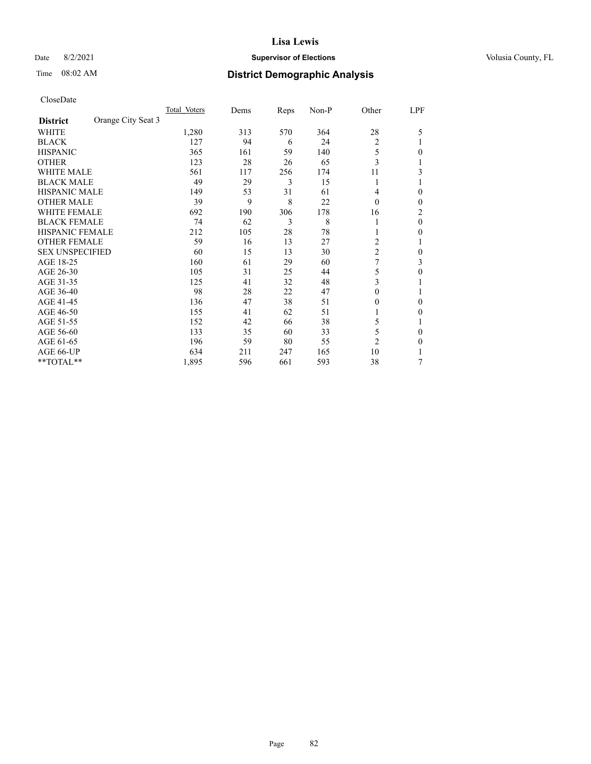### Date 8/2/2021 **Supervisor of Elections Supervisor of Elections** Volusia County, FL

# Time 08:02 AM **District Demographic Analysis**

|                        |                    | Total Voters | Dems | Reps | Non-P | Other          | LPF |
|------------------------|--------------------|--------------|------|------|-------|----------------|-----|
| <b>District</b>        | Orange City Seat 3 |              |      |      |       |                |     |
| WHITE                  |                    | 1,280        | 313  | 570  | 364   | 28             | 5   |
| <b>BLACK</b>           |                    | 127          | 94   | 6    | 24    | 2              |     |
| <b>HISPANIC</b>        |                    | 365          | 161  | 59   | 140   | 5              | 0   |
| <b>OTHER</b>           |                    | 123          | 28   | 26   | 65    | 3              |     |
| <b>WHITE MALE</b>      |                    | 561          | 117  | 256  | 174   | 11             | 3   |
| <b>BLACK MALE</b>      |                    | 49           | 29   | 3    | 15    | 1              |     |
| <b>HISPANIC MALE</b>   |                    | 149          | 53   | 31   | 61    | 4              | 0   |
| <b>OTHER MALE</b>      |                    | 39           | 9    | 8    | 22    | $\theta$       | 0   |
| WHITE FEMALE           |                    | 692          | 190  | 306  | 178   | 16             | 2   |
| <b>BLACK FEMALE</b>    |                    | 74           | 62   | 3    | 8     |                | 0   |
| <b>HISPANIC FEMALE</b> |                    | 212          | 105  | 28   | 78    |                | 0   |
| <b>OTHER FEMALE</b>    |                    | 59           | 16   | 13   | 27    | 2              |     |
| <b>SEX UNSPECIFIED</b> |                    | 60           | 15   | 13   | 30    | $\overline{c}$ | 0   |
| AGE 18-25              |                    | 160          | 61   | 29   | 60    | 7              | 3   |
| AGE 26-30              |                    | 105          | 31   | 25   | 44    | 5              | 0   |
| AGE 31-35              |                    | 125          | 41   | 32   | 48    | 3              |     |
| AGE 36-40              |                    | 98           | 28   | 22   | 47    | $\theta$       |     |
| AGE 41-45              |                    | 136          | 47   | 38   | 51    | 0              | 0   |
| AGE 46-50              |                    | 155          | 41   | 62   | 51    |                | 0   |
| AGE 51-55              |                    | 152          | 42   | 66   | 38    | 5              |     |
| AGE 56-60              |                    | 133          | 35   | 60   | 33    | 5              | 0   |
| AGE 61-65              |                    | 196          | 59   | 80   | 55    | $\overline{2}$ | 0   |
| AGE 66-UP              |                    | 634          | 211  | 247  | 165   | 10             |     |
| **TOTAL**              |                    | 1,895        | 596  | 661  | 593   | 38             | 7   |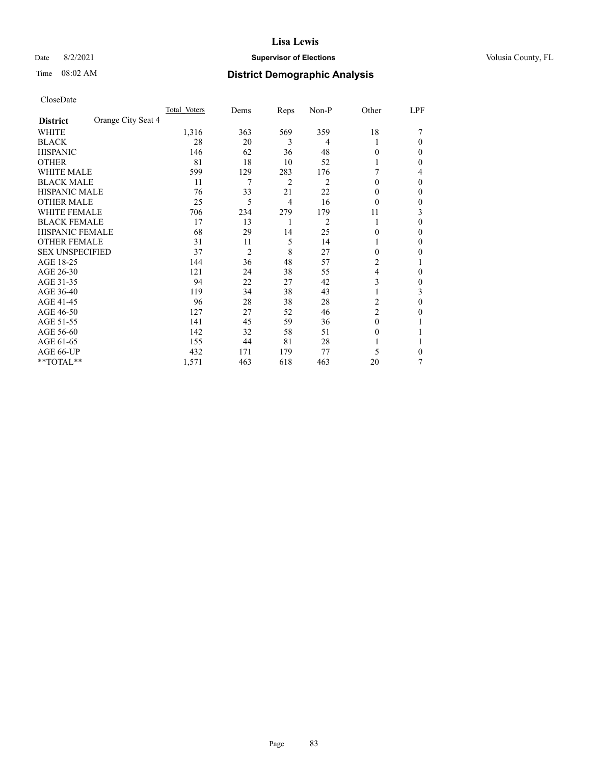Date 8/2/2021 **Supervisor of Elections Supervisor of Elections** Volusia County, FL

### Time 08:02 AM **District Demographic Analysis**

|                        |                    | Total Voters | Dems           | Reps           | Non-P          | Other          | LPF    |
|------------------------|--------------------|--------------|----------------|----------------|----------------|----------------|--------|
| <b>District</b>        | Orange City Seat 4 |              |                |                |                |                |        |
| WHITE                  |                    | 1,316        | 363            | 569            | 359            | 18             |        |
| <b>BLACK</b>           |                    | 28           | 20             | 3              | 4              |                | 0      |
| <b>HISPANIC</b>        |                    | 146          | 62             | 36             | 48             | 0              | $_{0}$ |
| <b>OTHER</b>           |                    | 81           | 18             | 10             | 52             |                | 0      |
| WHITE MALE             |                    | 599          | 129            | 283            | 176            |                | 4      |
| <b>BLACK MALE</b>      |                    | 11           | 7              | $\overline{2}$ | $\overline{c}$ | $\Omega$       | 0      |
| <b>HISPANIC MALE</b>   |                    | 76           | 33             | 21             | 22             | $_{0}$         | 0      |
| <b>OTHER MALE</b>      |                    | 25           | 5              | 4              | 16             | 0              | 0      |
| WHITE FEMALE           |                    | 706          | 234            | 279            | 179            | 11             | 3      |
| <b>BLACK FEMALE</b>    |                    | 17           | 13             | 1              | 2              | 1              | 0      |
| <b>HISPANIC FEMALE</b> |                    | 68           | 29             | 14             | 25             | 0              | 0      |
| <b>OTHER FEMALE</b>    |                    | 31           | 11             | 5              | 14             |                | 0      |
| <b>SEX UNSPECIFIED</b> |                    | 37           | $\overline{2}$ | 8              | 27             | 0              | 0      |
| AGE 18-25              |                    | 144          | 36             | 48             | 57             | 2              |        |
| AGE 26-30              |                    | 121          | 24             | 38             | 55             | 4              | 0      |
| AGE 31-35              |                    | 94           | 22             | 27             | 42             | 3              | 0      |
| AGE 36-40              |                    | 119          | 34             | 38             | 43             |                | 3      |
| AGE 41-45              |                    | 96           | 28             | 38             | 28             | 2              | 0      |
| AGE 46-50              |                    | 127          | 27             | 52             | 46             | $\overline{2}$ | 0      |
| AGE 51-55              |                    | 141          | 45             | 59             | 36             | $\Omega$       |        |
| AGE 56-60              |                    | 142          | 32             | 58             | 51             | $_{0}$         |        |
| AGE 61-65              |                    | 155          | 44             | 81             | 28             |                |        |
| AGE 66-UP              |                    | 432          | 171            | 179            | 77             | 5              | 0      |
| **TOTAL**              |                    | 1,571        | 463            | 618            | 463            | 20             | 7      |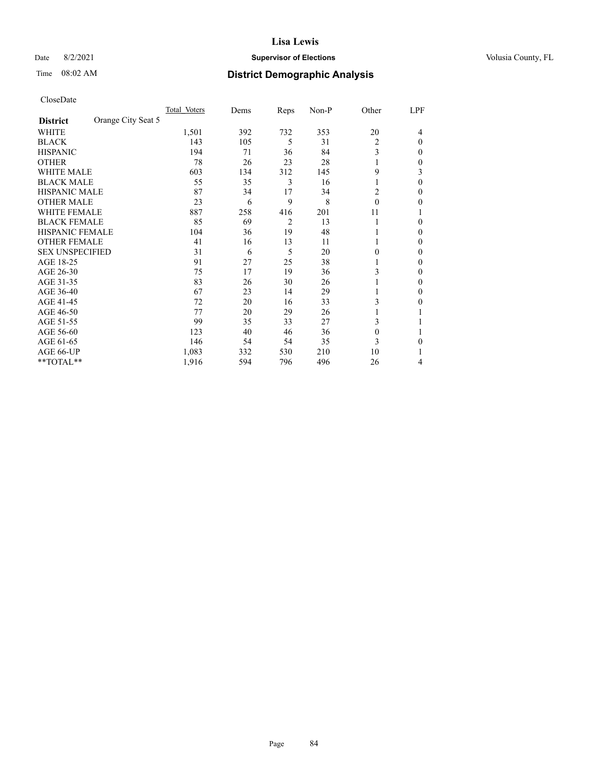### Date 8/2/2021 **Supervisor of Elections Supervisor of Elections** Volusia County, FL

# Time 08:02 AM **District Demographic Analysis**

|                        |                    | Total Voters | Dems | Reps           | Non-P | Other    | LPF      |
|------------------------|--------------------|--------------|------|----------------|-------|----------|----------|
| <b>District</b>        | Orange City Seat 5 |              |      |                |       |          |          |
| WHITE                  |                    | 1,501        | 392  | 732            | 353   | 20       | 4        |
| <b>BLACK</b>           |                    | 143          | 105  | 5              | 31    | 2        | $\Omega$ |
| <b>HISPANIC</b>        |                    | 194          | 71   | 36             | 84    | 3        | 0        |
| <b>OTHER</b>           |                    | 78           | 26   | 23             | 28    |          | 0        |
| <b>WHITE MALE</b>      |                    | 603          | 134  | 312            | 145   | 9        | 3        |
| <b>BLACK MALE</b>      |                    | 55           | 35   | 3              | 16    | 1        | $\Omega$ |
| <b>HISPANIC MALE</b>   |                    | 87           | 34   | 17             | 34    | 2        | 0        |
| <b>OTHER MALE</b>      |                    | 23           | 6    | 9              | 8     | $\theta$ | 0        |
| WHITE FEMALE           |                    | 887          | 258  | 416            | 201   | 11       |          |
| <b>BLACK FEMALE</b>    |                    | 85           | 69   | $\overline{2}$ | 13    | 1        | 0        |
| <b>HISPANIC FEMALE</b> |                    | 104          | 36   | 19             | 48    |          | 0        |
| <b>OTHER FEMALE</b>    |                    | 41           | 16   | 13             | 11    |          | 0        |
| <b>SEX UNSPECIFIED</b> |                    | 31           | 6    | 5              | 20    | 0        | 0        |
| AGE 18-25              |                    | 91           | 27   | 25             | 38    |          | 0        |
| AGE 26-30              |                    | 75           | 17   | 19             | 36    | 3        | 0        |
| AGE 31-35              |                    | 83           | 26   | 30             | 26    |          | 0        |
| AGE 36-40              |                    | 67           | 23   | 14             | 29    | 1        | 0        |
| AGE 41-45              |                    | 72           | 20   | 16             | 33    | 3        | 0        |
| AGE 46-50              |                    | 77           | 20   | 29             | 26    | 1        |          |
| AGE 51-55              |                    | 99           | 35   | 33             | 27    | 3        |          |
| AGE 56-60              |                    | 123          | 40   | 46             | 36    | $\theta$ |          |
| AGE 61-65              |                    | 146          | 54   | 54             | 35    | 3        | 0        |
| AGE 66-UP              |                    | 1,083        | 332  | 530            | 210   | 10       |          |
| **TOTAL**              |                    | 1,916        | 594  | 796            | 496   | 26       | 4        |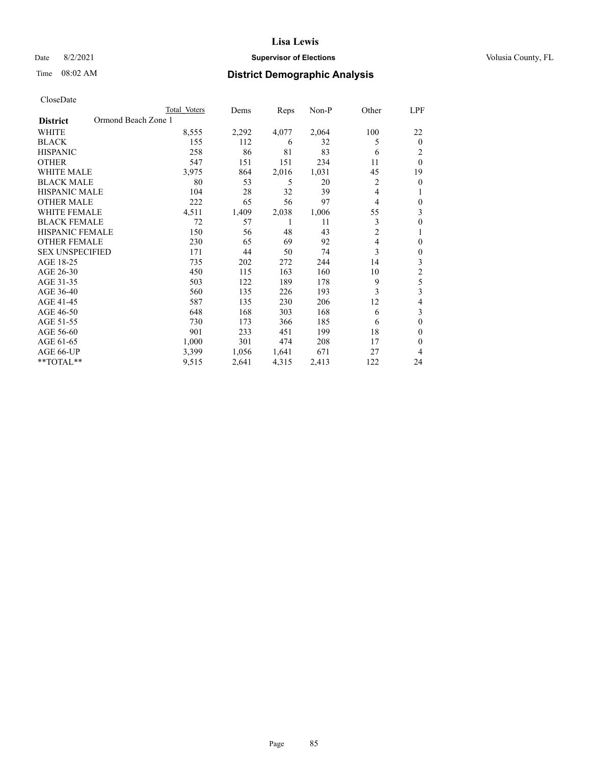### Date 8/2/2021 **Supervisor of Elections Supervisor of Elections** Volusia County, FL

| CloseDate |
|-----------|
|-----------|

|                                        | Total Voters | Dems  | Reps  | Non-P | Other          | LPF              |
|----------------------------------------|--------------|-------|-------|-------|----------------|------------------|
| Ormond Beach Zone 1<br><b>District</b> |              |       |       |       |                |                  |
| WHITE                                  | 8,555        | 2,292 | 4,077 | 2,064 | 100            | 22               |
| <b>BLACK</b>                           | 155          | 112   | 6     | 32    | 5              | $\theta$         |
| <b>HISPANIC</b>                        | 258          | 86    | 81    | 83    | 6              | 2                |
| <b>OTHER</b>                           | 547          | 151   | 151   | 234   | 11             | $\theta$         |
| <b>WHITE MALE</b>                      | 3,975        | 864   | 2,016 | 1,031 | 45             | 19               |
| <b>BLACK MALE</b>                      | 80           | 53    | 5     | 20    | 2              | $\theta$         |
| <b>HISPANIC MALE</b>                   | 104          | 28    | 32    | 39    | 4              | 1                |
| <b>OTHER MALE</b>                      | 222          | 65    | 56    | 97    | 4              | $\boldsymbol{0}$ |
| <b>WHITE FEMALE</b>                    | 4,511        | 1,409 | 2,038 | 1,006 | 55             | 3                |
| <b>BLACK FEMALE</b>                    | 72           | 57    | 1     | 11    | 3              | $\boldsymbol{0}$ |
| HISPANIC FEMALE                        | 150          | 56    | 48    | 43    | $\overline{c}$ | 1                |
| <b>OTHER FEMALE</b>                    | 230          | 65    | 69    | 92    | 4              | 0                |
| <b>SEX UNSPECIFIED</b>                 | 171          | 44    | 50    | 74    | 3              | 0                |
| AGE 18-25                              | 735          | 202   | 272   | 244   | 14             | 3                |
| AGE 26-30                              | 450          | 115   | 163   | 160   | 10             | $\mathfrak{2}$   |
| AGE 31-35                              | 503          | 122   | 189   | 178   | 9              | 5                |
| AGE 36-40                              | 560          | 135   | 226   | 193   | 3              | 3                |
| AGE 41-45                              | 587          | 135   | 230   | 206   | 12             | 4                |
| AGE 46-50                              | 648          | 168   | 303   | 168   | 6              | 3                |
| AGE 51-55                              | 730          | 173   | 366   | 185   | 6              | $\mathbf{0}$     |
| AGE 56-60                              | 901          | 233   | 451   | 199   | 18             | $\theta$         |
| AGE 61-65                              | 1,000        | 301   | 474   | 208   | 17             | 0                |
| AGE 66-UP                              | 3,399        | 1,056 | 1,641 | 671   | 27             | 4                |
| **TOTAL**                              | 9,515        | 2,641 | 4,315 | 2,413 | 122            | 24               |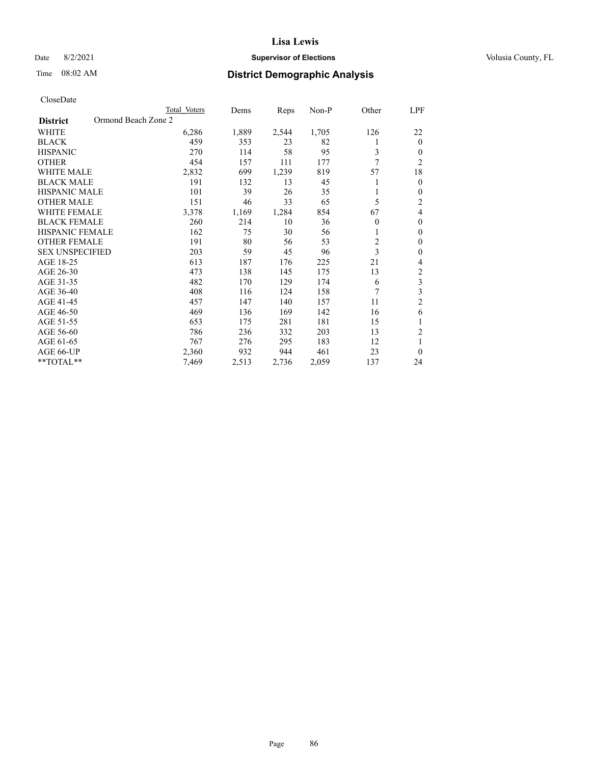### Date 8/2/2021 **Supervisor of Elections Supervisor of Elections** Volusia County, FL

# Time 08:02 AM **District Demographic Analysis**

|                                        | Total Voters | Dems  | Reps  | $Non-P$ | Other          | LPF                     |
|----------------------------------------|--------------|-------|-------|---------|----------------|-------------------------|
| Ormond Beach Zone 2<br><b>District</b> |              |       |       |         |                |                         |
| <b>WHITE</b>                           | 6,286        | 1,889 | 2,544 | 1,705   | 126            | 22                      |
| <b>BLACK</b>                           | 459          | 353   | 23    | 82      | 1              | $\theta$                |
| <b>HISPANIC</b>                        | 270          | 114   | 58    | 95      | 3              | $\theta$                |
| <b>OTHER</b>                           | 454          | 157   | 111   | 177     | 7              | $\overline{2}$          |
| <b>WHITE MALE</b>                      | 2,832        | 699   | 1,239 | 819     | 57             | 18                      |
| <b>BLACK MALE</b>                      | 191          | 132   | 13    | 45      |                | $\mathbf{0}$            |
| <b>HISPANIC MALE</b>                   | 101          | 39    | 26    | 35      |                | $\theta$                |
| <b>OTHER MALE</b>                      | 151          | 46    | 33    | 65      | 5              | 2                       |
| <b>WHITE FEMALE</b>                    | 3,378        | 1,169 | 1,284 | 854     | 67             | 4                       |
| <b>BLACK FEMALE</b>                    | 260          | 214   | 10    | 36      | $\theta$       | $\theta$                |
| <b>HISPANIC FEMALE</b>                 | 162          | 75    | 30    | 56      | 1              | $\theta$                |
| <b>OTHER FEMALE</b>                    | 191          | 80    | 56    | 53      | $\overline{c}$ | $\theta$                |
| <b>SEX UNSPECIFIED</b>                 | 203          | 59    | 45    | 96      | 3              | $\theta$                |
| AGE 18-25                              | 613          | 187   | 176   | 225     | 21             | 4                       |
| AGE 26-30                              | 473          | 138   | 145   | 175     | 13             | 2                       |
| AGE 31-35                              | 482          | 170   | 129   | 174     | 6              | 3                       |
| AGE 36-40                              | 408          | 116   | 124   | 158     | 7              | $\overline{\mathbf{3}}$ |
| AGE 41-45                              | 457          | 147   | 140   | 157     | 11             | $\overline{2}$          |
| AGE 46-50                              | 469          | 136   | 169   | 142     | 16             | 6                       |
| AGE 51-55                              | 653          | 175   | 281   | 181     | 15             | 1                       |
| AGE 56-60                              | 786          | 236   | 332   | 203     | 13             | 2                       |
| AGE 61-65                              | 767          | 276   | 295   | 183     | 12             | 1                       |
| AGE 66-UP                              | 2,360        | 932   | 944   | 461     | 23             | $\theta$                |
| $*$ $TOTAL**$                          | 7,469        | 2,513 | 2,736 | 2,059   | 137            | 24                      |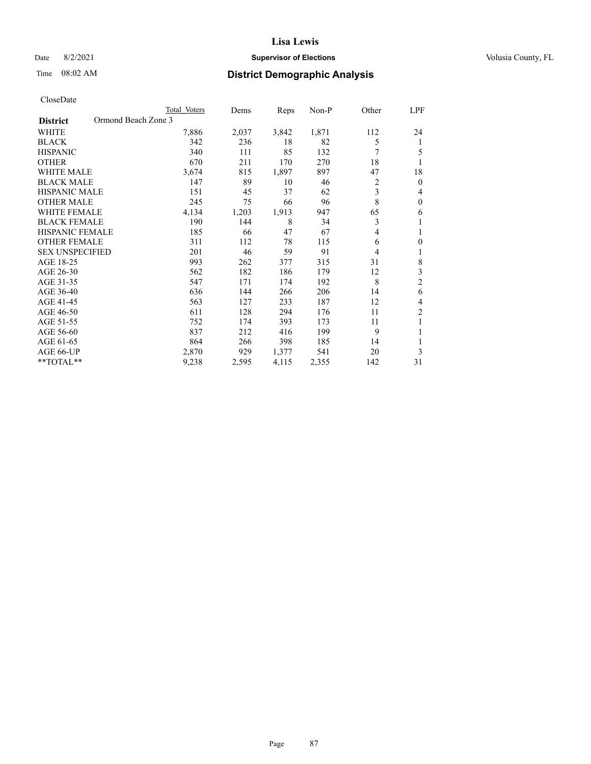### Date 8/2/2021 **Supervisor of Elections Supervisor of Elections** Volusia County, FL

## Time 08:02 AM **District Demographic Analysis**

|                        | Total Voters        | Dems  | Reps  | Non-P | Other | LPF            |
|------------------------|---------------------|-------|-------|-------|-------|----------------|
| <b>District</b>        | Ormond Beach Zone 3 |       |       |       |       |                |
| WHITE                  | 7,886               | 2,037 | 3,842 | 1,871 | 112   | 24             |
| <b>BLACK</b>           | 342                 | 236   | 18    | 82    | 5     | 1              |
| <b>HISPANIC</b>        | 340                 | 111   | 85    | 132   | 7     | 5              |
| <b>OTHER</b>           | 670                 | 211   | 170   | 270   | 18    | 1              |
| <b>WHITE MALE</b>      | 3,674               | 815   | 1,897 | 897   | 47    | 18             |
| <b>BLACK MALE</b>      | 147                 | 89    | 10    | 46    | 2     | $\mathbf{0}$   |
| <b>HISPANIC MALE</b>   | 151                 | 45    | 37    | 62    | 3     | 4              |
| <b>OTHER MALE</b>      | 245                 | 75    | 66    | 96    | 8     | $\mathbf{0}$   |
| WHITE FEMALE           | 4,134               | 1,203 | 1,913 | 947   | 65    | 6              |
| <b>BLACK FEMALE</b>    | 190                 | 144   | 8     | 34    | 3     | 1              |
| <b>HISPANIC FEMALE</b> | 185                 | 66    | 47    | 67    | 4     | 1              |
| <b>OTHER FEMALE</b>    | 311                 | 112   | 78    | 115   | 6     | $\theta$       |
| <b>SEX UNSPECIFIED</b> | 201                 | 46    | 59    | 91    | 4     | 1              |
| AGE 18-25              | 993                 | 262   | 377   | 315   | 31    | 8              |
| AGE 26-30              | 562                 | 182   | 186   | 179   | 12    | 3              |
| AGE 31-35              | 547                 | 171   | 174   | 192   | 8     | $\overline{c}$ |
| AGE 36-40              | 636                 | 144   | 266   | 206   | 14    | 6              |
| AGE 41-45              | 563                 | 127   | 233   | 187   | 12    | 4              |
| AGE 46-50              | 611                 | 128   | 294   | 176   | 11    | 2              |
| AGE 51-55              | 752                 | 174   | 393   | 173   | 11    | 1              |
| AGE 56-60              | 837                 | 212   | 416   | 199   | 9     | 1              |
| AGE 61-65              | 864                 | 266   | 398   | 185   | 14    | 1              |
| AGE 66-UP              | 2,870               | 929   | 1,377 | 541   | 20    | 3              |
| **TOTAL**              | 9,238               | 2,595 | 4,115 | 2,355 | 142   | 31             |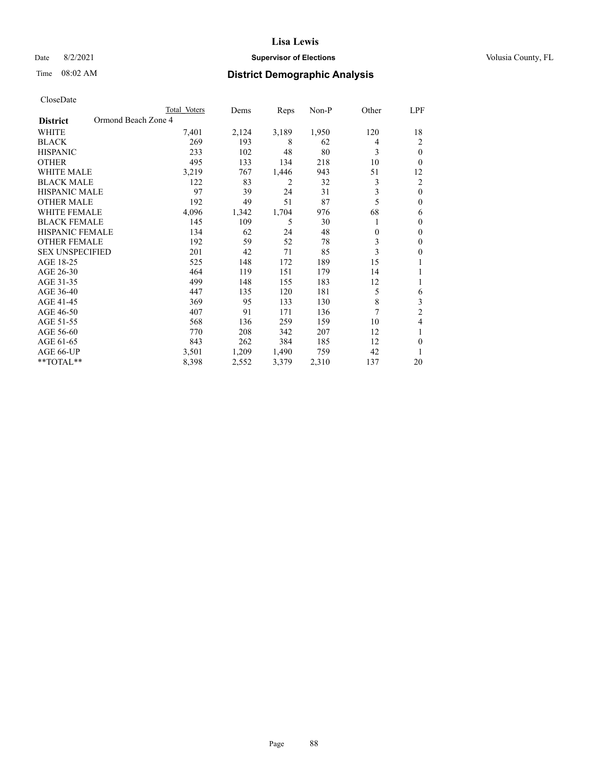### Date 8/2/2021 **Supervisor of Elections Supervisor of Elections** Volusia County, FL

## Time 08:02 AM **District Demographic Analysis**

|                                        | Total Voters | Dems  | Reps  | Non-P | Other    | LPF            |
|----------------------------------------|--------------|-------|-------|-------|----------|----------------|
| Ormond Beach Zone 4<br><b>District</b> |              |       |       |       |          |                |
| WHITE                                  | 7,401        | 2,124 | 3,189 | 1,950 | 120      | 18             |
| <b>BLACK</b>                           | 269          | 193   | 8     | 62    | 4        | 2              |
| <b>HISPANIC</b>                        | 233          | 102   | 48    | 80    | 3        | $\theta$       |
| <b>OTHER</b>                           | 495          | 133   | 134   | 218   | 10       | 0              |
| <b>WHITE MALE</b>                      | 3,219        | 767   | 1,446 | 943   | 51       | 12             |
| <b>BLACK MALE</b>                      | 122          | 83    | 2     | 32    | 3        | 2              |
| <b>HISPANIC MALE</b>                   | 97           | 39    | 24    | 31    | 3        | $\theta$       |
| <b>OTHER MALE</b>                      | 192          | 49    | 51    | 87    | 5        | $\theta$       |
| WHITE FEMALE                           | 4,096        | 1,342 | 1,704 | 976   | 68       | 6              |
| <b>BLACK FEMALE</b>                    | 145          | 109   | 5     | 30    |          | $\theta$       |
| <b>HISPANIC FEMALE</b>                 | 134          | 62    | 24    | 48    | $\theta$ | $\theta$       |
| <b>OTHER FEMALE</b>                    | 192          | 59    | 52    | 78    | 3        | $\theta$       |
| <b>SEX UNSPECIFIED</b>                 | 201          | 42    | 71    | 85    | 3        | $\theta$       |
| AGE 18-25                              | 525          | 148   | 172   | 189   | 15       |                |
| AGE 26-30                              | 464          | 119   | 151   | 179   | 14       |                |
| AGE 31-35                              | 499          | 148   | 155   | 183   | 12       |                |
| AGE 36-40                              | 447          | 135   | 120   | 181   | 5        | 6              |
| AGE 41-45                              | 369          | 95    | 133   | 130   | 8        | 3              |
| AGE 46-50                              | 407          | 91    | 171   | 136   | 7        | $\overline{2}$ |
| AGE 51-55                              | 568          | 136   | 259   | 159   | 10       | 4              |
| AGE 56-60                              | 770          | 208   | 342   | 207   | 12       |                |
| AGE 61-65                              | 843          | 262   | 384   | 185   | 12       | $\theta$       |
| AGE 66-UP                              | 3,501        | 1,209 | 1,490 | 759   | 42       |                |
| **TOTAL**                              | 8,398        | 2,552 | 3,379 | 2,310 | 137      | 20             |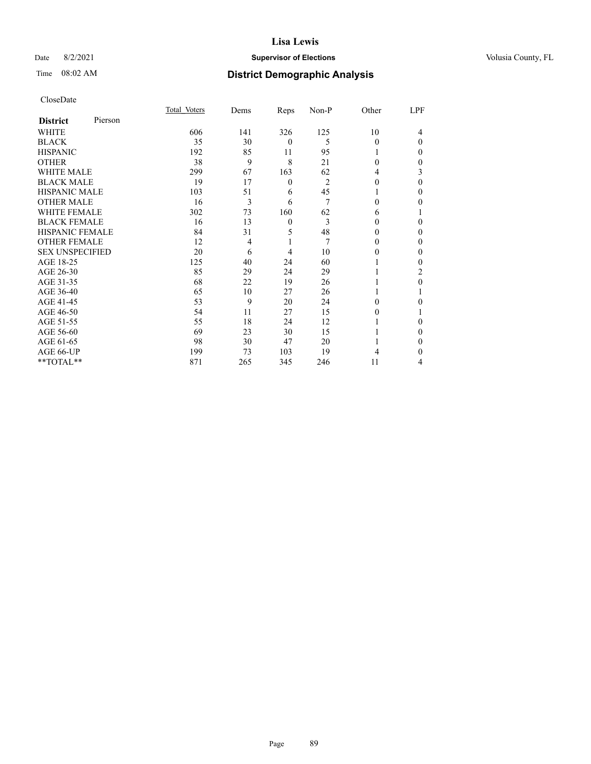### Date 8/2/2021 **Supervisor of Elections Supervisor of Elections** Volusia County, FL

| CloseDate |
|-----------|
|-----------|

|                        |         | Total Voters | Dems           | Reps     | Non-P | Other    | LPF      |
|------------------------|---------|--------------|----------------|----------|-------|----------|----------|
| <b>District</b>        | Pierson |              |                |          |       |          |          |
| WHITE                  |         | 606          | 141            | 326      | 125   | 10       | 4        |
| <b>BLACK</b>           |         | 35           | 30             | $\theta$ | 5     | 0        | $\Omega$ |
| <b>HISPANIC</b>        |         | 192          | 85             | 11       | 95    | 1        | 0        |
| <b>OTHER</b>           |         | 38           | 9              | 8        | 21    | $\Omega$ | 0        |
| <b>WHITE MALE</b>      |         | 299          | 67             | 163      | 62    | 4        | 3        |
| <b>BLACK MALE</b>      |         | 19           | 17             | $\theta$ | 2     | $\theta$ | 0        |
| <b>HISPANIC MALE</b>   |         | 103          | 51             | 6        | 45    |          | 0        |
| <b>OTHER MALE</b>      |         | 16           | 3              | 6        | 7     | 0        | 0        |
| <b>WHITE FEMALE</b>    |         | 302          | 73             | 160      | 62    | 6        |          |
| <b>BLACK FEMALE</b>    |         | 16           | 13             | $\theta$ | 3     | 0        | 0        |
| <b>HISPANIC FEMALE</b> |         | 84           | 31             | 5        | 48    | $\theta$ | 0        |
| <b>OTHER FEMALE</b>    |         | 12           | $\overline{4}$ | 1        | 7     | 0        | $_{0}$   |
| <b>SEX UNSPECIFIED</b> |         | 20           | 6              | 4        | 10    | 0        | 0        |
| AGE 18-25              |         | 125          | 40             | 24       | 60    |          | 0        |
| AGE 26-30              |         | 85           | 29             | 24       | 29    |          | 2        |
| AGE 31-35              |         | 68           | 22             | 19       | 26    |          | 0        |
| AGE 36-40              |         | 65           | 10             | 27       | 26    |          |          |
| AGE 41-45              |         | 53           | 9              | 20       | 24    | 0        | 0        |
| AGE 46-50              |         | 54           | 11             | 27       | 15    | 0        |          |
| AGE 51-55              |         | 55           | 18             | 24       | 12    |          | 0        |
| AGE 56-60              |         | 69           | 23             | 30       | 15    |          | $_{0}$   |
| AGE 61-65              |         | 98           | 30             | 47       | 20    |          | 0        |
| AGE 66-UP              |         | 199          | 73             | 103      | 19    | 4        | 0        |
| **TOTAL**              |         | 871          | 265            | 345      | 246   | 11       | 4        |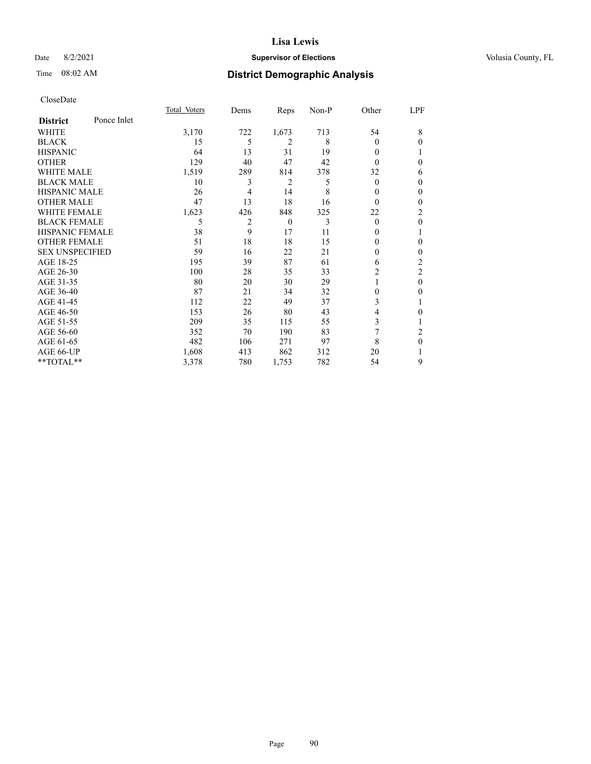### Date 8/2/2021 **Supervisor of Elections Supervisor of Elections** Volusia County, FL

# Time 08:02 AM **District Demographic Analysis**

|                        |             | Total Voters | Dems           | Reps         | Non-P | Other          | LPF          |
|------------------------|-------------|--------------|----------------|--------------|-------|----------------|--------------|
| <b>District</b>        | Ponce Inlet |              |                |              |       |                |              |
| WHITE                  |             | 3,170        | 722            | 1,673        | 713   | 54             | 8            |
| <b>BLACK</b>           |             | 15           | 5              | 2            | 8     | 0              | 0            |
| <b>HISPANIC</b>        |             | 64           | 13             | 31           | 19    | $\Omega$       |              |
| <b>OTHER</b>           |             | 129          | 40             | 47           | 42    | $\Omega$       | 0            |
| <b>WHITE MALE</b>      |             | 1,519        | 289            | 814          | 378   | 32             | 6            |
| <b>BLACK MALE</b>      |             | 10           | 3              | 2            | 5     | $\mathbf{0}$   | $\mathbf{0}$ |
| <b>HISPANIC MALE</b>   |             | 26           | 4              | 14           | 8     | 0              | 0            |
| <b>OTHER MALE</b>      |             | 47           | 13             | 18           | 16    | 0              | 0            |
| <b>WHITE FEMALE</b>    |             | 1,623        | 426            | 848          | 325   | 22             | 2            |
| <b>BLACK FEMALE</b>    |             | 5            | $\overline{c}$ | $\mathbf{0}$ | 3     | $\theta$       | $\theta$     |
| <b>HISPANIC FEMALE</b> |             | 38           | 9              | 17           | 11    | 0              |              |
| <b>OTHER FEMALE</b>    |             | 51           | 18             | 18           | 15    | 0              | 0            |
| <b>SEX UNSPECIFIED</b> |             | 59           | 16             | 22           | 21    | $\Omega$       | $\mathbf{0}$ |
| AGE 18-25              |             | 195          | 39             | 87           | 61    | 6              | 2            |
| AGE 26-30              |             | 100          | 28             | 35           | 33    | 2              | 2            |
| AGE 31-35              |             | 80           | 20             | 30           | 29    |                | $\theta$     |
| AGE 36-40              |             | 87           | 21             | 34           | 32    | $\theta$       | 0            |
| AGE 41-45              |             | 112          | 22             | 49           | 37    | 3              | 1            |
| AGE 46-50              |             | 153          | 26             | 80           | 43    | 4              | 0            |
| AGE 51-55              |             | 209          | 35             | 115          | 55    | 3              | 1            |
| AGE 56-60              |             | 352          | 70             | 190          | 83    | $\overline{7}$ | 2            |
| AGE 61-65              |             | 482          | 106            | 271          | 97    | 8              | $\theta$     |
| AGE 66-UP              |             | 1,608        | 413            | 862          | 312   | 20             |              |
| **TOTAL**              |             | 3,378        | 780            | 1,753        | 782   | 54             | 9            |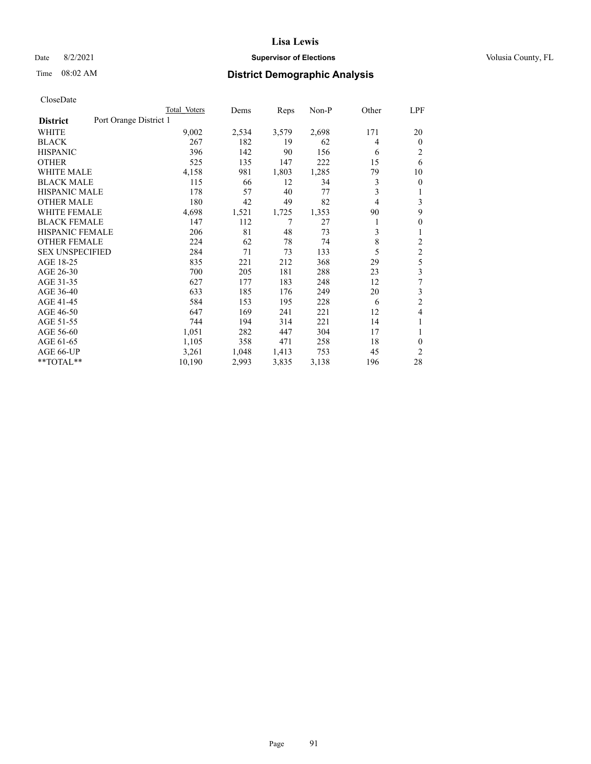### Date 8/2/2021 **Supervisor of Elections Supervisor of Elections** Volusia County, FL

# Time 08:02 AM **District Demographic Analysis**

|                                           | Total Voters | Dems  | Reps  | $Non-P$ | Other | LPF            |
|-------------------------------------------|--------------|-------|-------|---------|-------|----------------|
| Port Orange District 1<br><b>District</b> |              |       |       |         |       |                |
| WHITE                                     | 9,002        | 2,534 | 3,579 | 2,698   | 171   | 20             |
| <b>BLACK</b>                              | 267          | 182   | 19    | 62      | 4     | $\mathbf{0}$   |
| <b>HISPANIC</b>                           | 396          | 142   | 90    | 156     | 6     | $\overline{2}$ |
| <b>OTHER</b>                              | 525          | 135   | 147   | 222     | 15    | 6              |
| <b>WHITE MALE</b>                         | 4,158        | 981   | 1,803 | 1,285   | 79    | 10             |
| <b>BLACK MALE</b>                         | 115          | 66    | 12    | 34      | 3     | $\theta$       |
| <b>HISPANIC MALE</b>                      | 178          | 57    | 40    | 77      | 3     |                |
| <b>OTHER MALE</b>                         | 180          | 42    | 49    | 82      | 4     | 3              |
| <b>WHITE FEMALE</b>                       | 4,698        | 1,521 | 1,725 | 1,353   | 90    | 9              |
| <b>BLACK FEMALE</b>                       | 147          | 112   | 7     | 27      | 1     | $\theta$       |
| <b>HISPANIC FEMALE</b>                    | 206          | 81    | 48    | 73      | 3     | 1              |
| <b>OTHER FEMALE</b>                       | 224          | 62    | 78    | 74      | 8     | $\overline{c}$ |
| <b>SEX UNSPECIFIED</b>                    | 284          | 71    | 73    | 133     | 5     | $\overline{c}$ |
| AGE 18-25                                 | 835          | 221   | 212   | 368     | 29    | 5              |
| AGE 26-30                                 | 700          | 205   | 181   | 288     | 23    | 3              |
| AGE 31-35                                 | 627          | 177   | 183   | 248     | 12    | 7              |
| AGE 36-40                                 | 633          | 185   | 176   | 249     | 20    | 3              |
| AGE 41-45                                 | 584          | 153   | 195   | 228     | 6     | $\overline{c}$ |
| AGE 46-50                                 | 647          | 169   | 241   | 221     | 12    | 4              |
| AGE 51-55                                 | 744          | 194   | 314   | 221     | 14    |                |
| AGE 56-60                                 | 1,051        | 282   | 447   | 304     | 17    | 1              |
| AGE 61-65                                 | 1,105        | 358   | 471   | 258     | 18    | $\theta$       |
| AGE 66-UP                                 | 3,261        | 1,048 | 1,413 | 753     | 45    | $\overline{c}$ |
| **TOTAL**                                 | 10,190       | 2,993 | 3,835 | 3,138   | 196   | 28             |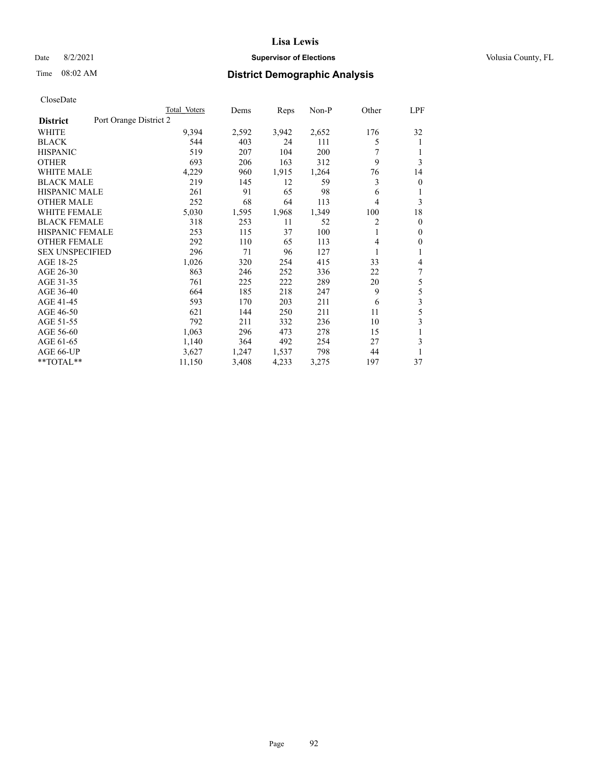### Date 8/2/2021 **Supervisor of Elections Supervisor of Elections** Volusia County, FL

# Time 08:02 AM **District Demographic Analysis**

|                                           | Total Voters | Dems  | Reps  | Non-P | Other | <b>LPF</b>   |
|-------------------------------------------|--------------|-------|-------|-------|-------|--------------|
| Port Orange District 2<br><b>District</b> |              |       |       |       |       |              |
| WHITE                                     | 9,394        | 2,592 | 3,942 | 2,652 | 176   | 32           |
| <b>BLACK</b>                              | 544          | 403   | 24    | 111   | 5     | 1            |
| <b>HISPANIC</b>                           | 519          | 207   | 104   | 200   | 7     |              |
| <b>OTHER</b>                              | 693          | 206   | 163   | 312   | 9     | 3            |
| <b>WHITE MALE</b>                         | 4,229        | 960   | 1,915 | 1,264 | 76    | 14           |
| <b>BLACK MALE</b>                         | 219          | 145   | 12    | 59    | 3     | $\theta$     |
| <b>HISPANIC MALE</b>                      | 261          | 91    | 65    | 98    | 6     | 1            |
| <b>OTHER MALE</b>                         | 252          | 68    | 64    | 113   | 4     | 3            |
| <b>WHITE FEMALE</b>                       | 5,030        | 1,595 | 1,968 | 1,349 | 100   | 18           |
| <b>BLACK FEMALE</b>                       | 318          | 253   | 11    | 52    | 2     | $\mathbf{0}$ |
| <b>HISPANIC FEMALE</b>                    | 253          | 115   | 37    | 100   | 1     | $\mathbf{0}$ |
| <b>OTHER FEMALE</b>                       | 292          | 110   | 65    | 113   | 4     | $\mathbf{0}$ |
| <b>SEX UNSPECIFIED</b>                    | 296          | 71    | 96    | 127   |       | 1            |
| AGE 18-25                                 | 1,026        | 320   | 254   | 415   | 33    | 4            |
| AGE 26-30                                 | 863          | 246   | 252   | 336   | 22    | 7            |
| AGE 31-35                                 | 761          | 225   | 222   | 289   | 20    | 5            |
| AGE 36-40                                 | 664          | 185   | 218   | 247   | 9     | 5            |
| AGE 41-45                                 | 593          | 170   | 203   | 211   | 6     | 3            |
| AGE 46-50                                 | 621          | 144   | 250   | 211   | 11    | 5            |
| AGE 51-55                                 | 792          | 211   | 332   | 236   | 10    | 3            |
| AGE 56-60                                 | 1,063        | 296   | 473   | 278   | 15    | 1            |
| AGE 61-65                                 | 1,140        | 364   | 492   | 254   | 27    | 3            |
| AGE 66-UP                                 | 3,627        | 1,247 | 1,537 | 798   | 44    | 1            |
| **TOTAL**                                 | 11,150       | 3,408 | 4,233 | 3,275 | 197   | 37           |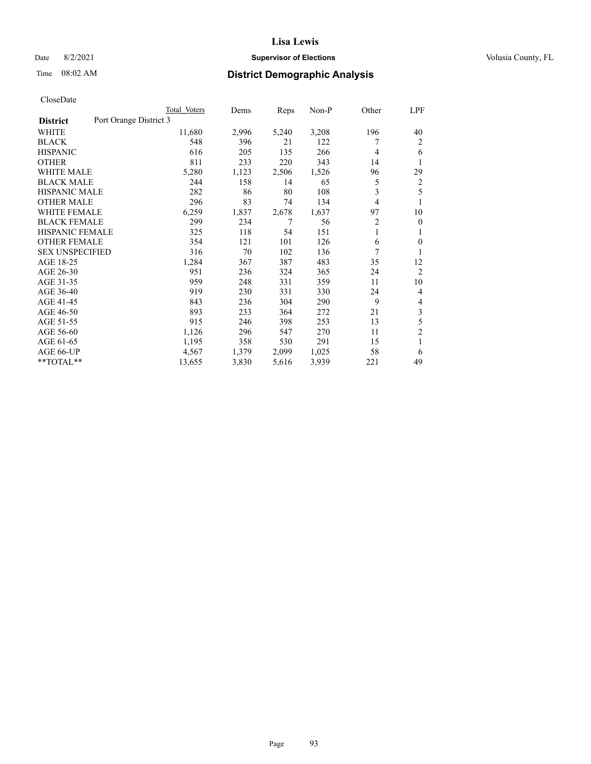### Date 8/2/2021 **Supervisor of Elections Supervisor of Elections** Volusia County, FL

# Time 08:02 AM **District Demographic Analysis**

|                                           | Total Voters | Dems  | Reps  | $Non-P$ | Other | LPF            |
|-------------------------------------------|--------------|-------|-------|---------|-------|----------------|
| Port Orange District 3<br><b>District</b> |              |       |       |         |       |                |
| WHITE                                     | 11,680       | 2,996 | 5,240 | 3,208   | 196   | 40             |
| <b>BLACK</b>                              | 548          | 396   | 21    | 122     |       | 2              |
| <b>HISPANIC</b>                           | 616          | 205   | 135   | 266     | 4     | 6              |
| <b>OTHER</b>                              | 811          | 233   | 220   | 343     | 14    | 1              |
| <b>WHITE MALE</b>                         | 5,280        | 1,123 | 2,506 | 1,526   | 96    | 29             |
| <b>BLACK MALE</b>                         | 244          | 158   | 14    | 65      | 5     | 2              |
| <b>HISPANIC MALE</b>                      | 282          | 86    | 80    | 108     | 3     | 5              |
| <b>OTHER MALE</b>                         | 296          | 83    | 74    | 134     | 4     | 1              |
| <b>WHITE FEMALE</b>                       | 6,259        | 1,837 | 2,678 | 1,637   | 97    | 10             |
| <b>BLACK FEMALE</b>                       | 299          | 234   | 7     | 56      | 2     | $\mathbf{0}$   |
| <b>HISPANIC FEMALE</b>                    | 325          | 118   | 54    | 151     | 1     | 1              |
| <b>OTHER FEMALE</b>                       | 354          | 121   | 101   | 126     | 6     | $\Omega$       |
| <b>SEX UNSPECIFIED</b>                    | 316          | 70    | 102   | 136     | 7     | 1              |
| AGE 18-25                                 | 1,284        | 367   | 387   | 483     | 35    | 12             |
| AGE 26-30                                 | 951          | 236   | 324   | 365     | 24    | $\overline{2}$ |
| AGE 31-35                                 | 959          | 248   | 331   | 359     | 11    | 10             |
| AGE 36-40                                 | 919          | 230   | 331   | 330     | 24    | 4              |
| AGE 41-45                                 | 843          | 236   | 304   | 290     | 9     | 4              |
| AGE 46-50                                 | 893          | 233   | 364   | 272     | 21    | 3              |
| AGE 51-55                                 | 915          | 246   | 398   | 253     | 13    | 5              |
| AGE 56-60                                 | 1,126        | 296   | 547   | 270     | 11    | $\overline{2}$ |
| AGE 61-65                                 | 1,195        | 358   | 530   | 291     | 15    | 1              |
| AGE 66-UP                                 | 4,567        | 1,379 | 2,099 | 1,025   | 58    | 6              |
| **TOTAL**                                 | 13,655       | 3,830 | 5,616 | 3,939   | 221   | 49             |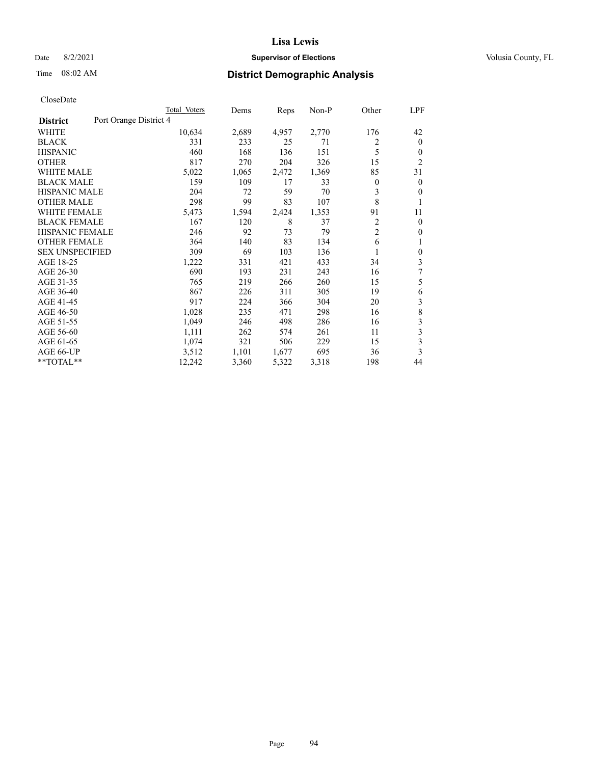### Date 8/2/2021 **Supervisor of Elections Supervisor of Elections** Volusia County, FL

# Time 08:02 AM **District Demographic Analysis**

|                                           | Total Voters | Dems  | Reps  | Non-P | Other          | LPF            |
|-------------------------------------------|--------------|-------|-------|-------|----------------|----------------|
| Port Orange District 4<br><b>District</b> |              |       |       |       |                |                |
| WHITE                                     | 10,634       | 2,689 | 4,957 | 2,770 | 176            | 42             |
| <b>BLACK</b>                              | 331          | 233   | 25    | 71    | 2              | $\mathbf{0}$   |
| <b>HISPANIC</b>                           | 460          | 168   | 136   | 151   | 5              | $\theta$       |
| <b>OTHER</b>                              | 817          | 270   | 204   | 326   | 15             | $\overline{2}$ |
| <b>WHITE MALE</b>                         | 5,022        | 1,065 | 2,472 | 1,369 | 85             | 31             |
| <b>BLACK MALE</b>                         | 159          | 109   | 17    | 33    | 0              | $\mathbf{0}$   |
| <b>HISPANIC MALE</b>                      | 204          | 72    | 59    | 70    | 3              | $\mathbf{0}$   |
| <b>OTHER MALE</b>                         | 298          | 99    | 83    | 107   | 8              | 1              |
| <b>WHITE FEMALE</b>                       | 5,473        | 1,594 | 2,424 | 1,353 | 91             | 11             |
| <b>BLACK FEMALE</b>                       | 167          | 120   | 8     | 37    | 2              | $\mathbf{0}$   |
| <b>HISPANIC FEMALE</b>                    | 246          | 92    | 73    | 79    | $\overline{c}$ | $\Omega$       |
| <b>OTHER FEMALE</b>                       | 364          | 140   | 83    | 134   | 6              | 1              |
| <b>SEX UNSPECIFIED</b>                    | 309          | 69    | 103   | 136   |                | $\theta$       |
| AGE 18-25                                 | 1,222        | 331   | 421   | 433   | 34             | 3              |
| AGE 26-30                                 | 690          | 193   | 231   | 243   | 16             | 7              |
| AGE 31-35                                 | 765          | 219   | 266   | 260   | 15             | 5              |
| AGE 36-40                                 | 867          | 226   | 311   | 305   | 19             | 6              |
| AGE 41-45                                 | 917          | 224   | 366   | 304   | 20             | 3              |
| AGE 46-50                                 | 1,028        | 235   | 471   | 298   | 16             | 8              |
| AGE 51-55                                 | 1,049        | 246   | 498   | 286   | 16             | 3              |
| AGE 56-60                                 | 1,111        | 262   | 574   | 261   | 11             | 3              |
| AGE 61-65                                 | 1,074        | 321   | 506   | 229   | 15             | 3              |
| AGE 66-UP                                 | 3,512        | 1,101 | 1,677 | 695   | 36             | 3              |
| $*$ $TOTAL**$                             | 12,242       | 3,360 | 5,322 | 3,318 | 198            | 44             |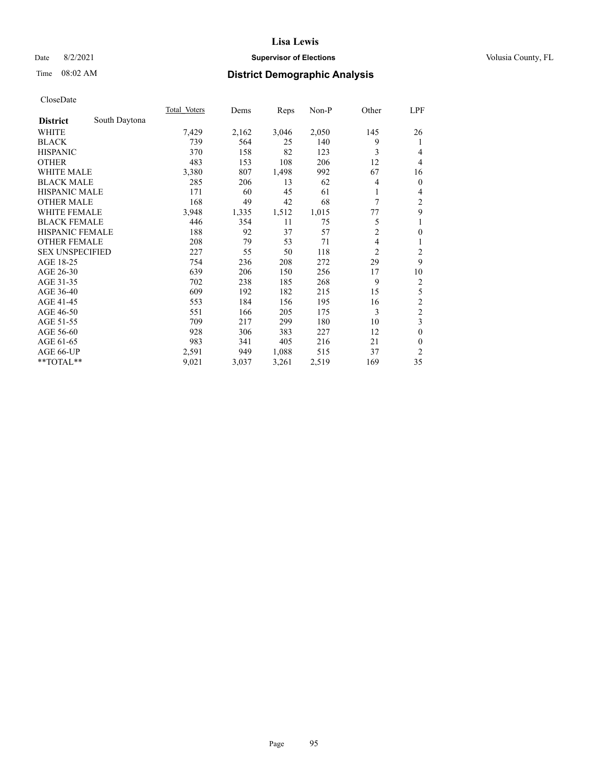### Date 8/2/2021 **Supervisor of Elections Supervisor of Elections** Volusia County, FL

# Time 08:02 AM **District Demographic Analysis**

|                                  | Total Voters | Dems  | Reps  | Non-P | Other          | LPF              |
|----------------------------------|--------------|-------|-------|-------|----------------|------------------|
| South Daytona<br><b>District</b> |              |       |       |       |                |                  |
| WHITE                            | 7,429        | 2,162 | 3,046 | 2,050 | 145            | 26               |
| <b>BLACK</b>                     | 739          | 564   | 25    | 140   | 9              | 1                |
| <b>HISPANIC</b>                  | 370          | 158   | 82    | 123   | 3              | 4                |
| <b>OTHER</b>                     | 483          | 153   | 108   | 206   | 12             | $\overline{4}$   |
| <b>WHITE MALE</b>                | 3,380        | 807   | 1,498 | 992   | 67             | 16               |
| <b>BLACK MALE</b>                | 285          | 206   | 13    | 62    | 4              | $\mathbf{0}$     |
| HISPANIC MALE                    | 171          | 60    | 45    | 61    | 1              | 4                |
| <b>OTHER MALE</b>                | 168          | 49    | 42    | 68    | 7              | $\overline{c}$   |
| WHITE FEMALE                     | 3,948        | 1,335 | 1,512 | 1,015 | 77             | 9                |
| <b>BLACK FEMALE</b>              | 446          | 354   | 11    | 75    | 5              | 1                |
| <b>HISPANIC FEMALE</b>           | 188          | 92    | 37    | 57    | $\overline{c}$ | $\boldsymbol{0}$ |
| <b>OTHER FEMALE</b>              | 208          | 79    | 53    | 71    | 4              | 1                |
| <b>SEX UNSPECIFIED</b>           | 227          | 55    | 50    | 118   | $\overline{2}$ | 2                |
| AGE 18-25                        | 754          | 236   | 208   | 272   | 29             | 9                |
| AGE 26-30                        | 639          | 206   | 150   | 256   | 17             | 10               |
| AGE 31-35                        | 702          | 238   | 185   | 268   | 9              | $\sqrt{2}$       |
| AGE 36-40                        | 609          | 192   | 182   | 215   | 15             | 5                |
| AGE 41-45                        | 553          | 184   | 156   | 195   | 16             | $\sqrt{2}$       |
| AGE 46-50                        | 551          | 166   | 205   | 175   | 3              | $\overline{c}$   |
| AGE 51-55                        | 709          | 217   | 299   | 180   | 10             | 3                |
| AGE 56-60                        | 928          | 306   | 383   | 227   | 12             | $\mathbf{0}$     |
| AGE 61-65                        | 983          | 341   | 405   | 216   | 21             | $\mathbf{0}$     |
| AGE 66-UP                        | 2,591        | 949   | 1,088 | 515   | 37             | $\mathfrak{2}$   |
| **TOTAL**                        | 9,021        | 3,037 | 3,261 | 2,519 | 169            | 35               |